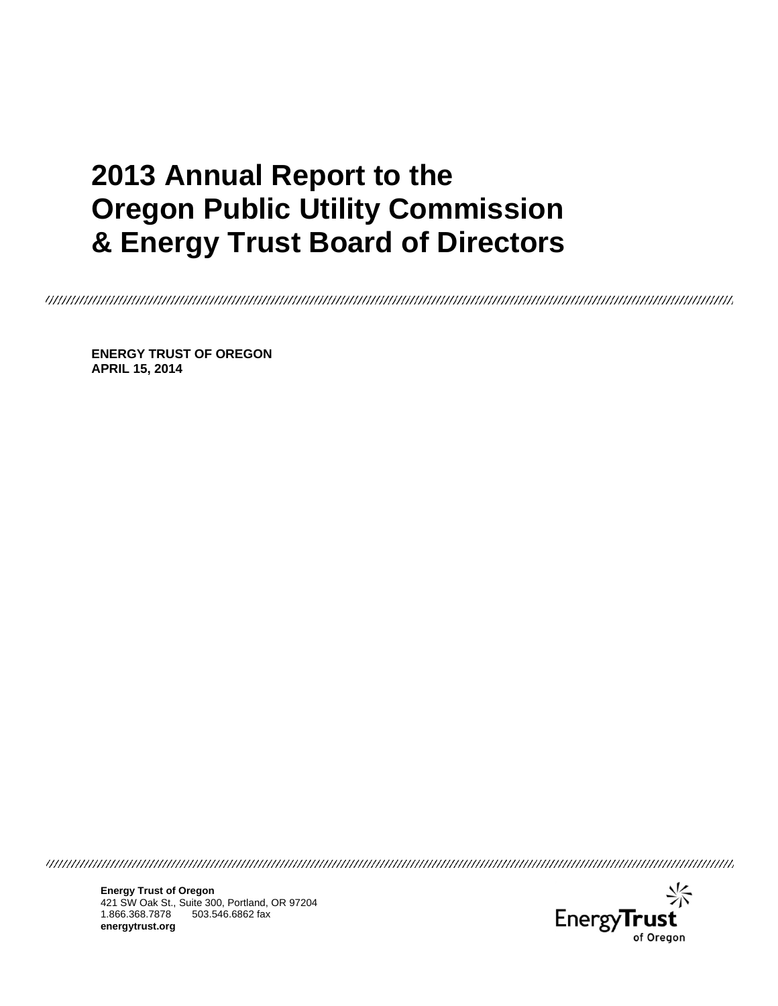# **2013 Annual Report to the Oregon Public Utility Commission & Energy Trust Board of Directors**

**ENERGY TRUST OF OREGON APRIL 15, 2014** 



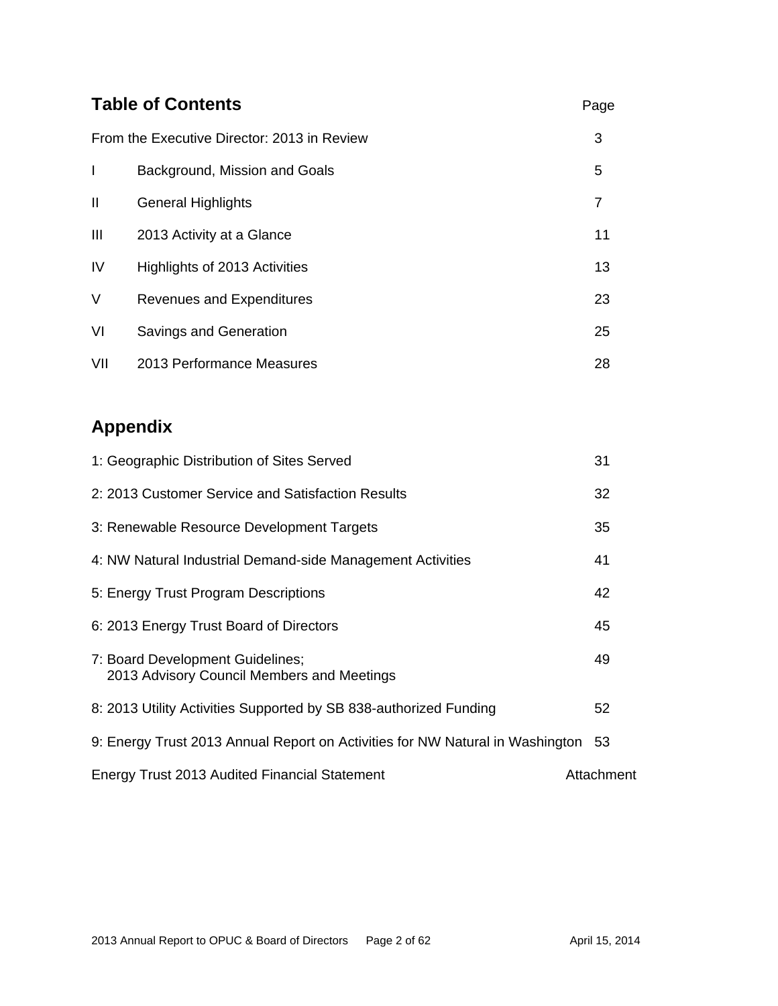| <b>Table of Contents</b>                    |                                  |    |  |  |
|---------------------------------------------|----------------------------------|----|--|--|
| From the Executive Director: 2013 in Review |                                  |    |  |  |
| I                                           | Background, Mission and Goals    | 5  |  |  |
| $\mathbf{I}$                                | <b>General Highlights</b>        | 7  |  |  |
| Ш                                           | 2013 Activity at a Glance        | 11 |  |  |
| IV                                          | Highlights of 2013 Activities    | 13 |  |  |
| V                                           | <b>Revenues and Expenditures</b> | 23 |  |  |
| VI                                          | Savings and Generation           | 25 |  |  |
| VII                                         | 2013 Performance Measures        | 28 |  |  |

# **Appendix**

| 1: Geographic Distribution of Sites Served                                     | 31         |
|--------------------------------------------------------------------------------|------------|
| 2: 2013 Customer Service and Satisfaction Results                              | 32         |
| 3: Renewable Resource Development Targets                                      | 35         |
| 4: NW Natural Industrial Demand-side Management Activities                     | 41         |
| 5: Energy Trust Program Descriptions                                           | 42         |
| 6: 2013 Energy Trust Board of Directors                                        | 45         |
| 7: Board Development Guidelines;<br>2013 Advisory Council Members and Meetings | 49         |
| 8: 2013 Utility Activities Supported by SB 838-authorized Funding              | 52         |
| 9: Energy Trust 2013 Annual Report on Activities for NW Natural in Washington  | -53        |
| Energy Trust 2013 Audited Financial Statement                                  | Attachment |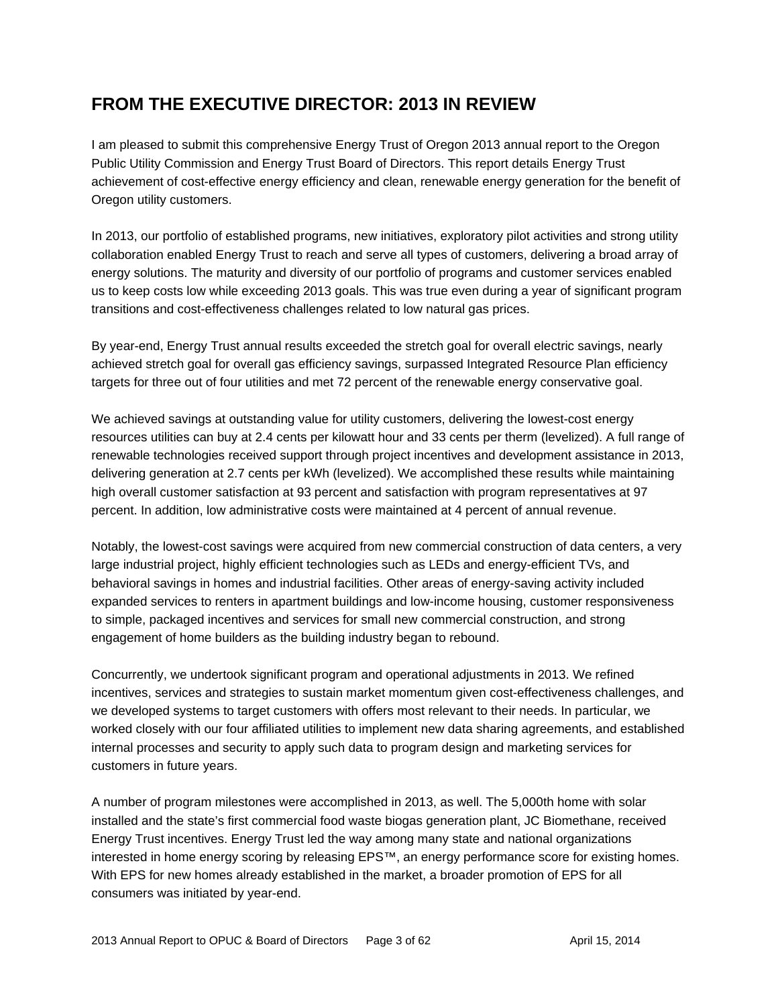# **FROM THE EXECUTIVE DIRECTOR: 2013 IN REVIEW**

I am pleased to submit this comprehensive Energy Trust of Oregon 2013 annual report to the Oregon Public Utility Commission and Energy Trust Board of Directors. This report details Energy Trust achievement of cost-effective energy efficiency and clean, renewable energy generation for the benefit of Oregon utility customers.

In 2013, our portfolio of established programs, new initiatives, exploratory pilot activities and strong utility collaboration enabled Energy Trust to reach and serve all types of customers, delivering a broad array of energy solutions. The maturity and diversity of our portfolio of programs and customer services enabled us to keep costs low while exceeding 2013 goals. This was true even during a year of significant program transitions and cost-effectiveness challenges related to low natural gas prices.

By year-end, Energy Trust annual results exceeded the stretch goal for overall electric savings, nearly achieved stretch goal for overall gas efficiency savings, surpassed Integrated Resource Plan efficiency targets for three out of four utilities and met 72 percent of the renewable energy conservative goal.

We achieved savings at outstanding value for utility customers, delivering the lowest-cost energy resources utilities can buy at 2.4 cents per kilowatt hour and 33 cents per therm (levelized). A full range of renewable technologies received support through project incentives and development assistance in 2013, delivering generation at 2.7 cents per kWh (levelized). We accomplished these results while maintaining high overall customer satisfaction at 93 percent and satisfaction with program representatives at 97 percent. In addition, low administrative costs were maintained at 4 percent of annual revenue.

Notably, the lowest-cost savings were acquired from new commercial construction of data centers, a very large industrial project, highly efficient technologies such as LEDs and energy-efficient TVs, and behavioral savings in homes and industrial facilities. Other areas of energy-saving activity included expanded services to renters in apartment buildings and low-income housing, customer responsiveness to simple, packaged incentives and services for small new commercial construction, and strong engagement of home builders as the building industry began to rebound.

Concurrently, we undertook significant program and operational adjustments in 2013. We refined incentives, services and strategies to sustain market momentum given cost-effectiveness challenges, and we developed systems to target customers with offers most relevant to their needs. In particular, we worked closely with our four affiliated utilities to implement new data sharing agreements, and established internal processes and security to apply such data to program design and marketing services for customers in future years.

A number of program milestones were accomplished in 2013, as well. The 5,000th home with solar installed and the state's first commercial food waste biogas generation plant, JC Biomethane, received Energy Trust incentives. Energy Trust led the way among many state and national organizations interested in home energy scoring by releasing EPS™, an energy performance score for existing homes. With EPS for new homes already established in the market, a broader promotion of EPS for all consumers was initiated by year-end.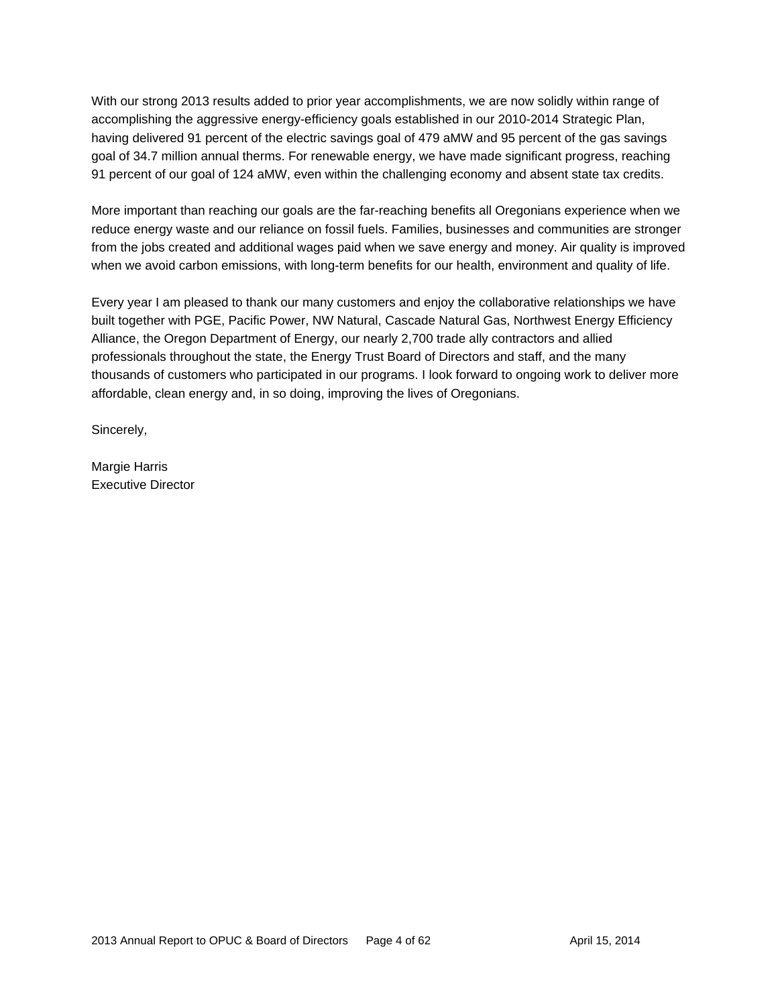With our strong 2013 results added to prior year accomplishments, we are now solidly within range of accomplishing the aggressive energy-efficiency goals established in our 2010-2014 Strategic Plan, having delivered 91 percent of the electric savings goal of 479 aMW and 95 percent of the gas savings goal of 34.7 million annual therms. For renewable energy, we have made significant progress, reaching 91 percent of our goal of 124 aMW, even within the challenging economy and absent state tax credits.

More important than reaching our goals are the far-reaching benefits all Oregonians experience when we reduce energy waste and our reliance on fossil fuels. Families, businesses and communities are stronger from the jobs created and additional wages paid when we save energy and money. Air quality is improved when we avoid carbon emissions, with long-term benefits for our health, environment and quality of life.

Every year I am pleased to thank our many customers and enjoy the collaborative relationships we have built together with PGE, Pacific Power, NW Natural, Cascade Natural Gas, Northwest Energy Efficiency Alliance, the Oregon Department of Energy, our nearly 2,700 trade ally contractors and allied professionals throughout the state, the Energy Trust Board of Directors and staff, and the many thousands of customers who participated in our programs. I look forward to ongoing work to deliver more affordable, clean energy and, in so doing, improving the lives of Oregonians.

Sincerely,

Margie Harris Executive Director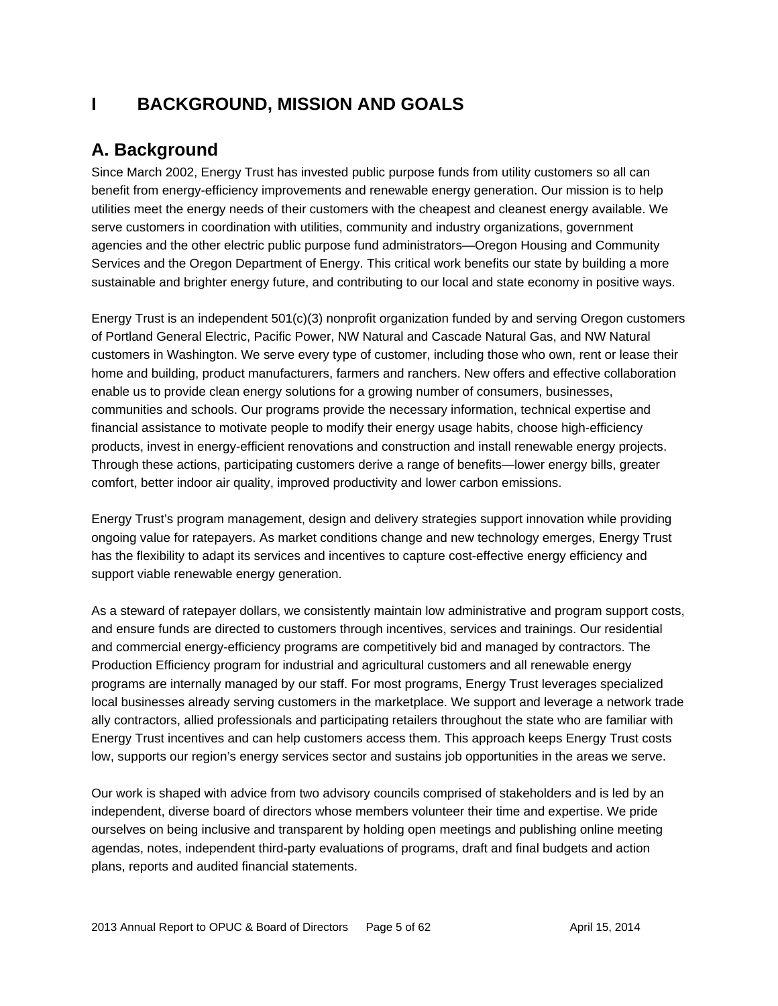# **I BACKGROUND, MISSION AND GOALS**

# **A. Background**

Since March 2002, Energy Trust has invested public purpose funds from utility customers so all can benefit from energy-efficiency improvements and renewable energy generation. Our mission is to help utilities meet the energy needs of their customers with the cheapest and cleanest energy available. We serve customers in coordination with utilities, community and industry organizations, government agencies and the other electric public purpose fund administrators—Oregon Housing and Community Services and the Oregon Department of Energy. This critical work benefits our state by building a more sustainable and brighter energy future, and contributing to our local and state economy in positive ways.

Energy Trust is an independent 501(c)(3) nonprofit organization funded by and serving Oregon customers of Portland General Electric, Pacific Power, NW Natural and Cascade Natural Gas, and NW Natural customers in Washington. We serve every type of customer, including those who own, rent or lease their home and building, product manufacturers, farmers and ranchers. New offers and effective collaboration enable us to provide clean energy solutions for a growing number of consumers, businesses, communities and schools. Our programs provide the necessary information, technical expertise and financial assistance to motivate people to modify their energy usage habits, choose high-efficiency products, invest in energy-efficient renovations and construction and install renewable energy projects. Through these actions, participating customers derive a range of benefits—lower energy bills, greater comfort, better indoor air quality, improved productivity and lower carbon emissions.

Energy Trust's program management, design and delivery strategies support innovation while providing ongoing value for ratepayers. As market conditions change and new technology emerges, Energy Trust has the flexibility to adapt its services and incentives to capture cost-effective energy efficiency and support viable renewable energy generation.

As a steward of ratepayer dollars, we consistently maintain low administrative and program support costs, and ensure funds are directed to customers through incentives, services and trainings. Our residential and commercial energy-efficiency programs are competitively bid and managed by contractors. The Production Efficiency program for industrial and agricultural customers and all renewable energy programs are internally managed by our staff. For most programs, Energy Trust leverages specialized local businesses already serving customers in the marketplace. We support and leverage a network trade ally contractors, allied professionals and participating retailers throughout the state who are familiar with Energy Trust incentives and can help customers access them. This approach keeps Energy Trust costs low, supports our region's energy services sector and sustains job opportunities in the areas we serve.

Our work is shaped with advice from two advisory councils comprised of stakeholders and is led by an independent, diverse board of directors whose members volunteer their time and expertise. We pride ourselves on being inclusive and transparent by holding open meetings and publishing online meeting agendas, notes, independent third-party evaluations of programs, draft and final budgets and action plans, reports and audited financial statements.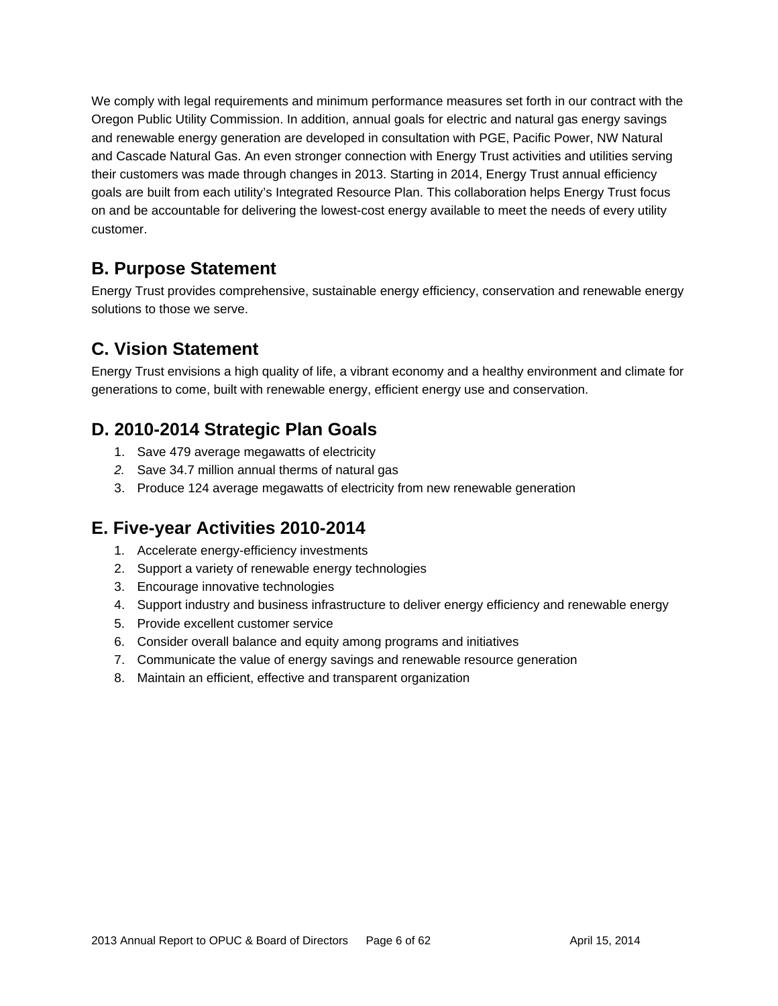We comply with legal requirements and minimum performance measures set forth in our contract with the Oregon Public Utility Commission. In addition, annual goals for electric and natural gas energy savings and renewable energy generation are developed in consultation with PGE, Pacific Power, NW Natural and Cascade Natural Gas. An even stronger connection with Energy Trust activities and utilities serving their customers was made through changes in 2013. Starting in 2014, Energy Trust annual efficiency goals are built from each utility's Integrated Resource Plan. This collaboration helps Energy Trust focus on and be accountable for delivering the lowest-cost energy available to meet the needs of every utility customer.

### **B. Purpose Statement**

Energy Trust provides comprehensive, sustainable energy efficiency, conservation and renewable energy solutions to those we serve.

# **C. Vision Statement**

Energy Trust envisions a high quality of life, a vibrant economy and a healthy environment and climate for generations to come, built with renewable energy, efficient energy use and conservation.

# **D. 2010-2014 Strategic Plan Goals**

- 1. Save 479 average megawatts of electricity
- *2.* Save 34.7 million annual therms of natural gas
- 3. Produce 124 average megawatts of electricity from new renewable generation

### **E. Five-year Activities 2010-2014**

- 1. Accelerate energy-efficiency investments
- 2. Support a variety of renewable energy technologies
- 3. Encourage innovative technologies
- 4. Support industry and business infrastructure to deliver energy efficiency and renewable energy
- 5. Provide excellent customer service
- 6. Consider overall balance and equity among programs and initiatives
- 7. Communicate the value of energy savings and renewable resource generation
- 8. Maintain an efficient, effective and transparent organization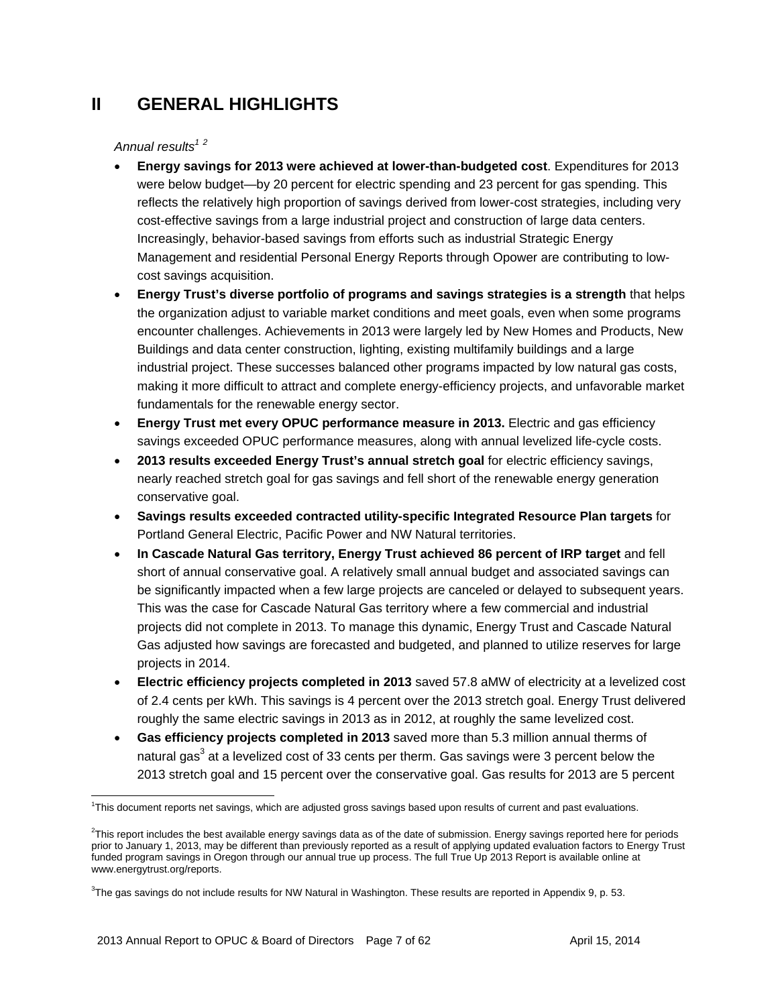# **II GENERAL HIGHLIGHTS**

### Annual results<sup>12</sup>

- **Energy savings for 2013 were achieved at lower-than-budgeted cost**. Expenditures for 2013 were below budget—by 20 percent for electric spending and 23 percent for gas spending. This reflects the relatively high proportion of savings derived from lower-cost strategies, including very cost-effective savings from a large industrial project and construction of large data centers. Increasingly, behavior-based savings from efforts such as industrial Strategic Energy Management and residential Personal Energy Reports through Opower are contributing to lowcost savings acquisition.
- **Energy Trust's diverse portfolio of programs and savings strategies is a strength** that helps the organization adjust to variable market conditions and meet goals, even when some programs encounter challenges. Achievements in 2013 were largely led by New Homes and Products, New Buildings and data center construction, lighting, existing multifamily buildings and a large industrial project. These successes balanced other programs impacted by low natural gas costs, making it more difficult to attract and complete energy-efficiency projects, and unfavorable market fundamentals for the renewable energy sector.
- **Energy Trust met every OPUC performance measure in 2013.** Electric and gas efficiency savings exceeded OPUC performance measures, along with annual levelized life-cycle costs.
- **2013 results exceeded Energy Trust's annual stretch goal** for electric efficiency savings, nearly reached stretch goal for gas savings and fell short of the renewable energy generation conservative goal.
- **Savings results exceeded contracted utility-specific Integrated Resource Plan targets** for Portland General Electric, Pacific Power and NW Natural territories.
- **In Cascade Natural Gas territory, Energy Trust achieved 86 percent of IRP target** and fell short of annual conservative goal. A relatively small annual budget and associated savings can be significantly impacted when a few large projects are canceled or delayed to subsequent years. This was the case for Cascade Natural Gas territory where a few commercial and industrial projects did not complete in 2013. To manage this dynamic, Energy Trust and Cascade Natural Gas adjusted how savings are forecasted and budgeted, and planned to utilize reserves for large projects in 2014.
- **Electric efficiency projects completed in 2013** saved 57.8 aMW of electricity at a levelized cost of 2.4 cents per kWh. This savings is 4 percent over the 2013 stretch goal. Energy Trust delivered roughly the same electric savings in 2013 as in 2012, at roughly the same levelized cost.
- **Gas efficiency projects completed in 2013** saved more than 5.3 million annual therms of natural gas $^3$  at a levelized cost of 33 cents per therm. Gas savings were 3 percent below the 2013 stretch goal and 15 percent over the conservative goal. Gas results for 2013 are 5 percent

<sup>1</sup> This document reports net savings, which are adjusted gross savings based upon results of current and past evaluations.

 $2$ This report includes the best available energy savings data as of the date of submission. Energy savings reported here for periods prior to January 1, 2013, may be different than previously reported as a result of applying updated evaluation factors to Energy Trust funded program savings in Oregon through our annual true up process. The full True Up 2013 Report is available online at www.energytrust.org/reports.

<sup>3</sup> The gas savings do not include results for NW Natural in Washington. These results are reported in Appendix 9, p. 53.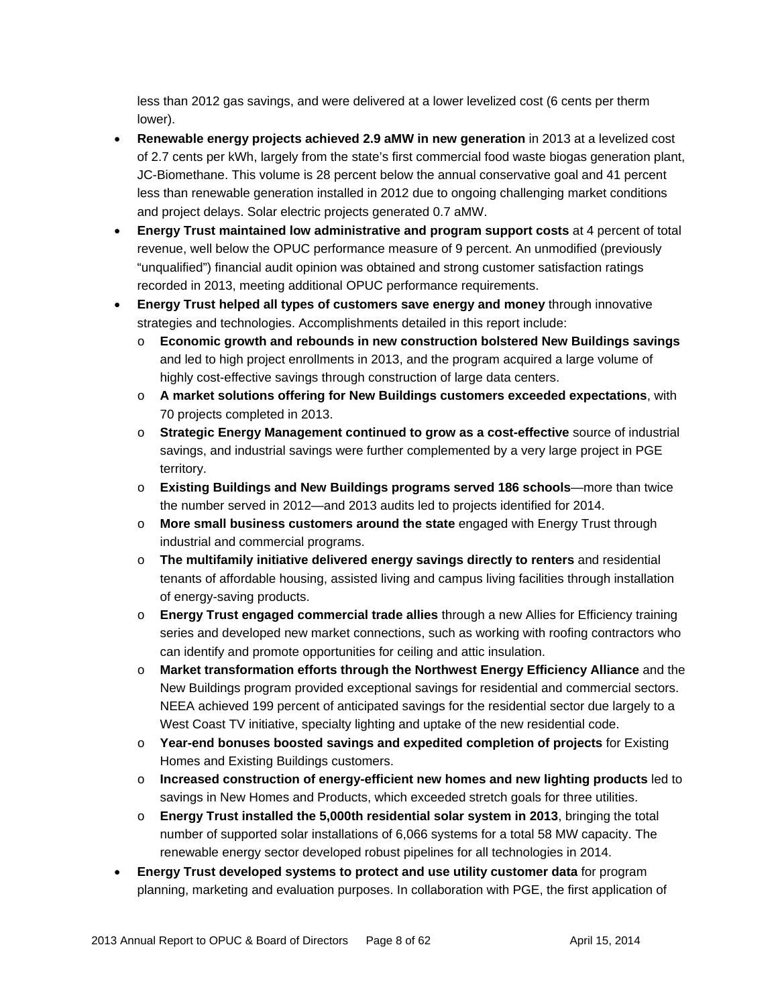less than 2012 gas savings, and were delivered at a lower levelized cost (6 cents per therm lower).

- **Renewable energy projects achieved 2.9 aMW in new generation** in 2013 at a levelized cost of 2.7 cents per kWh, largely from the state's first commercial food waste biogas generation plant, JC-Biomethane. This volume is 28 percent below the annual conservative goal and 41 percent less than renewable generation installed in 2012 due to ongoing challenging market conditions and project delays. Solar electric projects generated 0.7 aMW.
- **Energy Trust maintained low administrative and program support costs** at 4 percent of total revenue, well below the OPUC performance measure of 9 percent. An unmodified (previously "unqualified") financial audit opinion was obtained and strong customer satisfaction ratings recorded in 2013, meeting additional OPUC performance requirements.
- **Energy Trust helped all types of customers save energy and money** through innovative strategies and technologies. Accomplishments detailed in this report include:
	- o **Economic growth and rebounds in new construction bolstered New Buildings savings** and led to high project enrollments in 2013, and the program acquired a large volume of highly cost-effective savings through construction of large data centers.
	- o **A market solutions offering for New Buildings customers exceeded expectations**, with 70 projects completed in 2013.
	- o **Strategic Energy Management continued to grow as a cost-effective** source of industrial savings, and industrial savings were further complemented by a very large project in PGE territory.
	- o **Existing Buildings and New Buildings programs served 186 schools**—more than twice the number served in 2012—and 2013 audits led to projects identified for 2014.
	- o **More small business customers around the state** engaged with Energy Trust through industrial and commercial programs.
	- o **The multifamily initiative delivered energy savings directly to renters** and residential tenants of affordable housing, assisted living and campus living facilities through installation of energy-saving products.
	- o **Energy Trust engaged commercial trade allies** through a new Allies for Efficiency training series and developed new market connections, such as working with roofing contractors who can identify and promote opportunities for ceiling and attic insulation.
	- o **Market transformation efforts through the Northwest Energy Efficiency Alliance** and the New Buildings program provided exceptional savings for residential and commercial sectors. NEEA achieved 199 percent of anticipated savings for the residential sector due largely to a West Coast TV initiative, specialty lighting and uptake of the new residential code.
	- o **Year-end bonuses boosted savings and expedited completion of projects** for Existing Homes and Existing Buildings customers.
	- o **Increased construction of energy-efficient new homes and new lighting products** led to savings in New Homes and Products, which exceeded stretch goals for three utilities.
	- o **Energy Trust installed the 5,000th residential solar system in 2013**, bringing the total number of supported solar installations of 6,066 systems for a total 58 MW capacity. The renewable energy sector developed robust pipelines for all technologies in 2014.
- **Energy Trust developed systems to protect and use utility customer data** for program planning, marketing and evaluation purposes. In collaboration with PGE, the first application of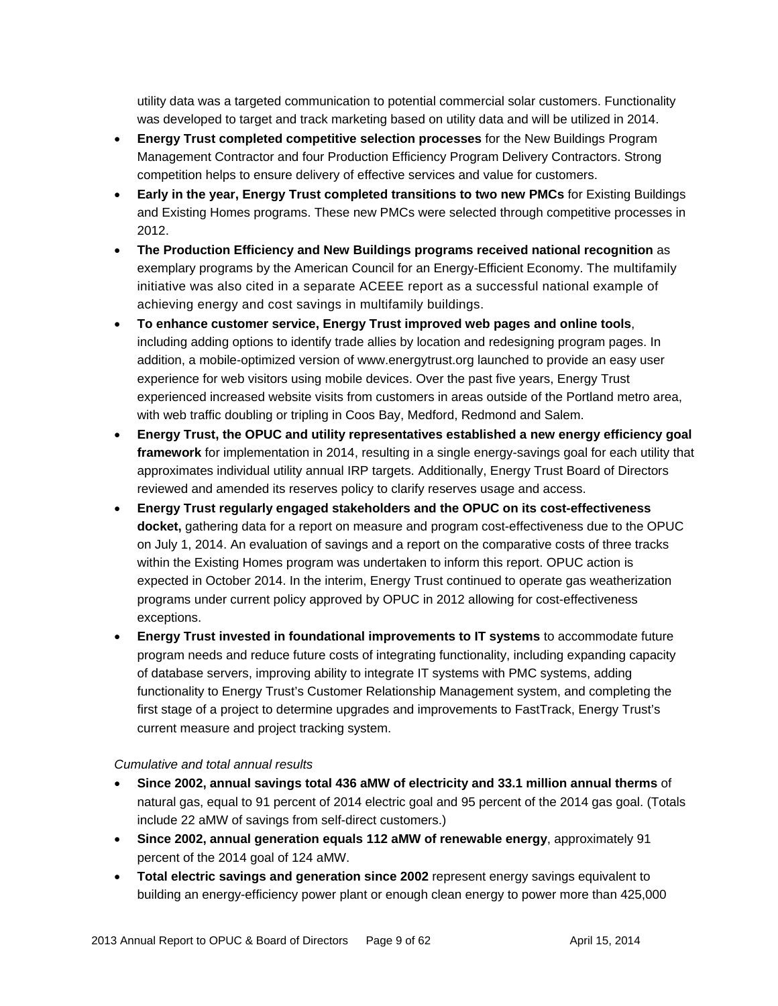utility data was a targeted communication to potential commercial solar customers. Functionality was developed to target and track marketing based on utility data and will be utilized in 2014.

- **Energy Trust completed competitive selection processes** for the New Buildings Program Management Contractor and four Production Efficiency Program Delivery Contractors. Strong competition helps to ensure delivery of effective services and value for customers.
- **Early in the year, Energy Trust completed transitions to two new PMCs** for Existing Buildings and Existing Homes programs. These new PMCs were selected through competitive processes in 2012.
- **The Production Efficiency and New Buildings programs received national recognition** as exemplary programs by the American Council for an Energy-Efficient Economy. The multifamily initiative was also cited in a separate ACEEE report as a successful national example of achieving energy and cost savings in multifamily buildings.
- **To enhance customer service, Energy Trust improved web pages and online tools**, including adding options to identify trade allies by location and redesigning program pages. In addition, a mobile-optimized version of www.energytrust.org launched to provide an easy user experience for web visitors using mobile devices. Over the past five years, Energy Trust experienced increased website visits from customers in areas outside of the Portland metro area, with web traffic doubling or tripling in Coos Bay, Medford, Redmond and Salem.
- **Energy Trust, the OPUC and utility representatives established a new energy efficiency goal framework** for implementation in 2014, resulting in a single energy-savings goal for each utility that approximates individual utility annual IRP targets. Additionally, Energy Trust Board of Directors reviewed and amended its reserves policy to clarify reserves usage and access.
- **Energy Trust regularly engaged stakeholders and the OPUC on its cost-effectiveness docket,** gathering data for a report on measure and program cost-effectiveness due to the OPUC on July 1, 2014. An evaluation of savings and a report on the comparative costs of three tracks within the Existing Homes program was undertaken to inform this report. OPUC action is expected in October 2014. In the interim, Energy Trust continued to operate gas weatherization programs under current policy approved by OPUC in 2012 allowing for cost-effectiveness exceptions.
- **Energy Trust invested in foundational improvements to IT systems** to accommodate future program needs and reduce future costs of integrating functionality, including expanding capacity of database servers, improving ability to integrate IT systems with PMC systems, adding functionality to Energy Trust's Customer Relationship Management system, and completing the first stage of a project to determine upgrades and improvements to FastTrack, Energy Trust's current measure and project tracking system.

#### *Cumulative and total annual results*

- **Since 2002, annual savings total 436 aMW of electricity and 33.1 million annual therms** of natural gas, equal to 91 percent of 2014 electric goal and 95 percent of the 2014 gas goal. (Totals include 22 aMW of savings from self-direct customers.)
- **Since 2002, annual generation equals 112 aMW of renewable energy**, approximately 91 percent of the 2014 goal of 124 aMW.
- **Total electric savings and generation since 2002** represent energy savings equivalent to building an energy-efficiency power plant or enough clean energy to power more than 425,000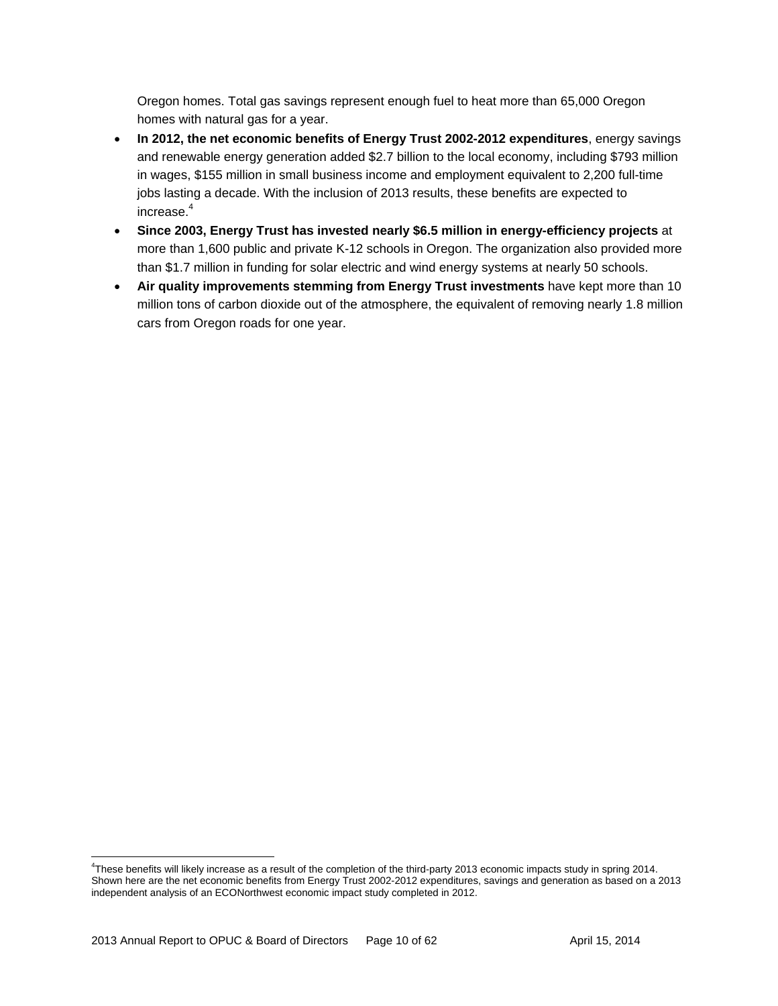Oregon homes. Total gas savings represent enough fuel to heat more than 65,000 Oregon homes with natural gas for a year.

- **In 2012, the net economic benefits of Energy Trust 2002-2012 expenditures**, energy savings and renewable energy generation added \$2.7 billion to the local economy, including \$793 million in wages, \$155 million in small business income and employment equivalent to 2,200 full-time jobs lasting a decade. With the inclusion of 2013 results, these benefits are expected to increase.4
- **Since 2003, Energy Trust has invested nearly \$6.5 million in energy-efficiency projects** at more than 1,600 public and private K-12 schools in Oregon. The organization also provided more than \$1.7 million in funding for solar electric and wind energy systems at nearly 50 schools.
- **Air quality improvements stemming from Energy Trust investments** have kept more than 10 million tons of carbon dioxide out of the atmosphere, the equivalent of removing nearly 1.8 million cars from Oregon roads for one year.

<sup>4</sup> These benefits will likely increase as a result of the completion of the third-party 2013 economic impacts study in spring 2014. Shown here are the net economic benefits from Energy Trust 2002-2012 expenditures, savings and generation as based on a 2013 independent analysis of an ECONorthwest economic impact study completed in 2012.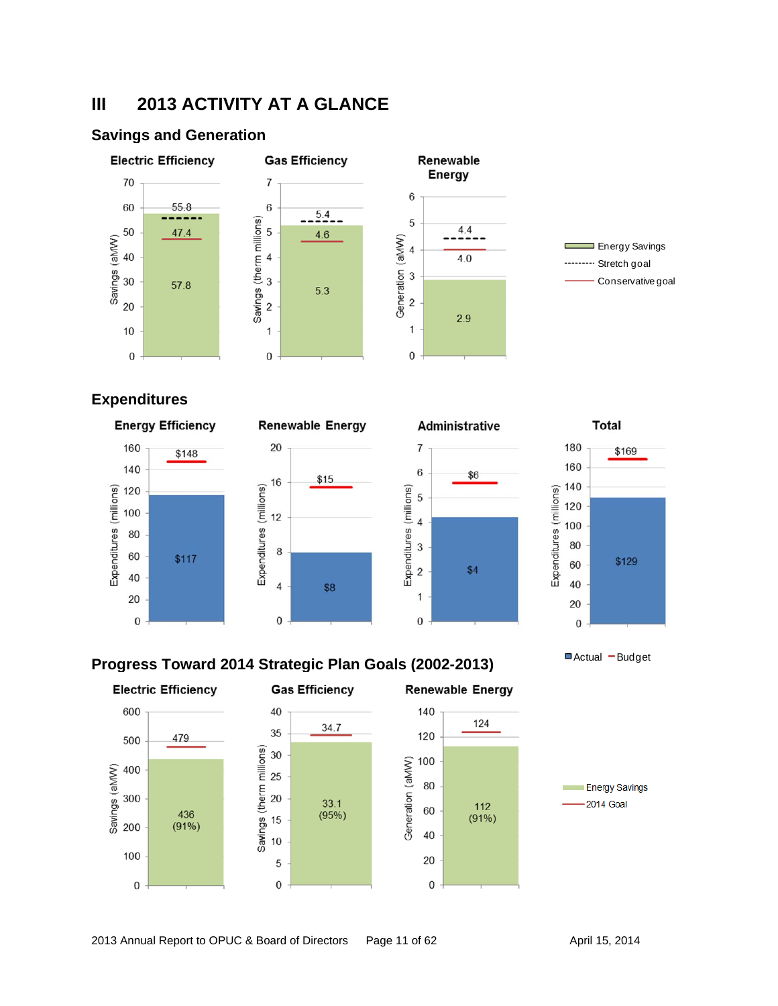# **III 2013 ACTIVITY AT A GLANCE**

### **Savings and Generation**



# **Expenditures**









Actual - Budget

### **Progress Toward 2014 Strategic Plan Goals (2002-2013)**

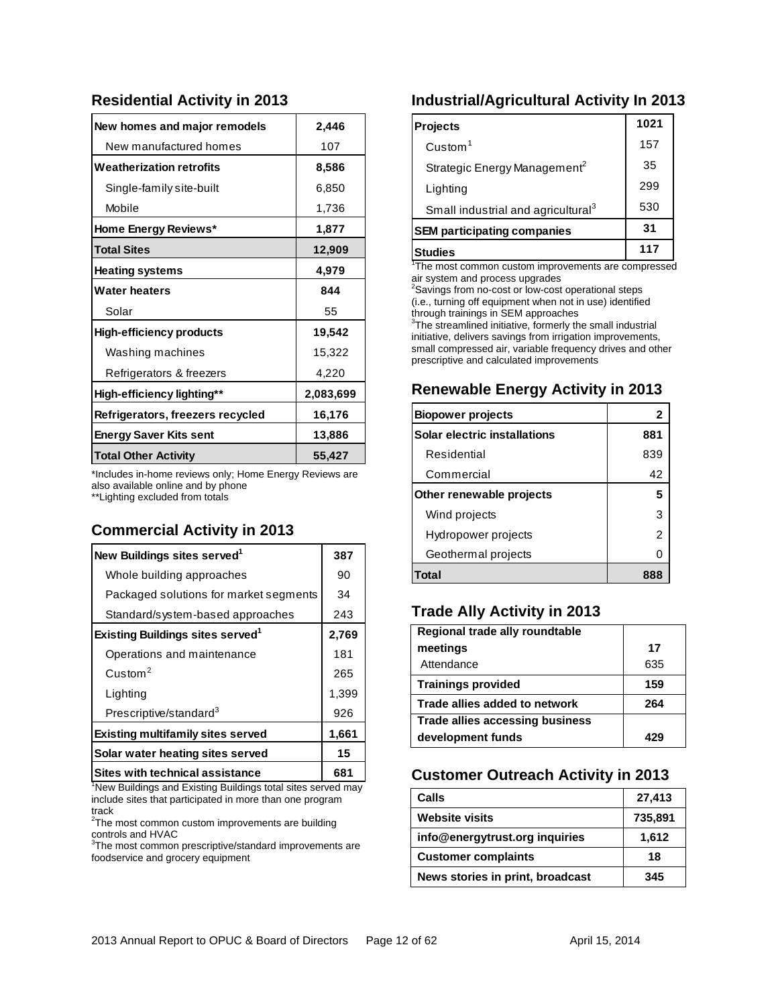#### **Residential Activity in 2013**

| New homes and major remodels     | 2,446     |
|----------------------------------|-----------|
| New manufactured homes           | 107       |
| <b>Weatherization retrofits</b>  | 8,586     |
| Single-family site-built         | 6,850     |
| Mobile                           | 1,736     |
| Home Energy Reviews*             | 1,877     |
| <b>Total Sites</b>               | 12,909    |
| <b>Heating systems</b>           | 4,979     |
| <b>Water heaters</b>             | 844       |
| Solar                            | 55        |
| <b>High-efficiency products</b>  | 19,542    |
| Washing machines                 | 15,322    |
| Refrigerators & freezers         | 4,220     |
| High-efficiency lighting**       | 2,083,699 |
| Refrigerators, freezers recycled | 16,176    |
| <b>Energy Saver Kits sent</b>    | 13,886    |
| <b>Total Other Activity</b>      | 55,427    |

\*Includes in-home reviews only; Home Energy Reviews are also available online and by phone \*\*Lighting excluded from totals

### **Commercial Activity in 2013**

| New Buildings sites served <sup>1</sup>  | 387   |
|------------------------------------------|-------|
| Whole building approaches                | 90    |
| Packaged solutions for market segments   | 34    |
| Standard/system-based approaches         | 243   |
| <b>Existing Buildings sites served</b>   | 2,769 |
| Operations and maintenance               | 181   |
| $C$ ustom <sup>2</sup>                   | 265   |
| Lighting                                 | 1,399 |
| Prescriptive/standard <sup>3</sup>       | 926   |
| <b>Existing multifamily sites served</b> | 1,661 |
| Solar water heating sites served         | 15    |
| <b>Sites with technical assistance</b>   | 681   |

<sup>1</sup>New Buildings and Existing Buildings total sites served may include sites that participated in more than one program track

 $2$ The most common custom improvements are building

controls and HVAC<br><sup>3</sup>The most common prescriptive/standard improvements are foodservice and grocery equipment

### **Industrial/Agricultural Activity In 2013**

| Projects                                       | 1021 |
|------------------------------------------------|------|
| $C$ ustom $1$                                  | 157  |
| Strategic Energy Management <sup>2</sup>       | 35   |
| Lighting                                       | 299  |
| Small industrial and agricultural <sup>3</sup> | 530  |
| <b>SEM participating companies</b>             | 31   |
| Studies                                        | 117  |

<sup>1</sup>The most common custom improvements are compressed air system and process upgrades

<sup>2</sup>Savings from no-cost or low-cost operational steps (i.e., turning off equipment when not in use) identified through trainings in SEM approaches

<sup>3</sup>The streamlined initiative, formerly the small industrial initiative, delivers savings from irrigation improvements, small compressed air, variable frequency drives and other prescriptive and calculated improvements

#### **Renewable Energy Activity in 2013**

| <b>Biopower projects</b>     | 2   |
|------------------------------|-----|
| Solar electric installations | 881 |
| Residential                  | 839 |
| Commercial                   | 42  |
| Other renewable projects     | 5   |
| Wind projects                | З   |
| Hydropower projects          | 2   |
| Geothermal projects          |     |
|                              |     |

### **Trade Ally Activity in 2013**

| Regional trade ally roundtable  |     |
|---------------------------------|-----|
| meetings                        | 17  |
| Attendance                      | 635 |
| <b>Trainings provided</b>       | 159 |
| Trade allies added to network   | 264 |
| Trade allies accessing business |     |
| development funds               |     |

### **Customer Outreach Activity in 2013**

| Calls                            | 27,413  |
|----------------------------------|---------|
| <b>Website visits</b>            | 735,891 |
| info@energytrust.org inquiries   | 1,612   |
| <b>Customer complaints</b>       | 18      |
| News stories in print, broadcast | 345     |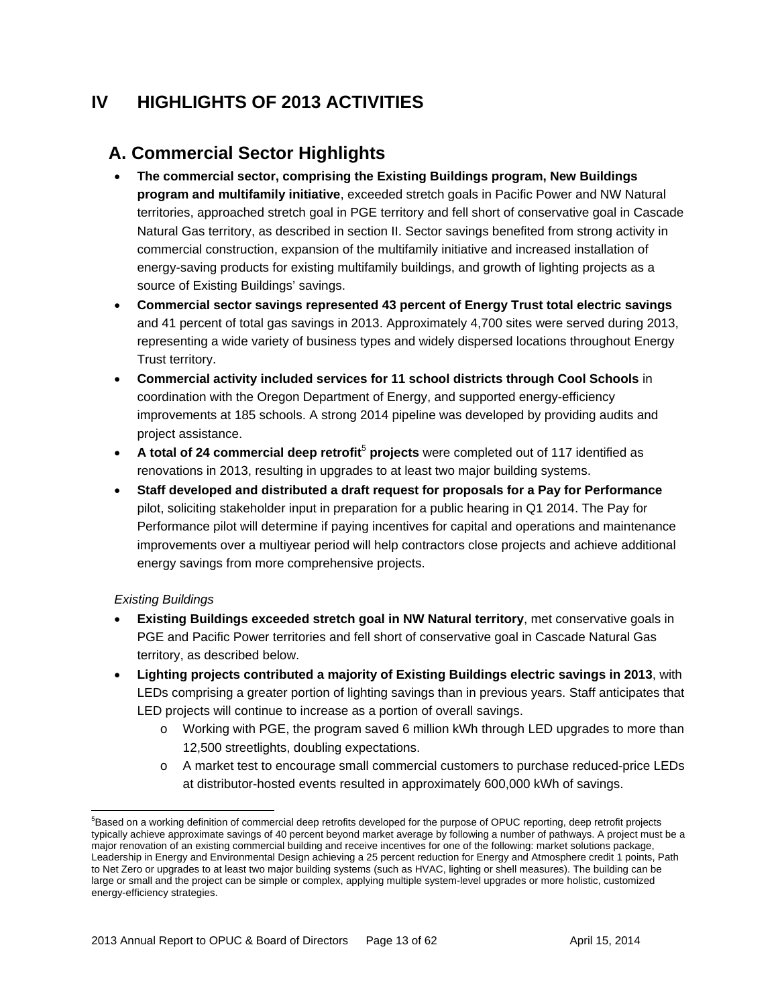# **IV HIGHLIGHTS OF 2013 ACTIVITIES**

# **A. Commercial Sector Highlights**

- **The commercial sector, comprising the Existing Buildings program, New Buildings program and multifamily initiative**, exceeded stretch goals in Pacific Power and NW Natural territories, approached stretch goal in PGE territory and fell short of conservative goal in Cascade Natural Gas territory, as described in section II. Sector savings benefited from strong activity in commercial construction, expansion of the multifamily initiative and increased installation of energy-saving products for existing multifamily buildings, and growth of lighting projects as a source of Existing Buildings' savings.
- **Commercial sector savings represented 43 percent of Energy Trust total electric savings**  and 41 percent of total gas savings in 2013. Approximately 4,700 sites were served during 2013, representing a wide variety of business types and widely dispersed locations throughout Energy Trust territory.
- **Commercial activity included services for 11 school districts through Cool Schools** in coordination with the Oregon Department of Energy, and supported energy-efficiency improvements at 185 schools. A strong 2014 pipeline was developed by providing audits and project assistance.
- **A total of 24 commercial deep retrofit<sup>5</sup> projects** were completed out of 117 identified as renovations in 2013, resulting in upgrades to at least two major building systems.
- **Staff developed and distributed a draft request for proposals for a Pay for Performance**  pilot, soliciting stakeholder input in preparation for a public hearing in Q1 2014. The Pay for Performance pilot will determine if paying incentives for capital and operations and maintenance improvements over a multiyear period will help contractors close projects and achieve additional energy savings from more comprehensive projects.

#### *Existing Buildings*

- **Existing Buildings exceeded stretch goal in NW Natural territory**, met conservative goals in PGE and Pacific Power territories and fell short of conservative goal in Cascade Natural Gas territory, as described below.
- **Lighting projects contributed a majority of Existing Buildings electric savings in 2013**, with LEDs comprising a greater portion of lighting savings than in previous years. Staff anticipates that LED projects will continue to increase as a portion of overall savings.
	- o Working with PGE, the program saved 6 million kWh through LED upgrades to more than 12,500 streetlights, doubling expectations.
	- o A market test to encourage small commercial customers to purchase reduced-price LEDs at distributor-hosted events resulted in approximately 600,000 kWh of savings.

 <sup>5</sup>Based on a working definition of commercial deep retrofits developed for the purpose of OPUC reporting, deep retrofit projects typically achieve approximate savings of 40 percent beyond market average by following a number of pathways. A project must be a major renovation of an existing commercial building and receive incentives for one of the following: market solutions package, Leadership in Energy and Environmental Design achieving a 25 percent reduction for Energy and Atmosphere credit 1 points, Path to Net Zero or upgrades to at least two major building systems (such as HVAC, lighting or shell measures). The building can be large or small and the project can be simple or complex, applying multiple system-level upgrades or more holistic, customized energy-efficiency strategies.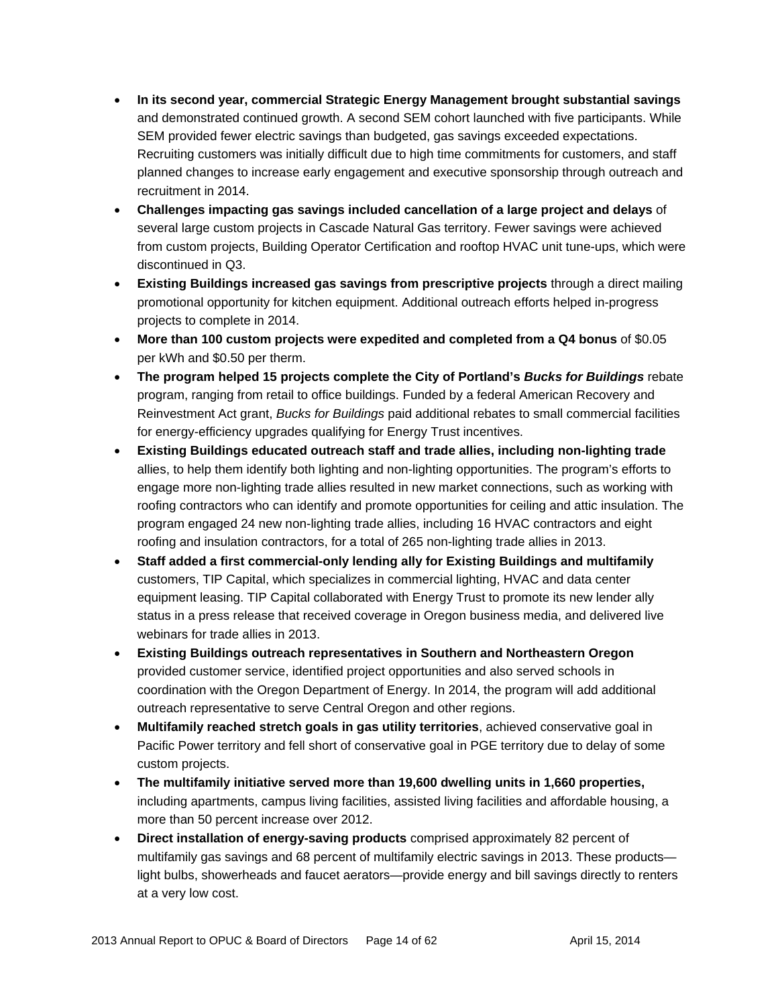- **In its second year, commercial Strategic Energy Management brought substantial savings**  and demonstrated continued growth. A second SEM cohort launched with five participants. While SEM provided fewer electric savings than budgeted, gas savings exceeded expectations. Recruiting customers was initially difficult due to high time commitments for customers, and staff planned changes to increase early engagement and executive sponsorship through outreach and recruitment in 2014.
- **Challenges impacting gas savings included cancellation of a large project and delays** of several large custom projects in Cascade Natural Gas territory. Fewer savings were achieved from custom projects, Building Operator Certification and rooftop HVAC unit tune-ups, which were discontinued in Q3.
- **Existing Buildings increased gas savings from prescriptive projects** through a direct mailing promotional opportunity for kitchen equipment. Additional outreach efforts helped in-progress projects to complete in 2014.
- **More than 100 custom projects were expedited and completed from a Q4 bonus** of \$0.05 per kWh and \$0.50 per therm.
- **The program helped 15 projects complete the City of Portland's** *Bucks for Buildings* rebate program, ranging from retail to office buildings. Funded by a federal American Recovery and Reinvestment Act grant, *Bucks for Buildings* paid additional rebates to small commercial facilities for energy-efficiency upgrades qualifying for Energy Trust incentives.
- **Existing Buildings educated outreach staff and trade allies, including non-lighting trade**  allies, to help them identify both lighting and non-lighting opportunities. The program's efforts to engage more non-lighting trade allies resulted in new market connections, such as working with roofing contractors who can identify and promote opportunities for ceiling and attic insulation. The program engaged 24 new non-lighting trade allies, including 16 HVAC contractors and eight roofing and insulation contractors, for a total of 265 non-lighting trade allies in 2013.
- **Staff added a first commercial-only lending ally for Existing Buildings and multifamily**  customers, TIP Capital, which specializes in commercial lighting, HVAC and data center equipment leasing. TIP Capital collaborated with Energy Trust to promote its new lender ally status in a press release that received coverage in Oregon business media, and delivered live webinars for trade allies in 2013.
- **Existing Buildings outreach representatives in Southern and Northeastern Oregon** provided customer service, identified project opportunities and also served schools in coordination with the Oregon Department of Energy. In 2014, the program will add additional outreach representative to serve Central Oregon and other regions.
- **Multifamily reached stretch goals in gas utility territories**, achieved conservative goal in Pacific Power territory and fell short of conservative goal in PGE territory due to delay of some custom projects.
- **The multifamily initiative served more than 19,600 dwelling units in 1,660 properties,**  including apartments, campus living facilities, assisted living facilities and affordable housing, a more than 50 percent increase over 2012.
- **Direct installation of energy-saving products** comprised approximately 82 percent of multifamily gas savings and 68 percent of multifamily electric savings in 2013. These products light bulbs, showerheads and faucet aerators—provide energy and bill savings directly to renters at a very low cost.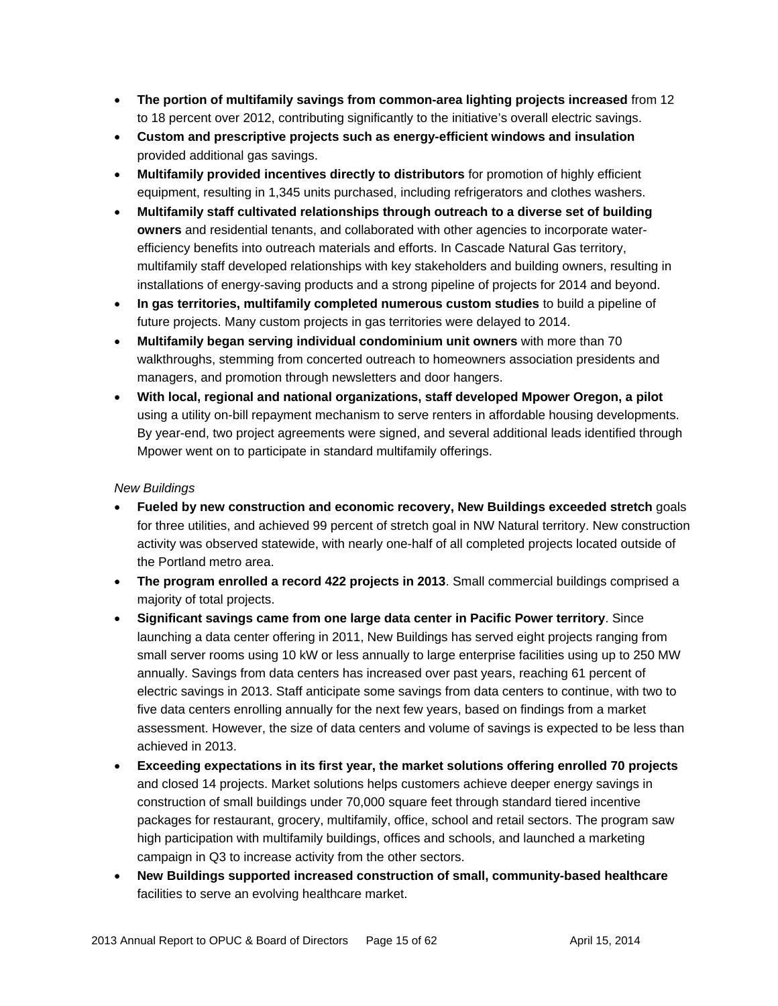- **The portion of multifamily savings from common-area lighting projects increased** from 12 to 18 percent over 2012, contributing significantly to the initiative's overall electric savings.
- **Custom and prescriptive projects such as energy-efficient windows and insulation** provided additional gas savings.
- **Multifamily provided incentives directly to distributors** for promotion of highly efficient equipment, resulting in 1,345 units purchased, including refrigerators and clothes washers.
- **Multifamily staff cultivated relationships through outreach to a diverse set of building owners** and residential tenants, and collaborated with other agencies to incorporate waterefficiency benefits into outreach materials and efforts. In Cascade Natural Gas territory, multifamily staff developed relationships with key stakeholders and building owners, resulting in installations of energy-saving products and a strong pipeline of projects for 2014 and beyond.
- **In gas territories, multifamily completed numerous custom studies** to build a pipeline of future projects. Many custom projects in gas territories were delayed to 2014.
- **Multifamily began serving individual condominium unit owners** with more than 70 walkthroughs, stemming from concerted outreach to homeowners association presidents and managers, and promotion through newsletters and door hangers.
- **With local, regional and national organizations, staff developed Mpower Oregon, a pilot**  using a utility on-bill repayment mechanism to serve renters in affordable housing developments. By year-end, two project agreements were signed, and several additional leads identified through Mpower went on to participate in standard multifamily offerings.

#### *New Buildings*

- **Fueled by new construction and economic recovery, New Buildings exceeded stretch** goals for three utilities, and achieved 99 percent of stretch goal in NW Natural territory. New construction activity was observed statewide, with nearly one-half of all completed projects located outside of the Portland metro area.
- **The program enrolled a record 422 projects in 2013**. Small commercial buildings comprised a majority of total projects.
- **Significant savings came from one large data center in Pacific Power territory**. Since launching a data center offering in 2011, New Buildings has served eight projects ranging from small server rooms using 10 kW or less annually to large enterprise facilities using up to 250 MW annually. Savings from data centers has increased over past years, reaching 61 percent of electric savings in 2013. Staff anticipate some savings from data centers to continue, with two to five data centers enrolling annually for the next few years, based on findings from a market assessment. However, the size of data centers and volume of savings is expected to be less than achieved in 2013.
- **Exceeding expectations in its first year, the market solutions offering enrolled 70 projects**  and closed 14 projects. Market solutions helps customers achieve deeper energy savings in construction of small buildings under 70,000 square feet through standard tiered incentive packages for restaurant, grocery, multifamily, office, school and retail sectors. The program saw high participation with multifamily buildings, offices and schools, and launched a marketing campaign in Q3 to increase activity from the other sectors.
- **New Buildings supported increased construction of small, community-based healthcare**  facilities to serve an evolving healthcare market.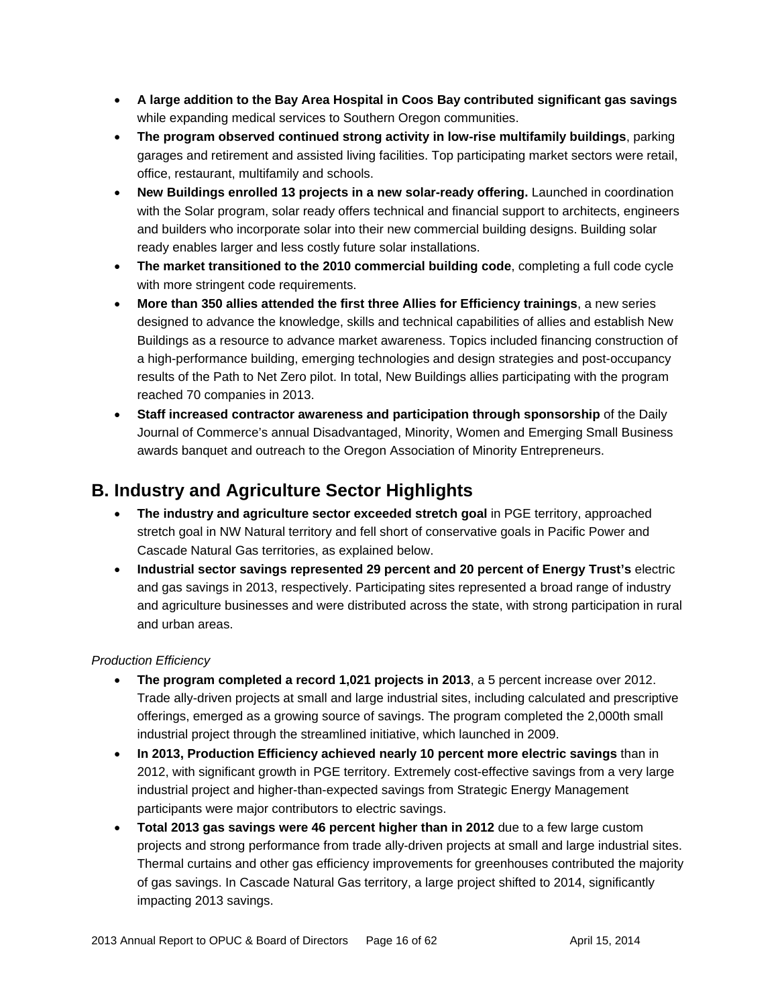- **A large addition to the Bay Area Hospital in Coos Bay contributed significant gas savings** while expanding medical services to Southern Oregon communities.
- **The program observed continued strong activity in low-rise multifamily buildings**, parking garages and retirement and assisted living facilities. Top participating market sectors were retail, office, restaurant, multifamily and schools.
- **New Buildings enrolled 13 projects in a new solar-ready offering.** Launched in coordination with the Solar program, solar ready offers technical and financial support to architects, engineers and builders who incorporate solar into their new commercial building designs. Building solar ready enables larger and less costly future solar installations.
- **The market transitioned to the 2010 commercial building code**, completing a full code cycle with more stringent code requirements.
- **More than 350 allies attended the first three Allies for Efficiency trainings**, a new series designed to advance the knowledge, skills and technical capabilities of allies and establish New Buildings as a resource to advance market awareness. Topics included financing construction of a high-performance building, emerging technologies and design strategies and post-occupancy results of the Path to Net Zero pilot. In total, New Buildings allies participating with the program reached 70 companies in 2013.
- **Staff increased contractor awareness and participation through sponsorship** of the Daily Journal of Commerce's annual Disadvantaged, Minority, Women and Emerging Small Business awards banquet and outreach to the Oregon Association of Minority Entrepreneurs.

# **B. Industry and Agriculture Sector Highlights**

- **The industry and agriculture sector exceeded stretch goal** in PGE territory, approached stretch goal in NW Natural territory and fell short of conservative goals in Pacific Power and Cascade Natural Gas territories, as explained below.
- **Industrial sector savings represented 29 percent and 20 percent of Energy Trust's** electric and gas savings in 2013, respectively. Participating sites represented a broad range of industry and agriculture businesses and were distributed across the state, with strong participation in rural and urban areas.

#### *Production Efficiency*

- **The program completed a record 1,021 projects in 2013**, a 5 percent increase over 2012. Trade ally-driven projects at small and large industrial sites, including calculated and prescriptive offerings, emerged as a growing source of savings. The program completed the 2,000th small industrial project through the streamlined initiative, which launched in 2009.
- **In 2013, Production Efficiency achieved nearly 10 percent more electric savings** than in 2012, with significant growth in PGE territory. Extremely cost-effective savings from a very large industrial project and higher-than-expected savings from Strategic Energy Management participants were major contributors to electric savings.
- **Total 2013 gas savings were 46 percent higher than in 2012** due to a few large custom projects and strong performance from trade ally-driven projects at small and large industrial sites. Thermal curtains and other gas efficiency improvements for greenhouses contributed the majority of gas savings. In Cascade Natural Gas territory, a large project shifted to 2014, significantly impacting 2013 savings.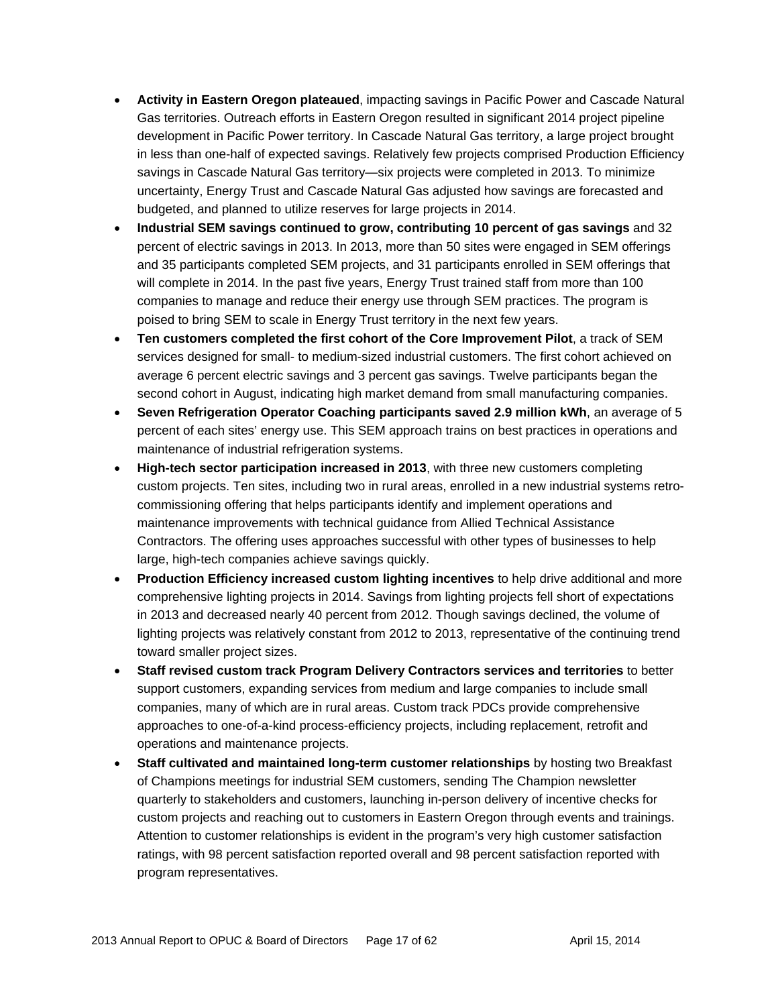- **Activity in Eastern Oregon plateaued**, impacting savings in Pacific Power and Cascade Natural Gas territories. Outreach efforts in Eastern Oregon resulted in significant 2014 project pipeline development in Pacific Power territory. In Cascade Natural Gas territory, a large project brought in less than one-half of expected savings. Relatively few projects comprised Production Efficiency savings in Cascade Natural Gas territory—six projects were completed in 2013. To minimize uncertainty, Energy Trust and Cascade Natural Gas adjusted how savings are forecasted and budgeted, and planned to utilize reserves for large projects in 2014.
- **Industrial SEM savings continued to grow, contributing 10 percent of gas savings** and 32 percent of electric savings in 2013. In 2013, more than 50 sites were engaged in SEM offerings and 35 participants completed SEM projects, and 31 participants enrolled in SEM offerings that will complete in 2014. In the past five years, Energy Trust trained staff from more than 100 companies to manage and reduce their energy use through SEM practices. The program is poised to bring SEM to scale in Energy Trust territory in the next few years.
- **Ten customers completed the first cohort of the Core Improvement Pilot**, a track of SEM services designed for small- to medium-sized industrial customers. The first cohort achieved on average 6 percent electric savings and 3 percent gas savings. Twelve participants began the second cohort in August, indicating high market demand from small manufacturing companies.
- **Seven Refrigeration Operator Coaching participants saved 2.9 million kWh**, an average of 5 percent of each sites' energy use. This SEM approach trains on best practices in operations and maintenance of industrial refrigeration systems.
- **High-tech sector participation increased in 2013**, with three new customers completing custom projects. Ten sites, including two in rural areas, enrolled in a new industrial systems retrocommissioning offering that helps participants identify and implement operations and maintenance improvements with technical guidance from Allied Technical Assistance Contractors. The offering uses approaches successful with other types of businesses to help large, high-tech companies achieve savings quickly.
- **Production Efficiency increased custom lighting incentives** to help drive additional and more comprehensive lighting projects in 2014. Savings from lighting projects fell short of expectations in 2013 and decreased nearly 40 percent from 2012. Though savings declined, the volume of lighting projects was relatively constant from 2012 to 2013, representative of the continuing trend toward smaller project sizes.
- **Staff revised custom track Program Delivery Contractors services and territories** to better support customers, expanding services from medium and large companies to include small companies, many of which are in rural areas. Custom track PDCs provide comprehensive approaches to one-of-a-kind process-efficiency projects, including replacement, retrofit and operations and maintenance projects.
- **Staff cultivated and maintained long-term customer relationships** by hosting two Breakfast of Champions meetings for industrial SEM customers, sending The Champion newsletter quarterly to stakeholders and customers, launching in-person delivery of incentive checks for custom projects and reaching out to customers in Eastern Oregon through events and trainings. Attention to customer relationships is evident in the program's very high customer satisfaction ratings, with 98 percent satisfaction reported overall and 98 percent satisfaction reported with program representatives.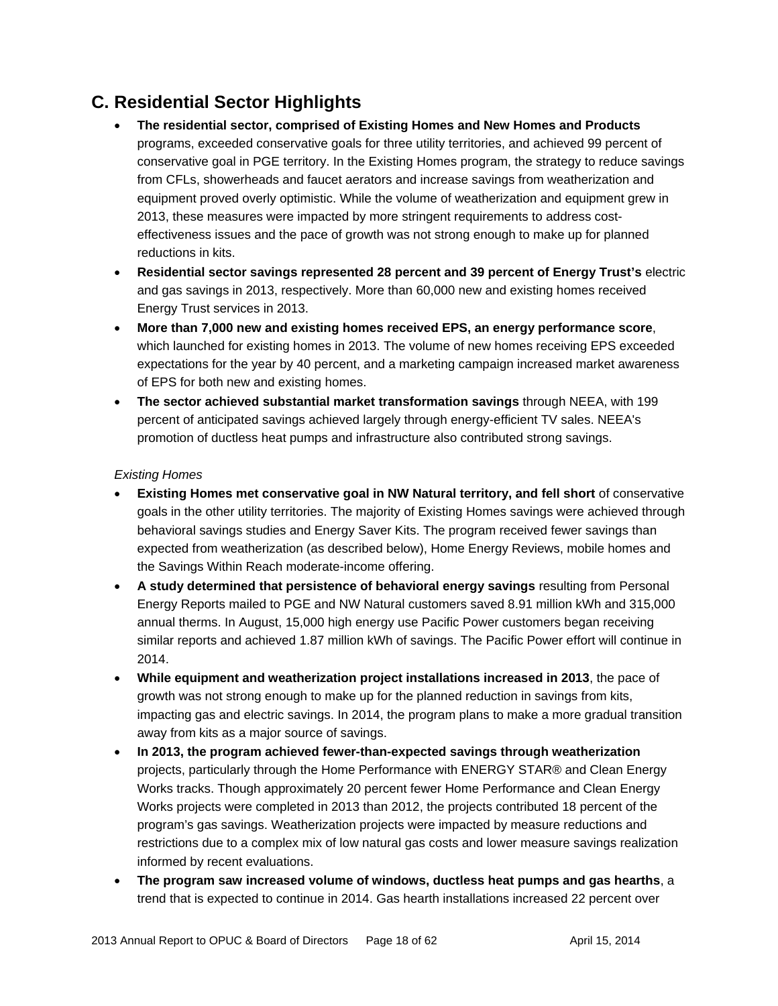# **C. Residential Sector Highlights**

- **The residential sector, comprised of Existing Homes and New Homes and Products**  programs, exceeded conservative goals for three utility territories, and achieved 99 percent of conservative goal in PGE territory. In the Existing Homes program, the strategy to reduce savings from CFLs, showerheads and faucet aerators and increase savings from weatherization and equipment proved overly optimistic. While the volume of weatherization and equipment grew in 2013, these measures were impacted by more stringent requirements to address costeffectiveness issues and the pace of growth was not strong enough to make up for planned reductions in kits.
- **Residential sector savings represented 28 percent and 39 percent of Energy Trust's** electric and gas savings in 2013, respectively. More than 60,000 new and existing homes received Energy Trust services in 2013.
- **More than 7,000 new and existing homes received EPS, an energy performance score**, which launched for existing homes in 2013. The volume of new homes receiving EPS exceeded expectations for the year by 40 percent, and a marketing campaign increased market awareness of EPS for both new and existing homes.
- **The sector achieved substantial market transformation savings** through NEEA, with 199 percent of anticipated savings achieved largely through energy-efficient TV sales. NEEA's promotion of ductless heat pumps and infrastructure also contributed strong savings.

#### *Existing Homes*

- **Existing Homes met conservative goal in NW Natural territory, and fell short** of conservative goals in the other utility territories. The majority of Existing Homes savings were achieved through behavioral savings studies and Energy Saver Kits. The program received fewer savings than expected from weatherization (as described below), Home Energy Reviews, mobile homes and the Savings Within Reach moderate-income offering.
- **A study determined that persistence of behavioral energy savings** resulting from Personal Energy Reports mailed to PGE and NW Natural customers saved 8.91 million kWh and 315,000 annual therms. In August, 15,000 high energy use Pacific Power customers began receiving similar reports and achieved 1.87 million kWh of savings. The Pacific Power effort will continue in 2014.
- **While equipment and weatherization project installations increased in 2013**, the pace of growth was not strong enough to make up for the planned reduction in savings from kits, impacting gas and electric savings. In 2014, the program plans to make a more gradual transition away from kits as a major source of savings.
- **In 2013, the program achieved fewer-than-expected savings through weatherization** projects, particularly through the Home Performance with ENERGY STAR® and Clean Energy Works tracks. Though approximately 20 percent fewer Home Performance and Clean Energy Works projects were completed in 2013 than 2012, the projects contributed 18 percent of the program's gas savings. Weatherization projects were impacted by measure reductions and restrictions due to a complex mix of low natural gas costs and lower measure savings realization informed by recent evaluations.
- **The program saw increased volume of windows, ductless heat pumps and gas hearths**, a trend that is expected to continue in 2014. Gas hearth installations increased 22 percent over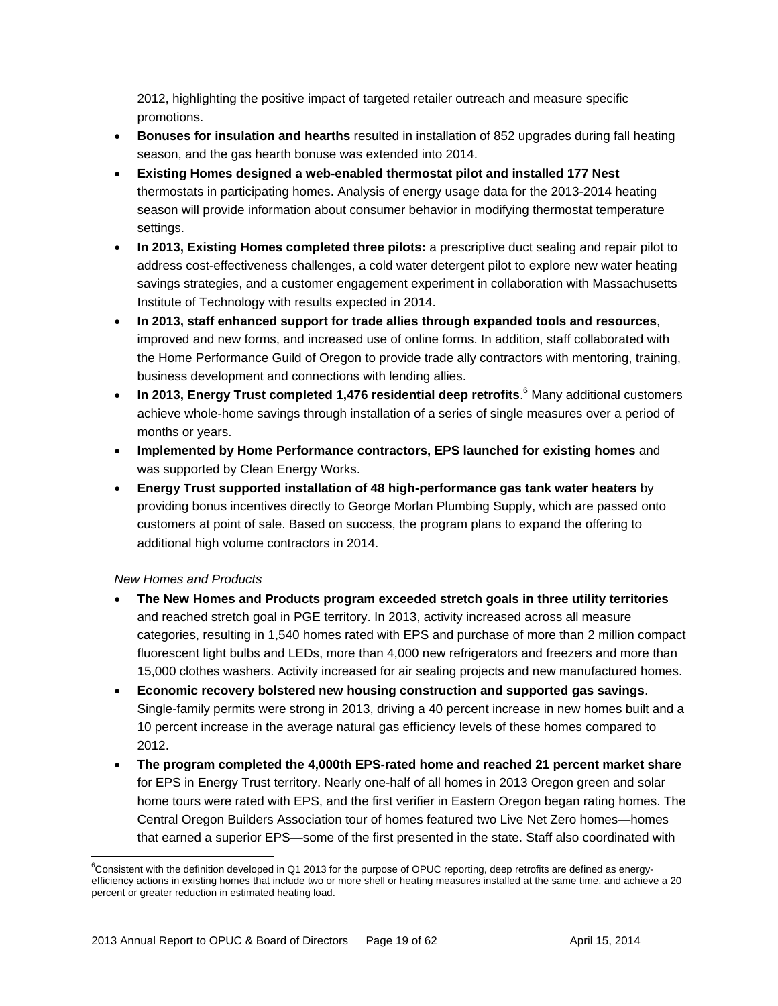2012, highlighting the positive impact of targeted retailer outreach and measure specific promotions.

- **Bonuses for insulation and hearths** resulted in installation of 852 upgrades during fall heating season, and the gas hearth bonuse was extended into 2014.
- **Existing Homes designed a web-enabled thermostat pilot and installed 177 Nest**  thermostats in participating homes. Analysis of energy usage data for the 2013-2014 heating season will provide information about consumer behavior in modifying thermostat temperature settings.
- **In 2013, Existing Homes completed three pilots:** a prescriptive duct sealing and repair pilot to address cost-effectiveness challenges, a cold water detergent pilot to explore new water heating savings strategies, and a customer engagement experiment in collaboration with Massachusetts Institute of Technology with results expected in 2014.
- **In 2013, staff enhanced support for trade allies through expanded tools and resources**, improved and new forms, and increased use of online forms. In addition, staff collaborated with the Home Performance Guild of Oregon to provide trade ally contractors with mentoring, training, business development and connections with lending allies.
- In 2013, Energy Trust completed 1,476 residential deep retrofits.<sup>6</sup> Many additional customers achieve whole-home savings through installation of a series of single measures over a period of months or years.
- **Implemented by Home Performance contractors, EPS launched for existing homes** and was supported by Clean Energy Works.
- **Energy Trust supported installation of 48 high-performance gas tank water heaters** by providing bonus incentives directly to George Morlan Plumbing Supply, which are passed onto customers at point of sale. Based on success, the program plans to expand the offering to additional high volume contractors in 2014.

#### *New Homes and Products*

- **The New Homes and Products program exceeded stretch goals in three utility territories**  and reached stretch goal in PGE territory. In 2013, activity increased across all measure categories, resulting in 1,540 homes rated with EPS and purchase of more than 2 million compact fluorescent light bulbs and LEDs, more than 4,000 new refrigerators and freezers and more than 15,000 clothes washers. Activity increased for air sealing projects and new manufactured homes.
- **Economic recovery bolstered new housing construction and supported gas savings**. Single-family permits were strong in 2013, driving a 40 percent increase in new homes built and a 10 percent increase in the average natural gas efficiency levels of these homes compared to 2012.
- **The program completed the 4,000th EPS-rated home and reached 21 percent market share**  for EPS in Energy Trust territory. Nearly one-half of all homes in 2013 Oregon green and solar home tours were rated with EPS, and the first verifier in Eastern Oregon began rating homes. The Central Oregon Builders Association tour of homes featured two Live Net Zero homes—homes that earned a superior EPS—some of the first presented in the state. Staff also coordinated with

 <sup>6</sup>Consistent with the definition developed in Q1 2013 for the purpose of OPUC reporting, deep retrofits are defined as energyefficiency actions in existing homes that include two or more shell or heating measures installed at the same time, and achieve a 20 percent or greater reduction in estimated heating load.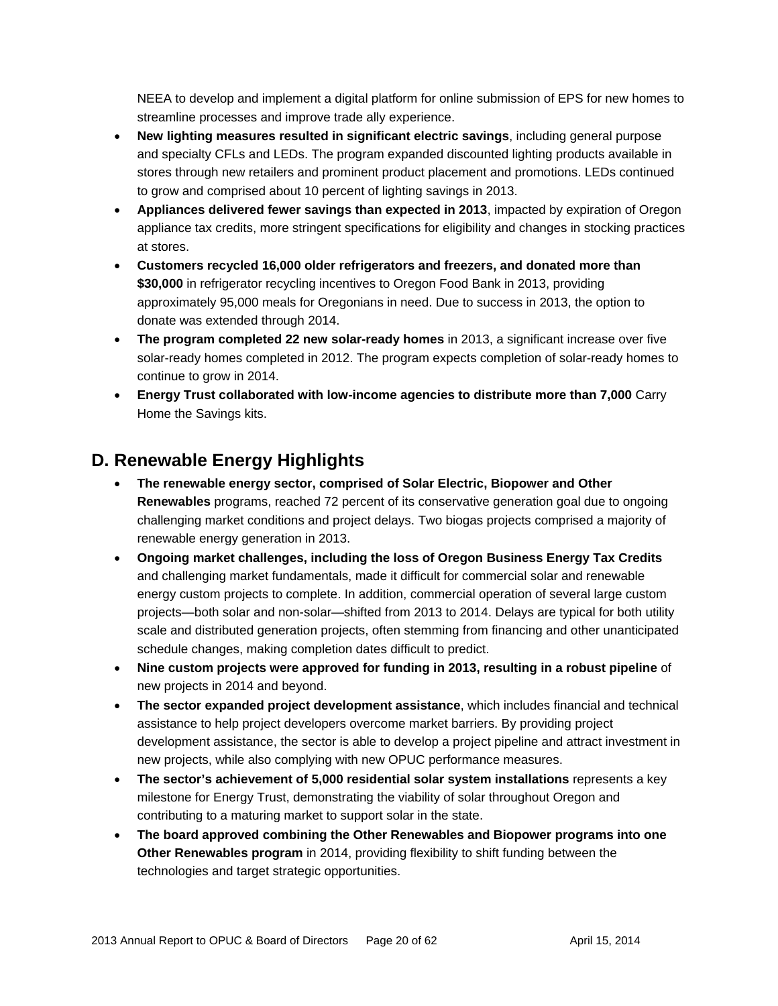NEEA to develop and implement a digital platform for online submission of EPS for new homes to streamline processes and improve trade ally experience.

- **New lighting measures resulted in significant electric savings**, including general purpose and specialty CFLs and LEDs. The program expanded discounted lighting products available in stores through new retailers and prominent product placement and promotions. LEDs continued to grow and comprised about 10 percent of lighting savings in 2013.
- **Appliances delivered fewer savings than expected in 2013**, impacted by expiration of Oregon appliance tax credits, more stringent specifications for eligibility and changes in stocking practices at stores.
- **Customers recycled 16,000 older refrigerators and freezers, and donated more than \$30,000** in refrigerator recycling incentives to Oregon Food Bank in 2013, providing approximately 95,000 meals for Oregonians in need. Due to success in 2013, the option to donate was extended through 2014.
- **The program completed 22 new solar-ready homes** in 2013, a significant increase over five solar-ready homes completed in 2012. The program expects completion of solar-ready homes to continue to grow in 2014.
- **Energy Trust collaborated with low-income agencies to distribute more than 7,000** Carry Home the Savings kits.

# **D. Renewable Energy Highlights**

- **The renewable energy sector, comprised of Solar Electric, Biopower and Other Renewables** programs, reached 72 percent of its conservative generation goal due to ongoing challenging market conditions and project delays. Two biogas projects comprised a majority of renewable energy generation in 2013.
- **Ongoing market challenges, including the loss of Oregon Business Energy Tax Credits**  and challenging market fundamentals, made it difficult for commercial solar and renewable energy custom projects to complete. In addition, commercial operation of several large custom projects—both solar and non-solar—shifted from 2013 to 2014. Delays are typical for both utility scale and distributed generation projects, often stemming from financing and other unanticipated schedule changes, making completion dates difficult to predict.
- **Nine custom projects were approved for funding in 2013, resulting in a robust pipeline** of new projects in 2014 and beyond.
- **The sector expanded project development assistance**, which includes financial and technical assistance to help project developers overcome market barriers. By providing project development assistance, the sector is able to develop a project pipeline and attract investment in new projects, while also complying with new OPUC performance measures.
- **The sector's achievement of 5,000 residential solar system installations** represents a key milestone for Energy Trust, demonstrating the viability of solar throughout Oregon and contributing to a maturing market to support solar in the state.
- **The board approved combining the Other Renewables and Biopower programs into one Other Renewables program** in 2014, providing flexibility to shift funding between the technologies and target strategic opportunities.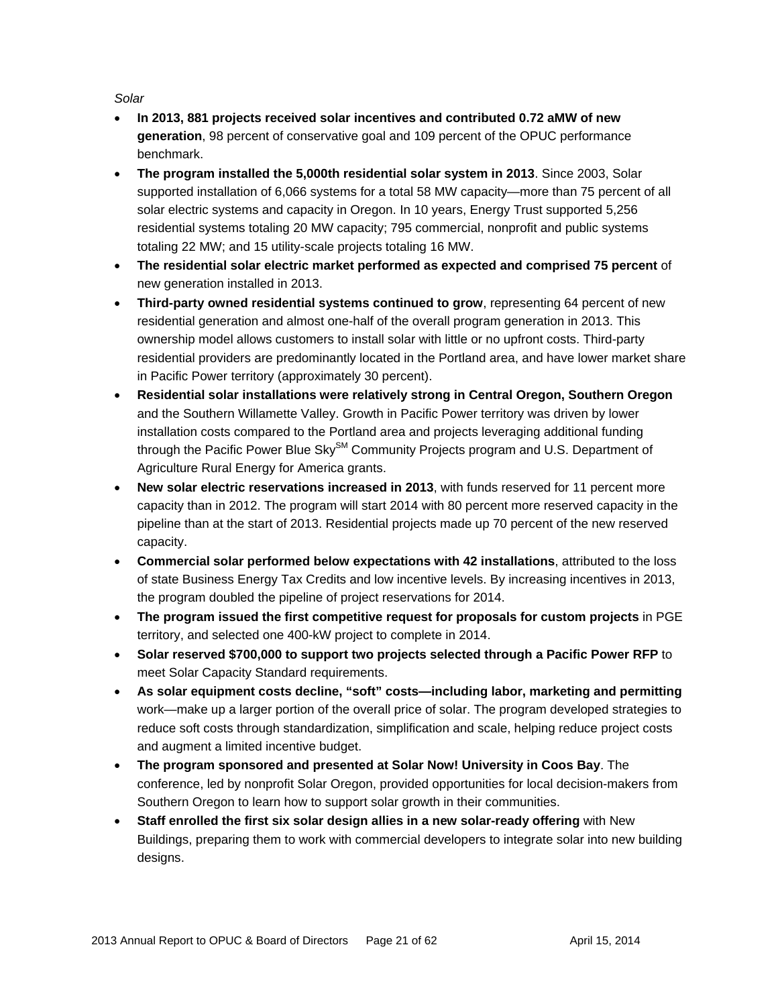*Solar* 

- **In 2013, 881 projects received solar incentives and contributed 0.72 aMW of new generation**, 98 percent of conservative goal and 109 percent of the OPUC performance benchmark.
- **The program installed the 5,000th residential solar system in 2013**. Since 2003, Solar supported installation of 6,066 systems for a total 58 MW capacity—more than 75 percent of all solar electric systems and capacity in Oregon. In 10 years, Energy Trust supported 5,256 residential systems totaling 20 MW capacity; 795 commercial, nonprofit and public systems totaling 22 MW; and 15 utility-scale projects totaling 16 MW.
- **The residential solar electric market performed as expected and comprised 75 percent** of new generation installed in 2013.
- **Third-party owned residential systems continued to grow**, representing 64 percent of new residential generation and almost one-half of the overall program generation in 2013. This ownership model allows customers to install solar with little or no upfront costs. Third-party residential providers are predominantly located in the Portland area, and have lower market share in Pacific Power territory (approximately 30 percent).
- **Residential solar installations were relatively strong in Central Oregon, Southern Oregon**  and the Southern Willamette Valley. Growth in Pacific Power territory was driven by lower installation costs compared to the Portland area and projects leveraging additional funding through the Pacific Power Blue Sky<sup>SM</sup> Community Projects program and U.S. Department of Agriculture Rural Energy for America grants.
- **New solar electric reservations increased in 2013**, with funds reserved for 11 percent more capacity than in 2012. The program will start 2014 with 80 percent more reserved capacity in the pipeline than at the start of 2013. Residential projects made up 70 percent of the new reserved capacity.
- **Commercial solar performed below expectations with 42 installations**, attributed to the loss of state Business Energy Tax Credits and low incentive levels. By increasing incentives in 2013, the program doubled the pipeline of project reservations for 2014.
- **The program issued the first competitive request for proposals for custom projects** in PGE territory, and selected one 400-kW project to complete in 2014.
- **Solar reserved \$700,000 to support two projects selected through a Pacific Power RFP** to meet Solar Capacity Standard requirements.
- **As solar equipment costs decline, "soft" costs—including labor, marketing and permitting**  work—make up a larger portion of the overall price of solar. The program developed strategies to reduce soft costs through standardization, simplification and scale, helping reduce project costs and augment a limited incentive budget.
- **The program sponsored and presented at Solar Now! University in Coos Bay**. The conference, led by nonprofit Solar Oregon, provided opportunities for local decision-makers from Southern Oregon to learn how to support solar growth in their communities.
- **Staff enrolled the first six solar design allies in a new solar-ready offering** with New Buildings, preparing them to work with commercial developers to integrate solar into new building designs.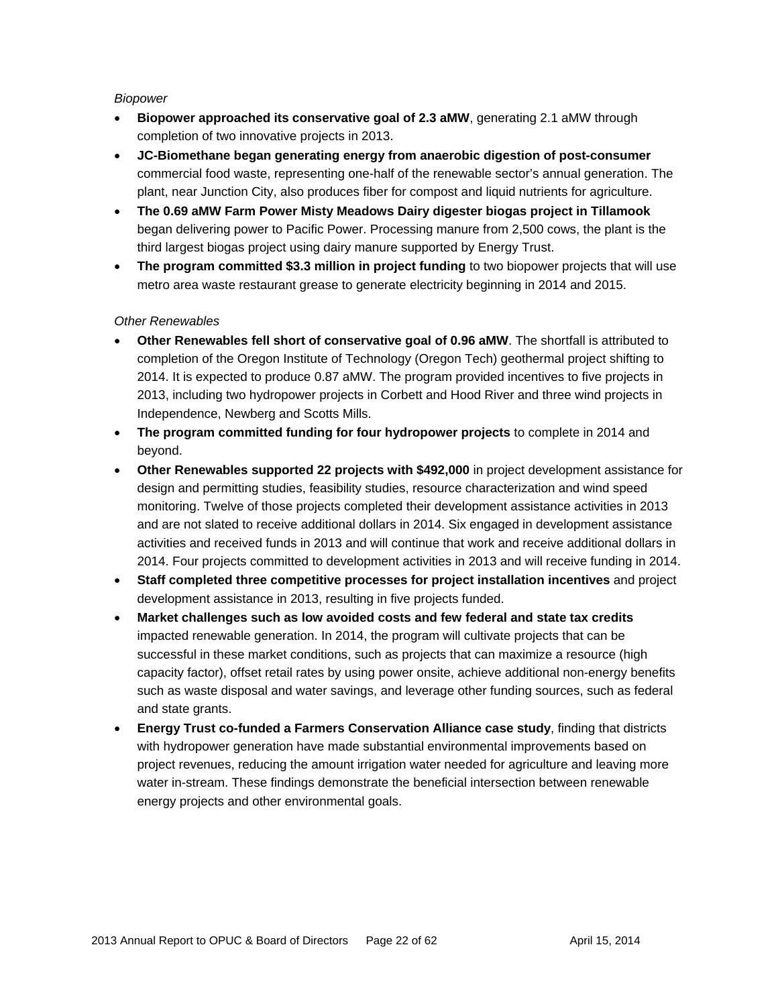#### *Biopower*

- **Biopower approached its conservative goal of 2.3 aMW**, generating 2.1 aMW through completion of two innovative projects in 2013.
- **JC-Biomethane began generating energy from anaerobic digestion of post-consumer**  commercial food waste, representing one-half of the renewable sector's annual generation. The plant, near Junction City, also produces fiber for compost and liquid nutrients for agriculture.
- **The 0.69 aMW Farm Power Misty Meadows Dairy digester biogas project in Tillamook**  began delivering power to Pacific Power. Processing manure from 2,500 cows, the plant is the third largest biogas project using dairy manure supported by Energy Trust.
- **The program committed \$3.3 million in project funding** to two biopower projects that will use metro area waste restaurant grease to generate electricity beginning in 2014 and 2015.

#### *Other Renewables*

- **Other Renewables fell short of conservative goal of 0.96 aMW**. The shortfall is attributed to completion of the Oregon Institute of Technology (Oregon Tech) geothermal project shifting to 2014. It is expected to produce 0.87 aMW. The program provided incentives to five projects in 2013, including two hydropower projects in Corbett and Hood River and three wind projects in Independence, Newberg and Scotts Mills.
- **The program committed funding for four hydropower projects** to complete in 2014 and beyond.
- **Other Renewables supported 22 projects with \$492,000** in project development assistance for design and permitting studies, feasibility studies, resource characterization and wind speed monitoring. Twelve of those projects completed their development assistance activities in 2013 and are not slated to receive additional dollars in 2014. Six engaged in development assistance activities and received funds in 2013 and will continue that work and receive additional dollars in 2014. Four projects committed to development activities in 2013 and will receive funding in 2014.
- **Staff completed three competitive processes for project installation incentives** and project development assistance in 2013, resulting in five projects funded.
- **Market challenges such as low avoided costs and few federal and state tax credits**  impacted renewable generation. In 2014, the program will cultivate projects that can be successful in these market conditions, such as projects that can maximize a resource (high capacity factor), offset retail rates by using power onsite, achieve additional non-energy benefits such as waste disposal and water savings, and leverage other funding sources, such as federal and state grants.
- **Energy Trust co-funded a Farmers Conservation Alliance case study**, finding that districts with hydropower generation have made substantial environmental improvements based on project revenues, reducing the amount irrigation water needed for agriculture and leaving more water in-stream. These findings demonstrate the beneficial intersection between renewable energy projects and other environmental goals.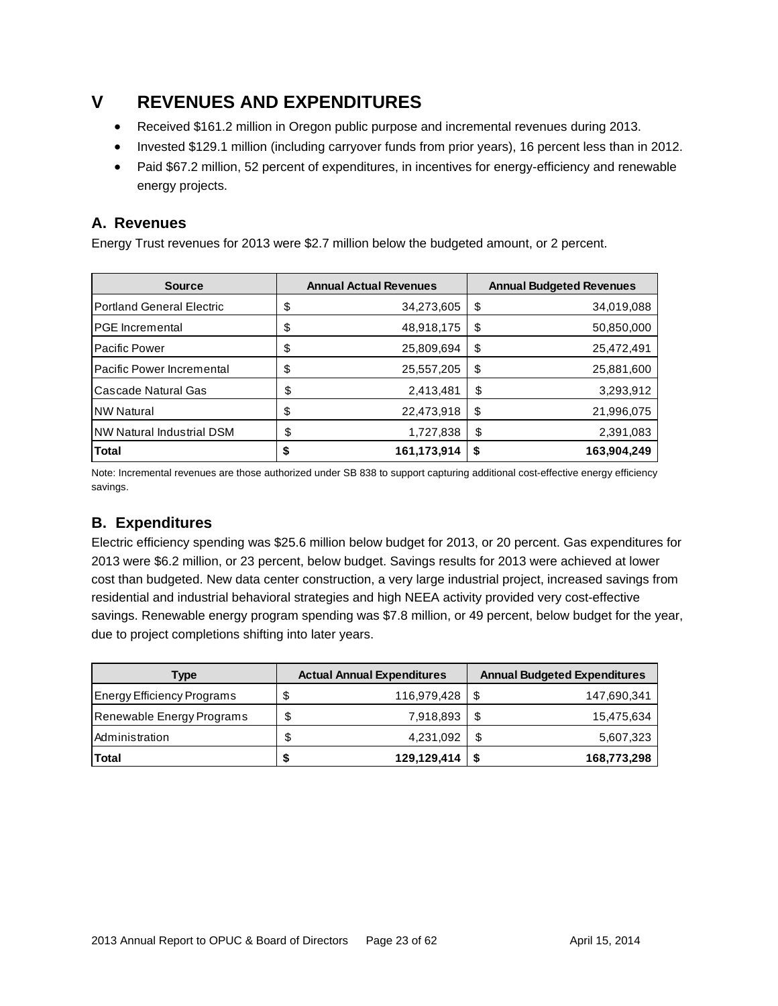# **V REVENUES AND EXPENDITURES**

- Received \$161.2 million in Oregon public purpose and incremental revenues during 2013.
- Invested \$129.1 million (including carryover funds from prior years), 16 percent less than in 2012.
- Paid \$67.2 million, 52 percent of expenditures, in incentives for energy-efficiency and renewable energy projects.

### **A. Revenues**

Energy Trust revenues for 2013 were \$2.7 million below the budgeted amount, or 2 percent.

| <b>Source</b>                    |    | <b>Annual Actual Revenues</b> | <b>Annual Budgeted Revenues</b> |             |  |
|----------------------------------|----|-------------------------------|---------------------------------|-------------|--|
| <b>Portland General Electric</b> | \$ | 34,273,605                    | \$                              | 34,019,088  |  |
| IPGE Incremental                 | \$ | 48,918,175                    | \$                              | 50,850,000  |  |
| Pacific Power                    | \$ | 25,809,694                    | \$                              | 25,472,491  |  |
| Pacific Power Incremental        | \$ | 25,557,205                    | \$                              | 25,881,600  |  |
| Cascade Natural Gas              | \$ | 2,413,481                     | \$                              | 3,293,912   |  |
| <b>NW Natural</b>                | \$ | 22,473,918                    | \$                              | 21,996,075  |  |
| <b>NW Natural Industrial DSM</b> | \$ | 1,727,838                     | \$                              | 2,391,083   |  |
| <b>Total</b>                     |    | 161,173,914                   | S                               | 163,904,249 |  |

Note: Incremental revenues are those authorized under SB 838 to support capturing additional cost-effective energy efficiency savings.

### **B. Expenditures**

Electric efficiency spending was \$25.6 million below budget for 2013, or 20 percent. Gas expenditures for 2013 were \$6.2 million, or 23 percent, below budget. Savings results for 2013 were achieved at lower cost than budgeted. New data center construction, a very large industrial project, increased savings from residential and industrial behavioral strategies and high NEEA activity provided very cost-effective savings. Renewable energy program spending was \$7.8 million, or 49 percent, below budget for the year, due to project completions shifting into later years.

| <b>Type</b>                |    | <b>Actual Annual Expenditures</b> | <b>Annual Budgeted Expenditures</b> |             |  |
|----------------------------|----|-----------------------------------|-------------------------------------|-------------|--|
| Energy Efficiency Programs |    | 116,979,428                       |                                     | 147,690,341 |  |
| Renewable Energy Programs  | \$ | 7,918,893                         |                                     | 15,475,634  |  |
| Administration             |    | 4,231,092                         |                                     | 5,607,323   |  |
| Total                      |    | 129,129,414                       |                                     | 168,773,298 |  |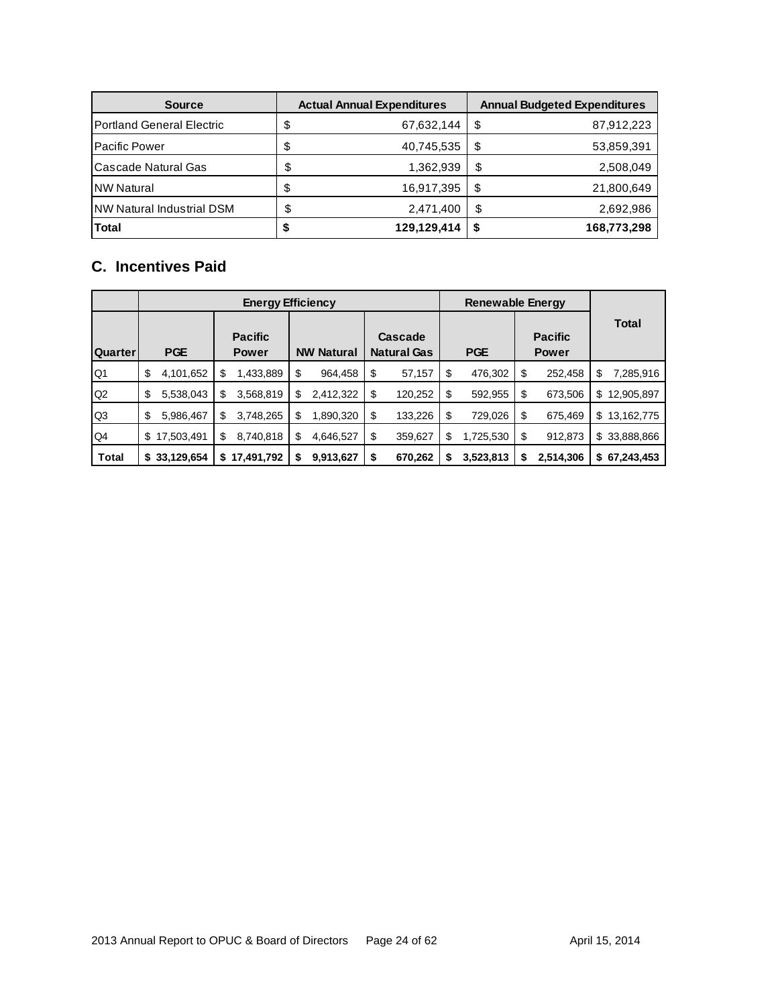| <b>Source</b>                     | <b>Actual Annual Expenditures</b> |             |    | <b>Annual Budgeted Expenditures</b> |  |  |
|-----------------------------------|-----------------------------------|-------------|----|-------------------------------------|--|--|
| <b>IPortland General Electric</b> | \$                                | 67,632,144  | \$ | 87,912,223                          |  |  |
| <b>Pacific Power</b>              | \$                                | 40,745,535  | S  | 53,859,391                          |  |  |
| Cascade Natural Gas               | \$                                | 1,362,939   | \$ | 2,508,049                           |  |  |
| <b>NW Natural</b>                 | \$                                | 16,917,395  | S  | 21,800,649                          |  |  |
| NW Natural Industrial DSM         | \$                                | 2,471,400   | S  | 2,692,986                           |  |  |
| <b>Total</b>                      |                                   | 129,129,414 | S  | 168,773,298                         |  |  |

### **C. Incentives Paid**

|                |                  | <b>Renewable Energy</b>        |                   |                               |                  |                                |                  |
|----------------|------------------|--------------------------------|-------------------|-------------------------------|------------------|--------------------------------|------------------|
| Quarter        | <b>PGE</b>       | <b>Pacific</b><br><b>Power</b> | <b>NW Natural</b> | Cascade<br><b>Natural Gas</b> | <b>PGE</b>       | <b>Pacific</b><br><b>Power</b> | <b>Total</b>     |
| Q <sub>1</sub> | \$<br>4,101,652  | \$<br>1,433,889                | \$<br>964,458     | \$<br>57,157                  | 476,302<br>-\$   | \$<br>252,458                  | 7,285,916<br>\$  |
| Q2             | \$<br>5,538,043  | 3,568,819<br>S                 | 2,412,322<br>S    | \$<br>120,252                 | \$<br>592,955    | \$<br>673,506                  | 12,905,897<br>\$ |
| Q3             | \$<br>5,986,467  | 3,748,265<br>\$                | \$<br>1,890,320   | \$<br>133,226                 | \$<br>729,026    | \$<br>675,469                  | \$<br>13,162,775 |
| Q4             | 17,503,491<br>\$ | 8,740,818<br>\$                | \$<br>4,646,527   | \$<br>359,627                 | \$<br>1,725,530  | \$<br>912,873                  | \$33,888,866     |
| <b>Total</b>   | 33,129,654<br>\$ | 17,491,792<br>S                | 9,913,627<br>\$   | 670,262<br>\$                 | 3,523,813<br>\$. | \$<br>2,514,306                | \$67,243,453     |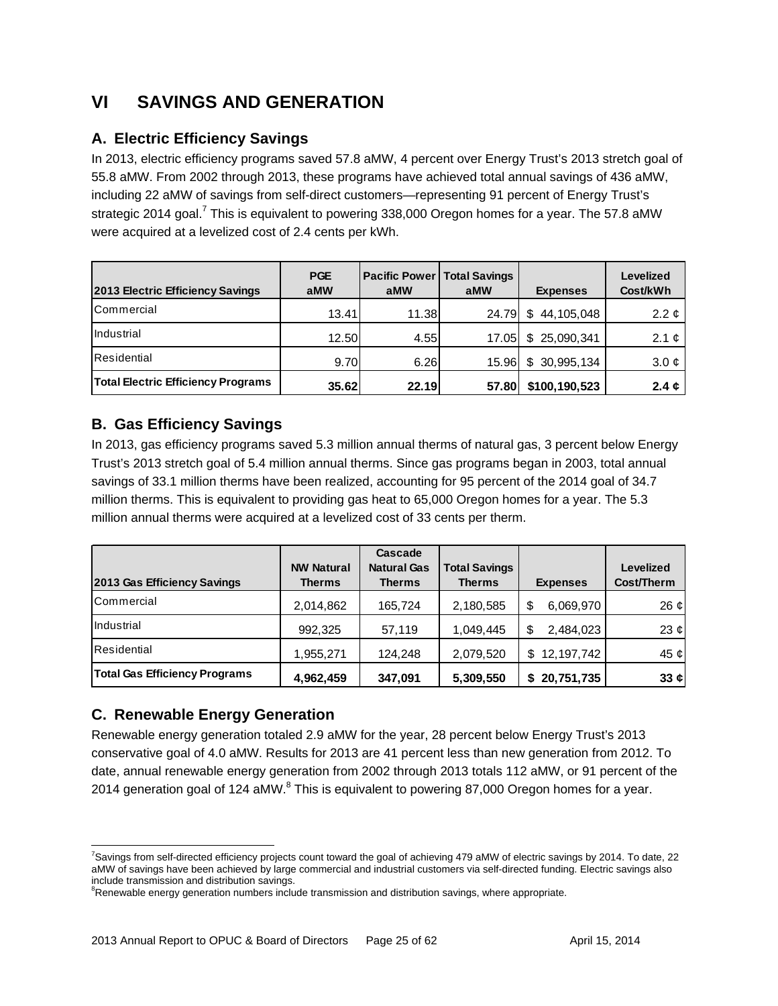# **VI SAVINGS AND GENERATION**

### **A. Electric Efficiency Savings**

In 2013, electric efficiency programs saved 57.8 aMW, 4 percent over Energy Trust's 2013 stretch goal of 55.8 aMW. From 2002 through 2013, these programs have achieved total annual savings of 436 aMW, including 22 aMW of savings from self-direct customers—representing 91 percent of Energy Trust's strategic 2014 goal.<sup>7</sup> This is equivalent to powering 338,000 Oregon homes for a year. The 57.8 aMW were acquired at a levelized cost of 2.4 cents per kWh.

| <b>2013 Electric Efficiency Savings</b>   | <b>PGE</b><br>aMW | <b>Pacific Power</b><br>aMW | <b>Total Savings</b><br>aMW | <b>Expenses</b>  | Levelized<br>Cost/kWh |
|-------------------------------------------|-------------------|-----------------------------|-----------------------------|------------------|-----------------------|
| <b>ICommercial</b>                        | 13.41             | 11.38                       | 24.79                       | 44,105,048<br>S. | 2.2 $\phi$            |
| <b>Industrial</b>                         | 12.50             | 4.55                        | 17.05                       | \$25,090,341     | 2.1 $\mathfrak{C}$    |
| <b>Residential</b>                        | 9.70              | 6.26                        | 15.96                       | \$30,995,134     | $3.0 \phi$            |
| <b>Total Electric Efficiency Programs</b> | 35.62             | 22.19                       | 57.80                       | \$100,190,523    | 2.4 $\phi$            |

### **B. Gas Efficiency Savings**

In 2013, gas efficiency programs saved 5.3 million annual therms of natural gas, 3 percent below Energy Trust's 2013 stretch goal of 5.4 million annual therms. Since gas programs began in 2003, total annual savings of 33.1 million therms have been realized, accounting for 95 percent of the 2014 goal of 34.7 million therms. This is equivalent to providing gas heat to 65,000 Oregon homes for a year. The 5.3 million annual therms were acquired at a levelized cost of 33 cents per therm.

| 2013 Gas Efficiency Savings          | <b>NW Natural</b><br><b>Therms</b> | Cascade<br><b>Natural Gas</b><br><b>Therms</b> | <b>Total Savings</b><br><b>Therms</b> | <b>Expenses</b>    | <b>Levelized</b><br>Cost/Therm |
|--------------------------------------|------------------------------------|------------------------------------------------|---------------------------------------|--------------------|--------------------------------|
| <b>ICommercial</b>                   | 2,014,862                          | 165,724                                        | 2,180,585                             | \$<br>6,069,970    | 26 $\mathfrak{c}$              |
| <b>Industrial</b>                    | 992.325                            | 57,119                                         | 1,049,445                             | 2,484,023<br>\$    | 23 $\phi$                      |
| <b>Residential</b>                   | 1,955,271                          | 124.248                                        | 2,079,520                             | 12, 197, 742<br>\$ | 45 ¢                           |
| <b>Total Gas Efficiency Programs</b> | 4,962,459                          | 347,091                                        | 5,309,550                             | 20,751,735<br>S.   | 33 $\boldsymbol{\phi}$         |

### **C. Renewable Energy Generation**

Renewable energy generation totaled 2.9 aMW for the year, 28 percent below Energy Trust's 2013 conservative goal of 4.0 aMW. Results for 2013 are 41 percent less than new generation from 2012. To date, annual renewable energy generation from 2002 through 2013 totals 112 aMW, or 91 percent of the 2014 generation goal of 124 aMW. $^8$  This is equivalent to powering 87,000 Oregon homes for a year.

 $\overline{a}$ <sup>7</sup>Savings from self-directed efficiency projects count toward the goal of achieving 479 aMW of electric savings by 2014. To date, 22 aMW of savings have been achieved by large commercial and industrial customers via self-directed funding. Electric savings also include transmission and distribution savings.

<sup>&</sup>lt;sup>8</sup>Renewable energy generation numbers include transmission and distribution savings, where appropriate.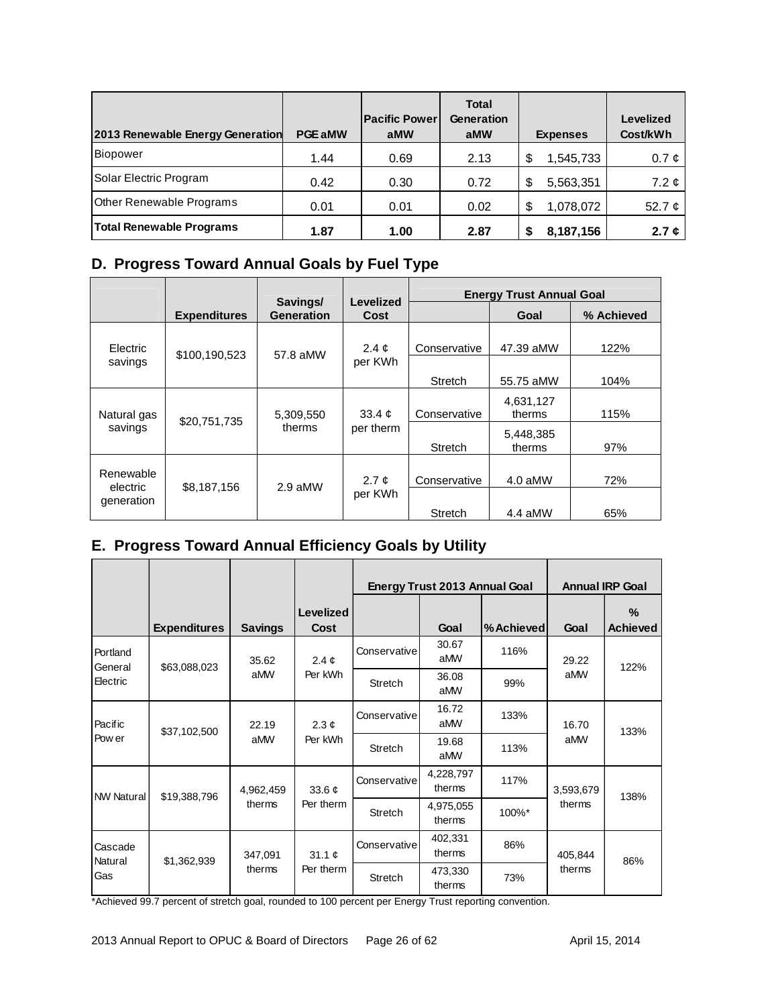| 2013 Renewable Energy Generation | <b>PGE aMW</b> | <b>Pacific Power</b><br>aMW | <b>Total</b><br><b>Generation</b><br>aMW | <b>Expenses</b> | <b>Levelized</b><br>Cost/kWh |
|----------------------------------|----------------|-----------------------------|------------------------------------------|-----------------|------------------------------|
| Biopower                         | 1.44           | 0.69                        | 2.13                                     | 1,545,733<br>\$ | $0.7 \phi$                   |
| Solar Electric Program           | 0.42           | 0.30                        | 0.72                                     | 5,563,351<br>\$ | 7.2 $\phi$                   |
| <b>Other Renewable Programs</b>  | 0.01           | 0.01                        | 0.02                                     | 1,078,072<br>\$ | 52.7 $\phi$                  |
| <b>Total Renewable Programs</b>  | 1.87           | 1.00                        | 2.87                                     | 8,187,156       | 2.7 $\phi$                   |

### **D. Progress Toward Annual Goals by Fuel Type**

|                        |                     |                               |                                  | <b>Energy Trust Annual Goal</b> |                     |            |  |
|------------------------|---------------------|-------------------------------|----------------------------------|---------------------------------|---------------------|------------|--|
|                        | <b>Expenditures</b> | Savings/<br><b>Generation</b> | <b>Levelized</b><br>Cost         |                                 | Goal                | % Achieved |  |
| Electric               | \$100,190,523       | 57.8 aMW                      | 2.4 $\phi$                       | Conservative                    | 47.39 aMW           | 122%       |  |
| savings                |                     |                               | per KWh                          | Stretch                         | 55.75 aMW           | 104%       |  |
| Natural gas<br>savings | \$20,751,735        | 5,309,550<br>therms           | 33.4 $\mathfrak{C}$<br>per therm | Conservative                    | 4,631,127<br>therms | 115%       |  |
|                        |                     |                               |                                  | <b>Stretch</b>                  | 5,448,385<br>therms | 97%        |  |
| Renewable              | \$8,187,156         | 2.9 aMW                       | 2.7 $\mathfrak{C}$<br>per KWh    | Conservative                    | $4.0$ aMW           | 72%        |  |
| electric<br>generation |                     |                               |                                  | Stretch                         | 4.4 aMW             | 65%        |  |

### **E. Progress Toward Annual Efficiency Goals by Utility**

|                     |                     |                                  |                                         |              | Energy Trust 2013 Annual Goal |            |           | <b>Annual IRP Goal</b> |
|---------------------|---------------------|----------------------------------|-----------------------------------------|--------------|-------------------------------|------------|-----------|------------------------|
|                     | <b>Expenditures</b> | <b>Savings</b>                   | Levelized<br><b>Cost</b>                |              | Goal                          | % Achieved | Goal      | ℅<br><b>Achieved</b>   |
| Portland<br>General | \$63,088,023        | 35.62                            | 2.4 $\phi$                              | Conservative | 30.67<br>aMW                  | 116%       | 29.22     | 122%                   |
| Electric            |                     | aMW                              | Per kWh                                 | Stretch      | 36.08<br>aMW                  | 99%        | aMW       |                        |
| Pacific             | \$37,102,500        | 22.19                            | $2.3 \; \mathfrak{C}$<br>aMW<br>Per kWh | Conservative | 16.72<br>aMW                  | 133%       | 16.70     | 133%                   |
| Pow er              |                     |                                  |                                         | Stretch      | 19.68<br>aMW                  | 113%       | aMW       |                        |
| <b>NW Natural</b>   | \$19,388,796        | 4,962,459                        | 33.6 $\mathfrak{c}$                     | Conservative | 4,228,797<br>therms           | 117%       | 3,593,679 | 138%                   |
|                     |                     | therms                           | Per therm                               | Stretch      | 4,975,055<br>therms           | 100%*      | therms    |                        |
| Cascade<br>Natural  |                     | 347,091<br>\$1,362,939<br>therms | 31.1 $\mathfrak{c}$                     | Conservative | 402,331<br>therms             | 86%        | 405,844   | 86%                    |
| Gas                 |                     |                                  | Per therm                               | Stretch      | 473,330<br>therms             | 73%        | therms    |                        |

\*Achieved 99.7 percent of stretch goal, rounded to 100 percent per Energy Trust reporting convention.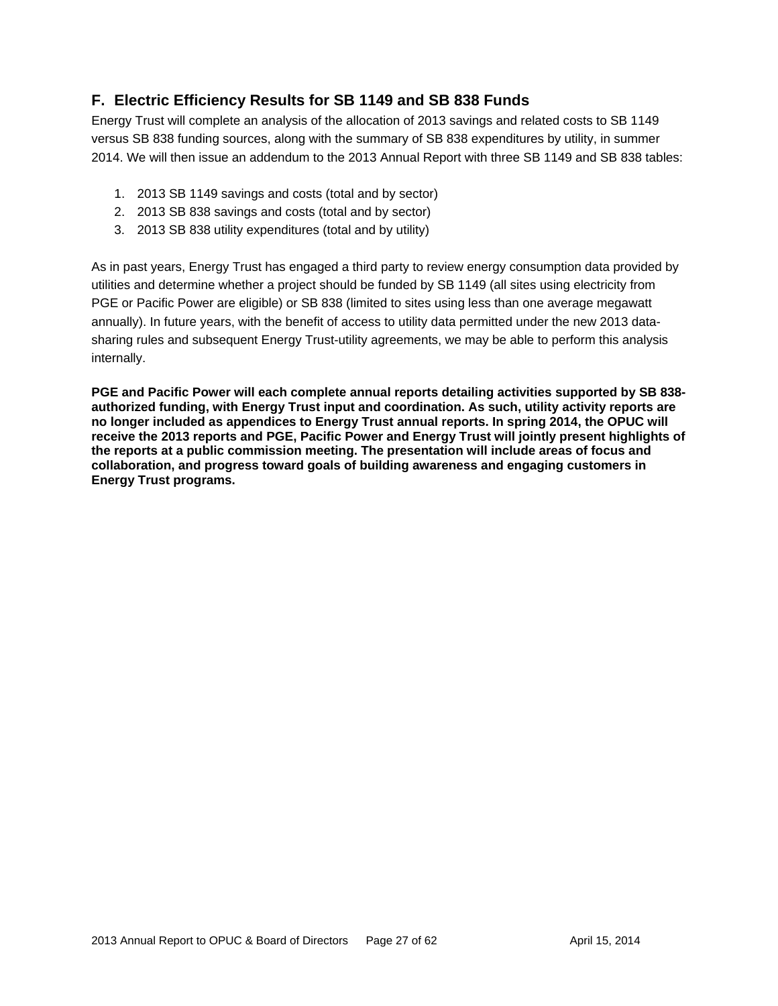### **F. Electric Efficiency Results for SB 1149 and SB 838 Funds**

Energy Trust will complete an analysis of the allocation of 2013 savings and related costs to SB 1149 versus SB 838 funding sources, along with the summary of SB 838 expenditures by utility, in summer 2014. We will then issue an addendum to the 2013 Annual Report with three SB 1149 and SB 838 tables:

- 1. 2013 SB 1149 savings and costs (total and by sector)
- 2. 2013 SB 838 savings and costs (total and by sector)
- 3. 2013 SB 838 utility expenditures (total and by utility)

As in past years, Energy Trust has engaged a third party to review energy consumption data provided by utilities and determine whether a project should be funded by SB 1149 (all sites using electricity from PGE or Pacific Power are eligible) or SB 838 (limited to sites using less than one average megawatt annually). In future years, with the benefit of access to utility data permitted under the new 2013 datasharing rules and subsequent Energy Trust-utility agreements, we may be able to perform this analysis internally.

**PGE and Pacific Power will each complete annual reports detailing activities supported by SB 838 authorized funding, with Energy Trust input and coordination. As such, utility activity reports are no longer included as appendices to Energy Trust annual reports. In spring 2014, the OPUC will receive the 2013 reports and PGE, Pacific Power and Energy Trust will jointly present highlights of the reports at a public commission meeting. The presentation will include areas of focus and collaboration, and progress toward goals of building awareness and engaging customers in Energy Trust programs.**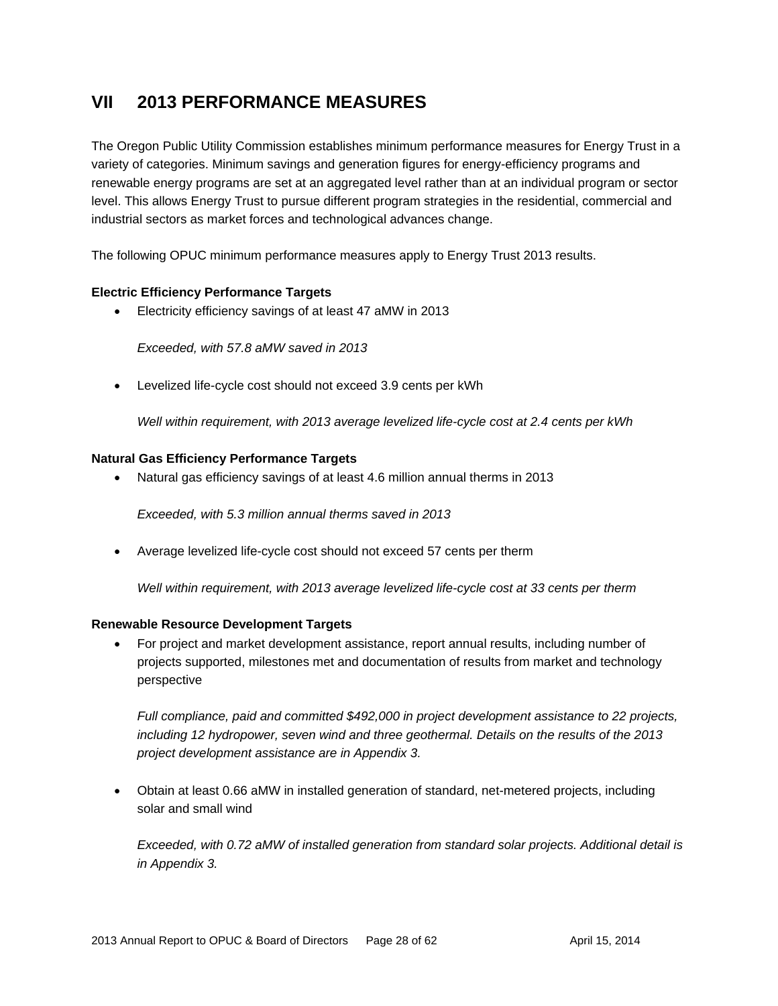# **VII 2013 PERFORMANCE MEASURES**

The Oregon Public Utility Commission establishes minimum performance measures for Energy Trust in a variety of categories. Minimum savings and generation figures for energy-efficiency programs and renewable energy programs are set at an aggregated level rather than at an individual program or sector level. This allows Energy Trust to pursue different program strategies in the residential, commercial and industrial sectors as market forces and technological advances change.

The following OPUC minimum performance measures apply to Energy Trust 2013 results.

#### **Electric Efficiency Performance Targets**

Electricity efficiency savings of at least 47 aMW in 2013

*Exceeded, with 57.8 aMW saved in 2013* 

Levelized life-cycle cost should not exceed 3.9 cents per kWh

*Well within requirement, with 2013 average levelized life-cycle cost at 2.4 cents per kWh*

#### **Natural Gas Efficiency Performance Targets**

Natural gas efficiency savings of at least 4.6 million annual therms in 2013

*Exceeded, with 5.3 million annual therms saved in 2013* 

Average levelized life-cycle cost should not exceed 57 cents per therm

*Well within requirement, with 2013 average levelized life-cycle cost at 33 cents per therm*

#### **Renewable Resource Development Targets**

 For project and market development assistance, report annual results, including number of projects supported, milestones met and documentation of results from market and technology perspective

*Full compliance, paid and committed \$492,000 in project development assistance to 22 projects, including 12 hydropower, seven wind and three geothermal. Details on the results of the 2013 project development assistance are in Appendix 3.* 

 Obtain at least 0.66 aMW in installed generation of standard, net-metered projects, including solar and small wind

*Exceeded, with 0.72 aMW of installed generation from standard solar projects. Additional detail is in Appendix 3.*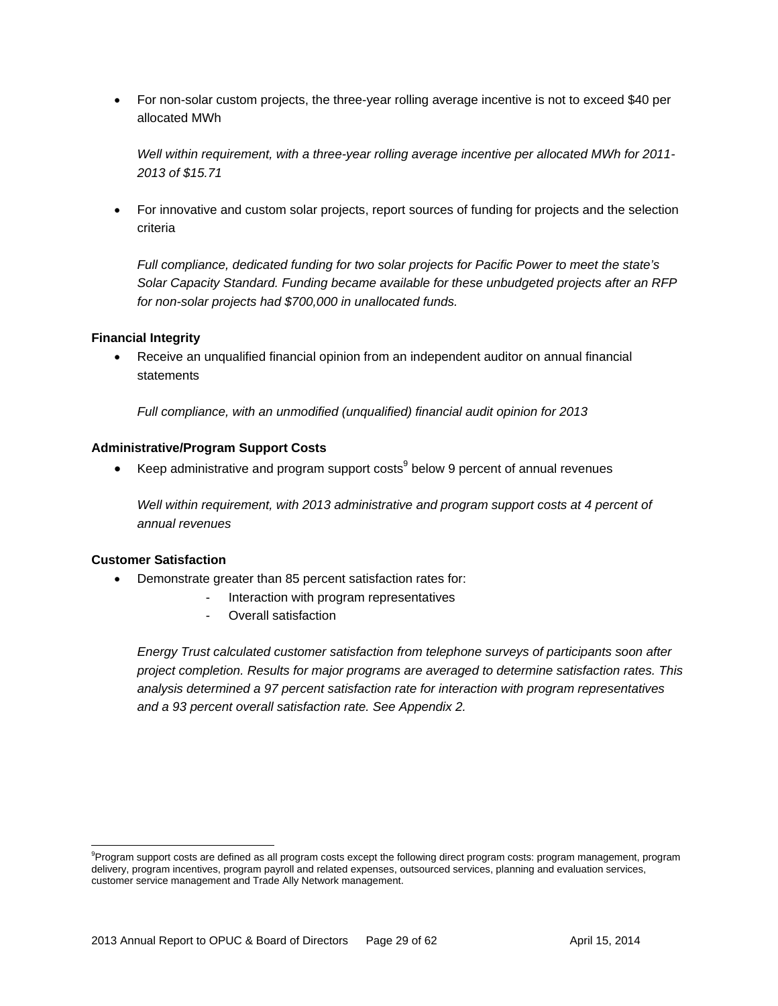For non-solar custom projects, the three-year rolling average incentive is not to exceed \$40 per allocated MWh

*Well within requirement, with a three-year rolling average incentive per allocated MWh for 2011- 2013 of \$15.71* 

 For innovative and custom solar projects, report sources of funding for projects and the selection criteria

*Full compliance, dedicated funding for two solar projects for Pacific Power to meet the state's Solar Capacity Standard. Funding became available for these unbudgeted projects after an RFP for non-solar projects had \$700,000 in unallocated funds.* 

#### **Financial Integrity**

 Receive an unqualified financial opinion from an independent auditor on annual financial statements

*Full compliance, with an unmodified (unqualified) financial audit opinion for 2013* 

#### **Administrative/Program Support Costs**

EXEP administrative and program support costs below 9 percent of annual revenues

*Well within requirement, with 2013 administrative and program support costs at 4 percent of annual revenues* 

#### **Customer Satisfaction**

 $\overline{a}$ 

- Demonstrate greater than 85 percent satisfaction rates for:
	- Interaction with program representatives
	- Overall satisfaction

*Energy Trust calculated customer satisfaction from telephone surveys of participants soon after project completion. Results for major programs are averaged to determine satisfaction rates. This analysis determined a 97 percent satisfaction rate for interaction with program representatives and a 93 percent overall satisfaction rate. See Appendix 2.* 

<sup>&</sup>lt;sup>9</sup>Program support costs are defined as all program costs except the following direct program costs: program management, program delivery, program incentives, program payroll and related expenses, outsourced services, planning and evaluation services, customer service management and Trade Ally Network management.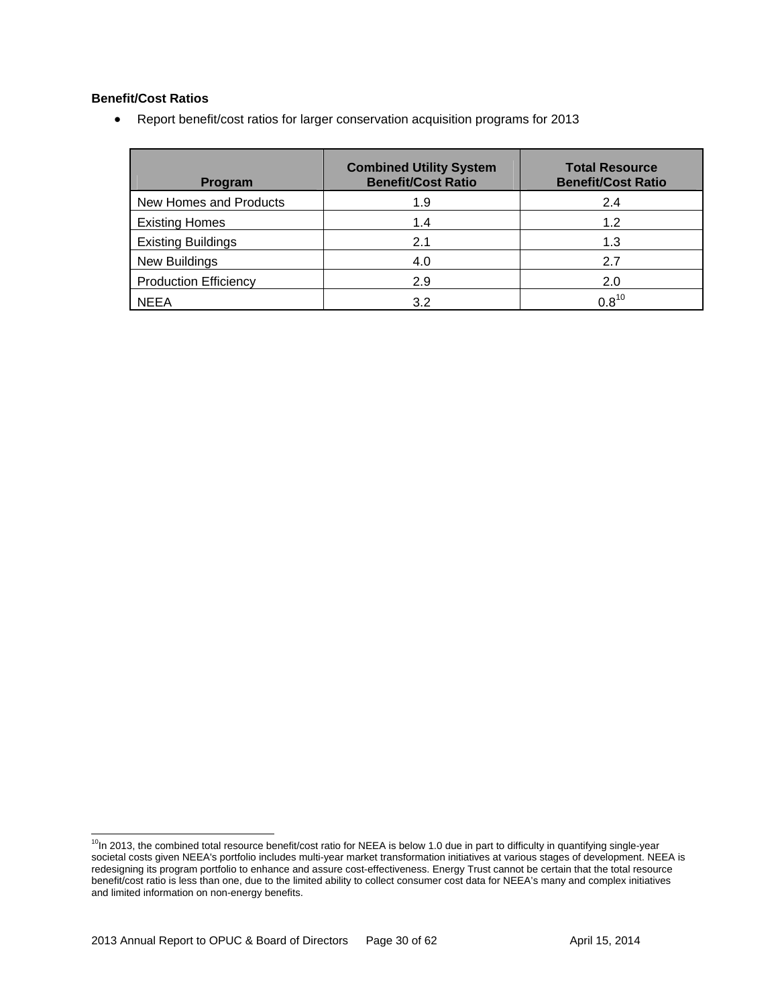#### **Benefit/Cost Ratios**

Report benefit/cost ratios for larger conservation acquisition programs for 2013

| Program                      | <b>Combined Utility System</b><br><b>Benefit/Cost Ratio</b> | <b>Total Resource</b><br><b>Benefit/Cost Ratio</b> |
|------------------------------|-------------------------------------------------------------|----------------------------------------------------|
| New Homes and Products       | 1.9                                                         | 2.4                                                |
| <b>Existing Homes</b>        | 1.4                                                         | 1.2                                                |
| <b>Existing Buildings</b>    | 2.1                                                         | 1.3                                                |
| <b>New Buildings</b>         | 4.0                                                         | 2.7                                                |
| <b>Production Efficiency</b> | 2.9                                                         | 2.0                                                |
| <b>NEEA</b>                  | 3.2                                                         | $0.8^{10}$                                         |

<sup>&</sup>lt;sup>10</sup>In 2013, the combined total resource benefit/cost ratio for NEEA is below 1.0 due in part to difficulty in quantifying single-year societal costs given NEEA's portfolio includes multi-year market transformation initiatives at various stages of development. NEEA is redesigning its program portfolio to enhance and assure cost-effectiveness. Energy Trust cannot be certain that the total resource benefit/cost ratio is less than one, due to the limited ability to collect consumer cost data for NEEA's many and complex initiatives and limited information on non-energy benefits.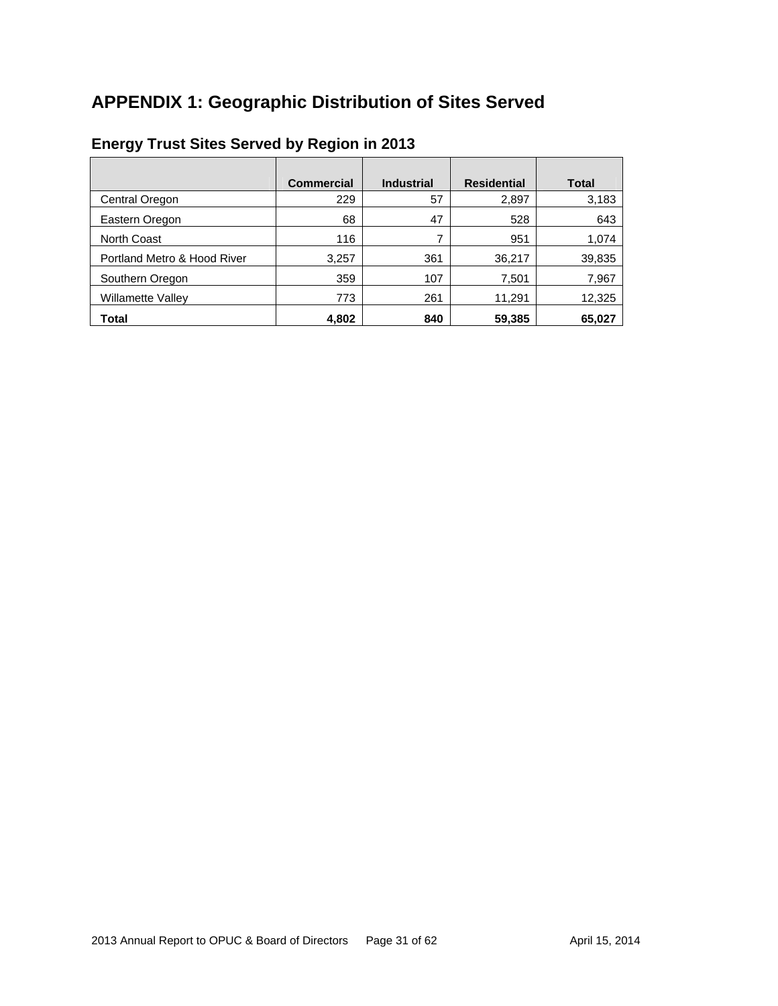# **APPENDIX 1: Geographic Distribution of Sites Served**

|                             | <b>Commercial</b> | <b>Industrial</b> | <b>Residential</b> | <b>Total</b> |
|-----------------------------|-------------------|-------------------|--------------------|--------------|
| Central Oregon              | 229               | 57                | 2,897              | 3,183        |
| Eastern Oregon              | 68                | 47                | 528                | 643          |
| <b>North Coast</b>          | 116               | 7                 | 951                | 1,074        |
| Portland Metro & Hood River | 3,257             | 361               | 36,217             | 39,835       |
| Southern Oregon             | 359               | 107               | 7,501              | 7,967        |
| <b>Willamette Valley</b>    | 773               | 261               | 11,291             | 12,325       |
| Total                       | 4,802             | 840               | 59,385             | 65,027       |

# **Energy Trust Sites Served by Region in 2013**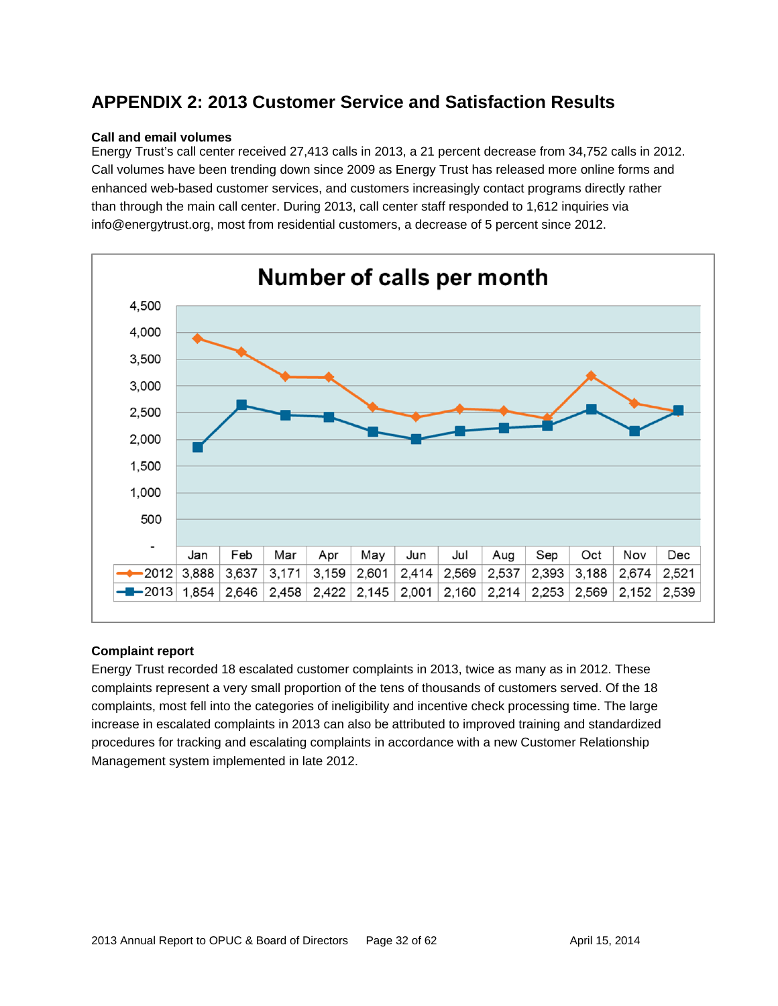# **APPENDIX 2: 2013 Customer Service and Satisfaction Results**

#### **Call and email volumes**

Energy Trust's call center received 27,413 calls in 2013, a 21 percent decrease from 34,752 calls in 2012. Call volumes have been trending down since 2009 as Energy Trust has released more online forms and enhanced web-based customer services, and customers increasingly contact programs directly rather than through the main call center. During 2013, call center staff responded to 1,612 inquiries via info@energytrust.org, most from residential customers, a decrease of 5 percent since 2012.



#### **Complaint report**

Energy Trust recorded 18 escalated customer complaints in 2013, twice as many as in 2012. These complaints represent a very small proportion of the tens of thousands of customers served. Of the 18 complaints, most fell into the categories of ineligibility and incentive check processing time. The large increase in escalated complaints in 2013 can also be attributed to improved training and standardized procedures for tracking and escalating complaints in accordance with a new Customer Relationship Management system implemented in late 2012.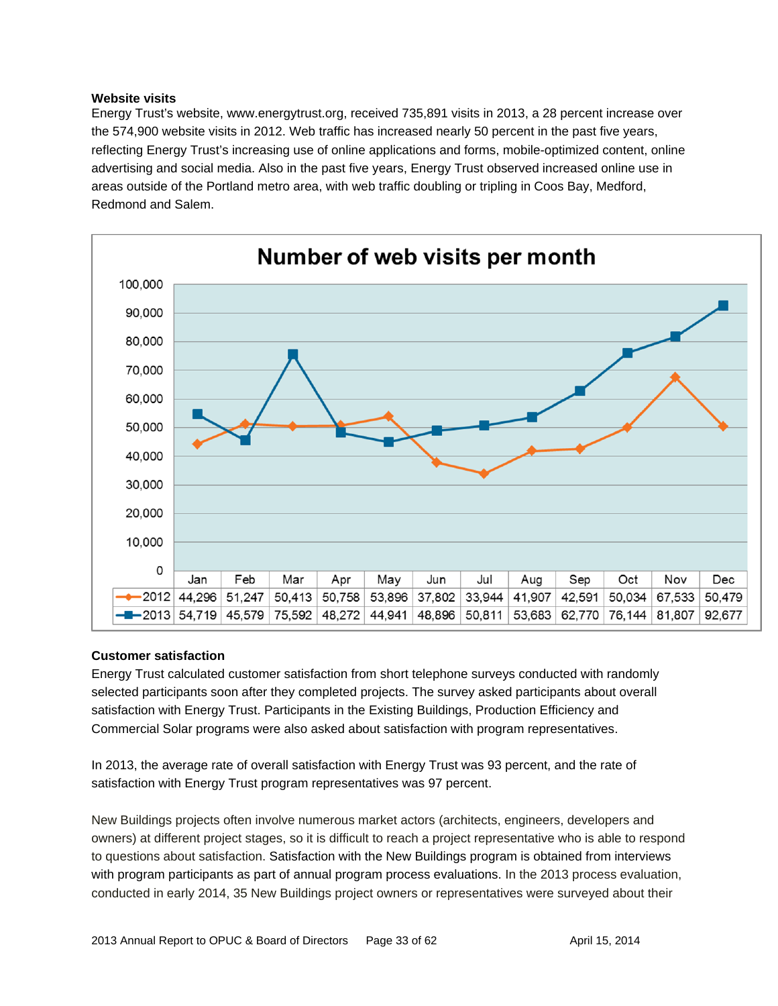#### **Website visits**

Energy Trust's website, www.energytrust.org, received 735,891 visits in 2013, a 28 percent increase over the 574,900 website visits in 2012. Web traffic has increased nearly 50 percent in the past five years, reflecting Energy Trust's increasing use of online applications and forms, mobile-optimized content, online advertising and social media. Also in the past five years, Energy Trust observed increased online use in areas outside of the Portland metro area, with web traffic doubling or tripling in Coos Bay, Medford, Redmond and Salem.



#### **Customer satisfaction**

Energy Trust calculated customer satisfaction from short telephone surveys conducted with randomly selected participants soon after they completed projects. The survey asked participants about overall satisfaction with Energy Trust. Participants in the Existing Buildings, Production Efficiency and Commercial Solar programs were also asked about satisfaction with program representatives.

In 2013, the average rate of overall satisfaction with Energy Trust was 93 percent, and the rate of satisfaction with Energy Trust program representatives was 97 percent.

New Buildings projects often involve numerous market actors (architects, engineers, developers and owners) at different project stages, so it is difficult to reach a project representative who is able to respond to questions about satisfaction. Satisfaction with the New Buildings program is obtained from interviews with program participants as part of annual program process evaluations. In the 2013 process evaluation, conducted in early 2014, 35 New Buildings project owners or representatives were surveyed about their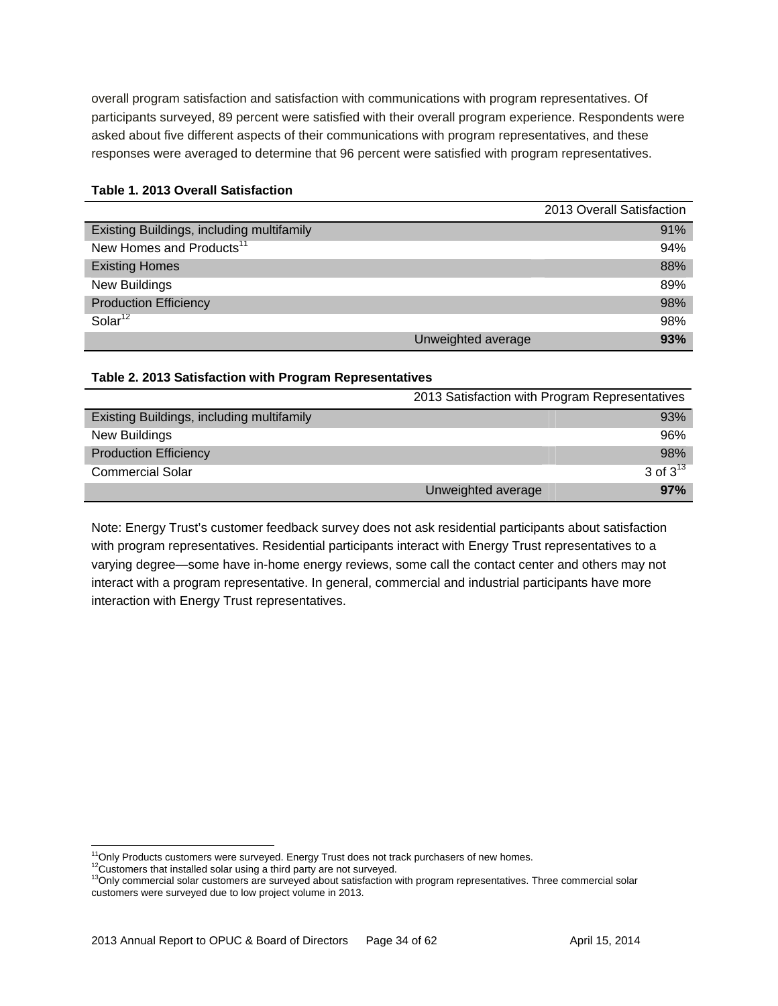overall program satisfaction and satisfaction with communications with program representatives. Of participants surveyed, 89 percent were satisfied with their overall program experience. Respondents were asked about five different aspects of their communications with program representatives, and these responses were averaged to determine that 96 percent were satisfied with program representatives.

|                                           |                    | 2013 Overall Satisfaction |
|-------------------------------------------|--------------------|---------------------------|
| Existing Buildings, including multifamily |                    | 91%                       |
| New Homes and Products <sup>11</sup>      |                    | 94%                       |
| <b>Existing Homes</b>                     |                    | 88%                       |
| New Buildings                             |                    | 89%                       |
| <b>Production Efficiency</b>              |                    | 98%                       |
| Solar <sup>12</sup>                       |                    | 98%                       |
|                                           | Unweighted average | 93%                       |

#### **Table 1. 2013 Overall Satisfaction**

#### **Table 2. 2013 Satisfaction with Program Representatives**

|                                           | 2013 Satisfaction with Program Representatives |               |  |  |
|-------------------------------------------|------------------------------------------------|---------------|--|--|
| Existing Buildings, including multifamily |                                                | 93%           |  |  |
| New Buildings                             |                                                | 96%           |  |  |
| <b>Production Efficiency</b>              |                                                | 98%           |  |  |
| <b>Commercial Solar</b>                   |                                                | 3 of $3^{13}$ |  |  |
|                                           | Unweighted average                             | 97%           |  |  |

Note: Energy Trust's customer feedback survey does not ask residential participants about satisfaction with program representatives. Residential participants interact with Energy Trust representatives to a varying degree—some have in-home energy reviews, some call the contact center and others may not interact with a program representative. In general, commercial and industrial participants have more interaction with Energy Trust representatives.

 $\overline{a}$ 

 $^{11}$ Only Products customers were surveyed. Energy Trust does not track purchasers of new homes.<br> $^{12}$ Customers that installed solar using a third party are not surveyed.<br> $^{13}$ Only commercial solar customers are survey customers were surveyed due to low project volume in 2013.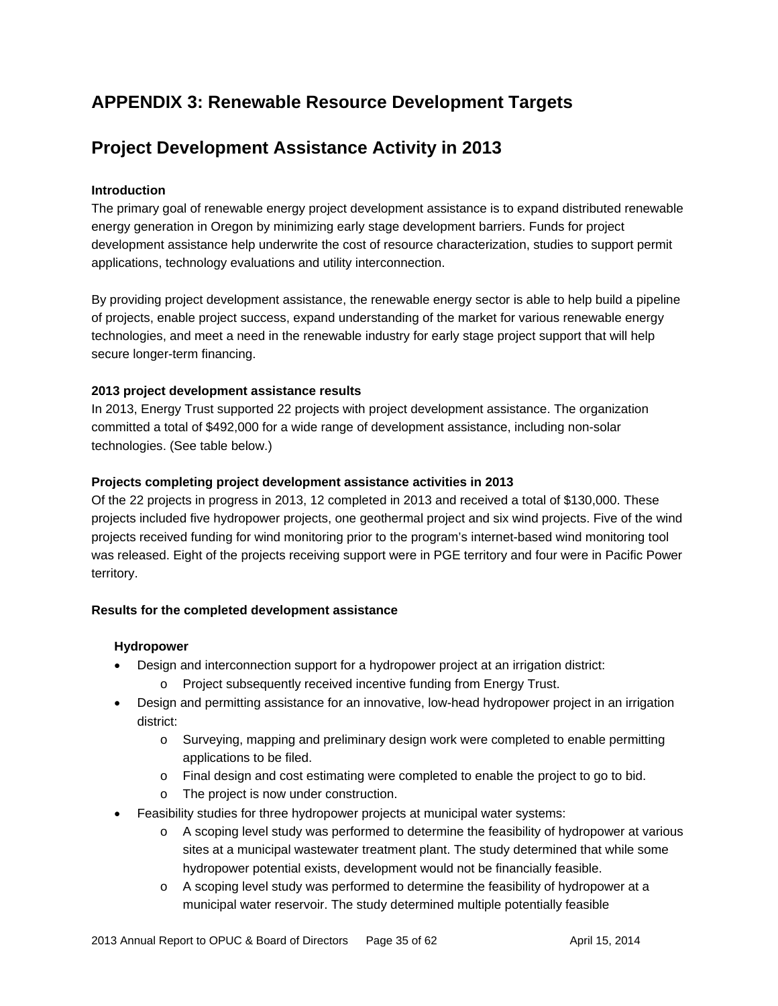# **APPENDIX 3: Renewable Resource Development Targets**

# **Project Development Assistance Activity in 2013**

#### **Introduction**

The primary goal of renewable energy project development assistance is to expand distributed renewable energy generation in Oregon by minimizing early stage development barriers. Funds for project development assistance help underwrite the cost of resource characterization, studies to support permit applications, technology evaluations and utility interconnection.

By providing project development assistance, the renewable energy sector is able to help build a pipeline of projects, enable project success, expand understanding of the market for various renewable energy technologies, and meet a need in the renewable industry for early stage project support that will help secure longer-term financing.

#### **2013 project development assistance results**

In 2013, Energy Trust supported 22 projects with project development assistance. The organization committed a total of \$492,000 for a wide range of development assistance, including non-solar technologies. (See table below.)

#### **Projects completing project development assistance activities in 2013**

Of the 22 projects in progress in 2013, 12 completed in 2013 and received a total of \$130,000. These projects included five hydropower projects, one geothermal project and six wind projects. Five of the wind projects received funding for wind monitoring prior to the program's internet-based wind monitoring tool was released. Eight of the projects receiving support were in PGE territory and four were in Pacific Power territory.

#### **Results for the completed development assistance**

#### **Hydropower**

- Design and interconnection support for a hydropower project at an irrigation district:
	- o Project subsequently received incentive funding from Energy Trust.
- Design and permitting assistance for an innovative, low-head hydropower project in an irrigation district:
	- o Surveying, mapping and preliminary design work were completed to enable permitting applications to be filed.
	- o Final design and cost estimating were completed to enable the project to go to bid.
	- o The project is now under construction.
- Feasibility studies for three hydropower projects at municipal water systems:
	- o A scoping level study was performed to determine the feasibility of hydropower at various sites at a municipal wastewater treatment plant. The study determined that while some hydropower potential exists, development would not be financially feasible.
	- o A scoping level study was performed to determine the feasibility of hydropower at a municipal water reservoir. The study determined multiple potentially feasible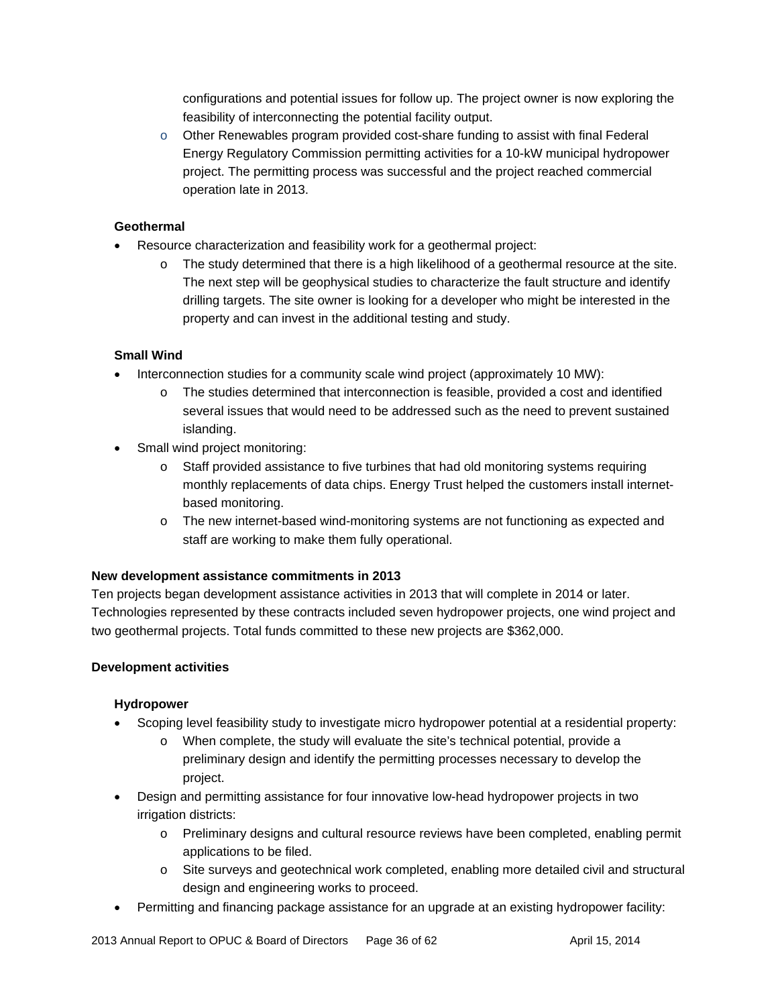configurations and potential issues for follow up. The project owner is now exploring the feasibility of interconnecting the potential facility output.

 $\circ$  Other Renewables program provided cost-share funding to assist with final Federal Energy Regulatory Commission permitting activities for a 10-kW municipal hydropower project. The permitting process was successful and the project reached commercial operation late in 2013.

#### **Geothermal**

- Resource characterization and feasibility work for a geothermal project:
	- o The study determined that there is a high likelihood of a geothermal resource at the site. The next step will be geophysical studies to characterize the fault structure and identify drilling targets. The site owner is looking for a developer who might be interested in the property and can invest in the additional testing and study.

#### **Small Wind**

- Interconnection studies for a community scale wind project (approximately 10 MW):
	- o The studies determined that interconnection is feasible, provided a cost and identified several issues that would need to be addressed such as the need to prevent sustained islanding.
- Small wind project monitoring:
	- o Staff provided assistance to five turbines that had old monitoring systems requiring monthly replacements of data chips. Energy Trust helped the customers install internetbased monitoring.
	- o The new internet-based wind-monitoring systems are not functioning as expected and staff are working to make them fully operational.

#### **New development assistance commitments in 2013**

Ten projects began development assistance activities in 2013 that will complete in 2014 or later. Technologies represented by these contracts included seven hydropower projects, one wind project and two geothermal projects. Total funds committed to these new projects are \$362,000.

#### **Development activities**

#### **Hydropower**

- Scoping level feasibility study to investigate micro hydropower potential at a residential property:
	- o When complete, the study will evaluate the site's technical potential, provide a preliminary design and identify the permitting processes necessary to develop the project.
- Design and permitting assistance for four innovative low-head hydropower projects in two irrigation districts:
	- o Preliminary designs and cultural resource reviews have been completed, enabling permit applications to be filed.
	- o Site surveys and geotechnical work completed, enabling more detailed civil and structural design and engineering works to proceed.
- Permitting and financing package assistance for an upgrade at an existing hydropower facility: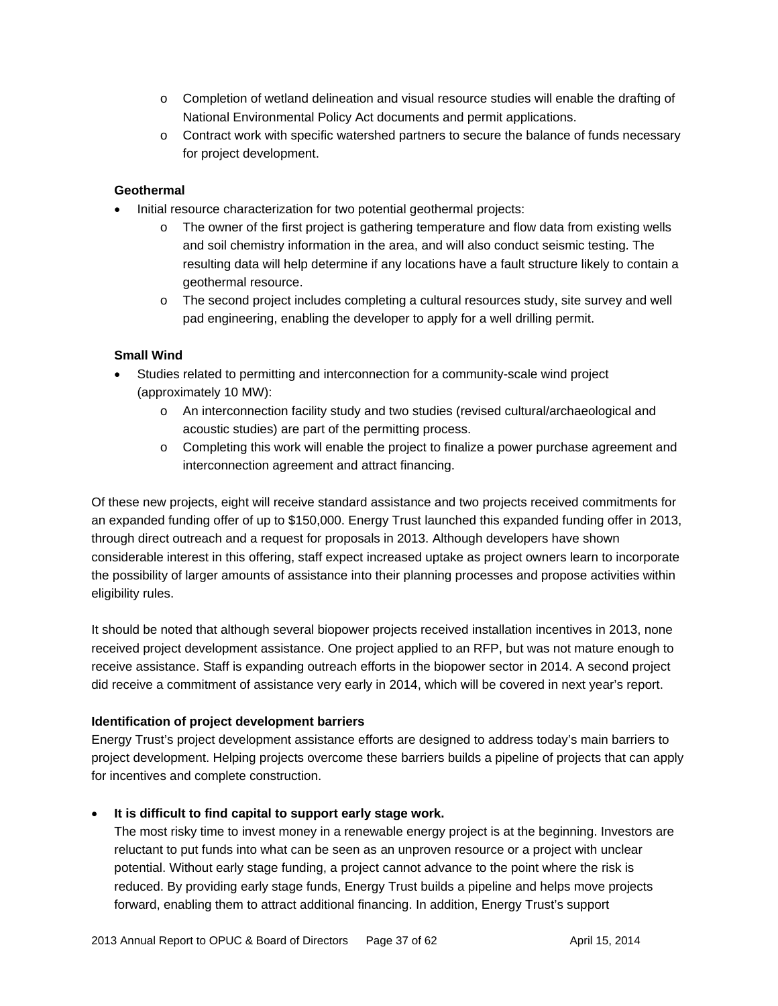- o Completion of wetland delineation and visual resource studies will enable the drafting of National Environmental Policy Act documents and permit applications.
- o Contract work with specific watershed partners to secure the balance of funds necessary for project development.

#### **Geothermal**

- Initial resource characterization for two potential geothermal projects:
	- $\circ$  The owner of the first project is gathering temperature and flow data from existing wells and soil chemistry information in the area, and will also conduct seismic testing. The resulting data will help determine if any locations have a fault structure likely to contain a geothermal resource.
	- o The second project includes completing a cultural resources study, site survey and well pad engineering, enabling the developer to apply for a well drilling permit.

#### **Small Wind**

- Studies related to permitting and interconnection for a community-scale wind project (approximately 10 MW):
	- o An interconnection facility study and two studies (revised cultural/archaeological and acoustic studies) are part of the permitting process.
	- o Completing this work will enable the project to finalize a power purchase agreement and interconnection agreement and attract financing.

Of these new projects, eight will receive standard assistance and two projects received commitments for an expanded funding offer of up to \$150,000. Energy Trust launched this expanded funding offer in 2013, through direct outreach and a request for proposals in 2013. Although developers have shown considerable interest in this offering, staff expect increased uptake as project owners learn to incorporate the possibility of larger amounts of assistance into their planning processes and propose activities within eligibility rules.

It should be noted that although several biopower projects received installation incentives in 2013, none received project development assistance. One project applied to an RFP, but was not mature enough to receive assistance. Staff is expanding outreach efforts in the biopower sector in 2014. A second project did receive a commitment of assistance very early in 2014, which will be covered in next year's report.

#### **Identification of project development barriers**

Energy Trust's project development assistance efforts are designed to address today's main barriers to project development. Helping projects overcome these barriers builds a pipeline of projects that can apply for incentives and complete construction.

#### **It is difficult to find capital to support early stage work.**

The most risky time to invest money in a renewable energy project is at the beginning. Investors are reluctant to put funds into what can be seen as an unproven resource or a project with unclear potential. Without early stage funding, a project cannot advance to the point where the risk is reduced. By providing early stage funds, Energy Trust builds a pipeline and helps move projects forward, enabling them to attract additional financing. In addition, Energy Trust's support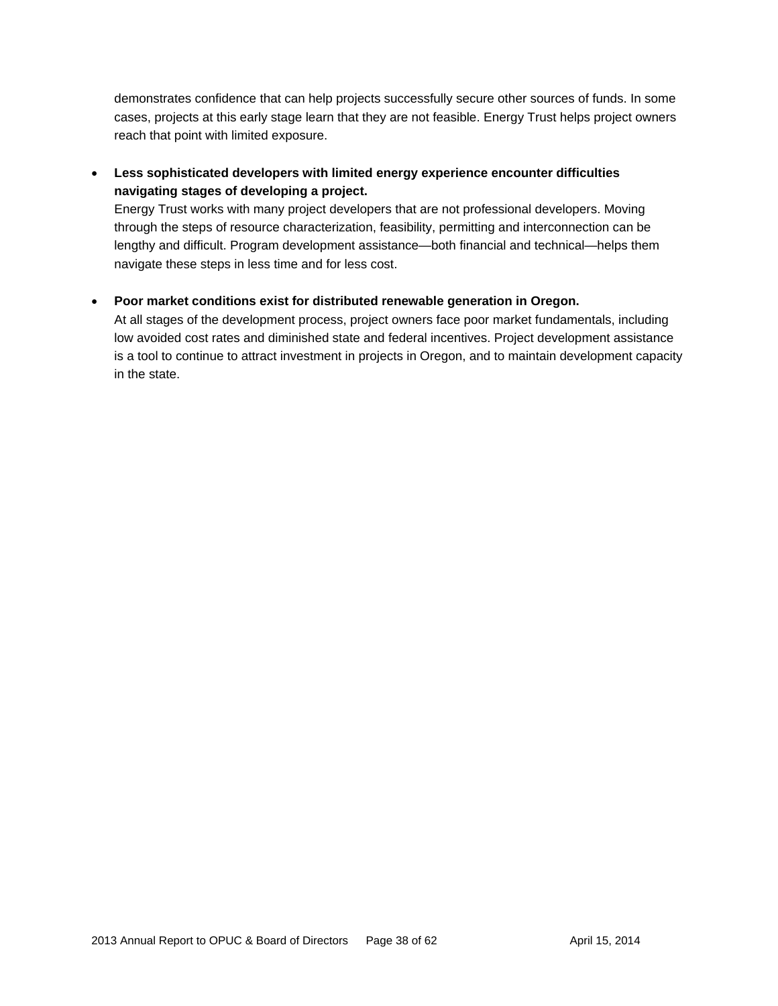demonstrates confidence that can help projects successfully secure other sources of funds. In some cases, projects at this early stage learn that they are not feasible. Energy Trust helps project owners reach that point with limited exposure.

### **Less sophisticated developers with limited energy experience encounter difficulties navigating stages of developing a project.**

Energy Trust works with many project developers that are not professional developers. Moving through the steps of resource characterization, feasibility, permitting and interconnection can be lengthy and difficult. Program development assistance—both financial and technical—helps them navigate these steps in less time and for less cost.

#### **Poor market conditions exist for distributed renewable generation in Oregon.**

At all stages of the development process, project owners face poor market fundamentals, including low avoided cost rates and diminished state and federal incentives. Project development assistance is a tool to continue to attract investment in projects in Oregon, and to maintain development capacity in the state.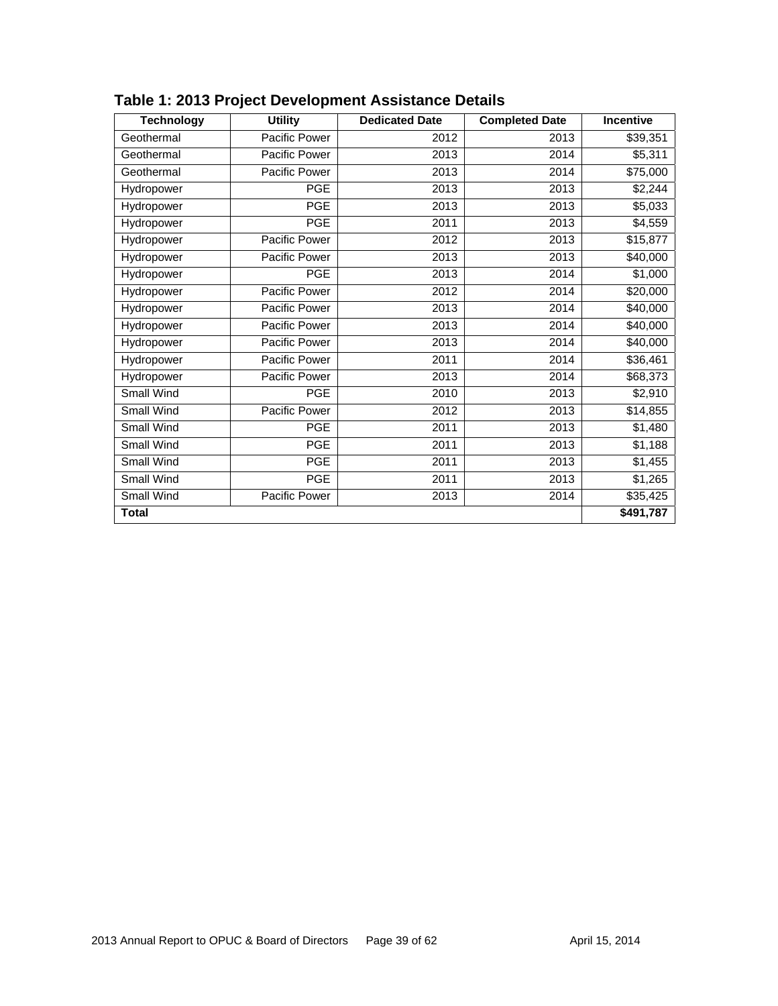| <b>Technology</b> | <b>Utility</b> | <b>Dedicated Date</b> | <b>Completed Date</b> | <b>Incentive</b> |
|-------------------|----------------|-----------------------|-----------------------|------------------|
| Geothermal        | Pacific Power  | 2012                  | 2013                  | \$39,351         |
| Geothermal        | Pacific Power  | 2013                  | 2014                  | \$5,311          |
| Geothermal        | Pacific Power  | 2013                  | 2014                  | \$75,000         |
| Hydropower        | <b>PGE</b>     | 2013                  | 2013                  | \$2,244          |
| Hydropower        | <b>PGE</b>     | 2013                  | 2013                  | \$5,033          |
| Hydropower        | <b>PGE</b>     | 2011                  | 2013                  | \$4,559          |
| Hydropower        | Pacific Power  | 2012                  | 2013                  | \$15,877         |
| Hydropower        | Pacific Power  | 2013                  | 2013                  | \$40,000         |
| Hydropower        | <b>PGE</b>     | 2013                  | 2014                  | \$1,000          |
| Hydropower        | Pacific Power  | 2012                  | 2014                  | \$20,000         |
| Hydropower        | Pacific Power  | 2013                  | 2014                  | \$40,000         |
| Hydropower        | Pacific Power  | 2013                  | 2014                  | \$40,000         |
| Hydropower        | Pacific Power  | 2013                  | 2014                  | \$40,000         |
| Hydropower        | Pacific Power  | 2011                  | 2014                  | \$36,461         |
| Hydropower        | Pacific Power  | 2013                  | 2014                  | \$68,373         |
| <b>Small Wind</b> | <b>PGE</b>     | 2010                  | 2013                  | \$2,910          |
| Small Wind        | Pacific Power  | 2012                  | 2013                  | \$14,855         |
| <b>Small Wind</b> | <b>PGE</b>     | 2011                  | 2013                  | \$1,480          |
| Small Wind        | <b>PGE</b>     | 2011                  | 2013                  | \$1,188          |
| Small Wind        | <b>PGE</b>     | 2011                  | 2013                  | \$1,455          |
| Small Wind        | <b>PGE</b>     | 2011                  | 2013                  | \$1,265          |
| Small Wind        | Pacific Power  | 2013                  | 2014                  | \$35,425         |
| <b>Total</b>      |                |                       |                       | $\sqrt{491,787}$ |

### **Table 1: 2013 Project Development Assistance Details**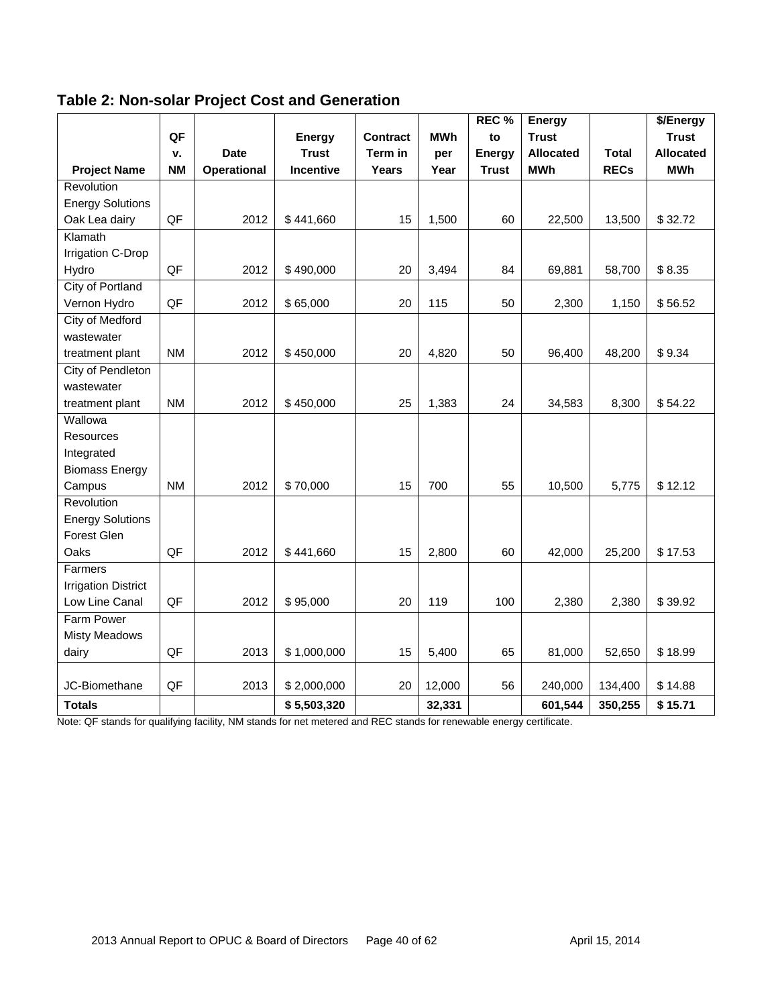| <b>Table 2: Non-solar Project Cost and Generation</b> |  |
|-------------------------------------------------------|--|
|-------------------------------------------------------|--|

|                            |           |                    |                  |                 |            | REC <sub>%</sub> | Energy           |              | \$/Energy        |
|----------------------------|-----------|--------------------|------------------|-----------------|------------|------------------|------------------|--------------|------------------|
|                            | QF        |                    | Energy           | <b>Contract</b> | <b>MWh</b> | to               | <b>Trust</b>     |              | <b>Trust</b>     |
|                            | ٧.        | <b>Date</b>        | <b>Trust</b>     | Term in         | per        | <b>Energy</b>    | <b>Allocated</b> | <b>Total</b> | <b>Allocated</b> |
| <b>Project Name</b>        | <b>NM</b> | <b>Operational</b> | <b>Incentive</b> | Years           | Year       | <b>Trust</b>     | <b>MWh</b>       | <b>RECs</b>  | <b>MWh</b>       |
| Revolution                 |           |                    |                  |                 |            |                  |                  |              |                  |
| <b>Energy Solutions</b>    |           |                    |                  |                 |            |                  |                  |              |                  |
| Oak Lea dairy              | QF        | 2012               | \$441,660        | 15              | 1,500      | 60               | 22,500           | 13,500       | \$32.72          |
| Klamath                    |           |                    |                  |                 |            |                  |                  |              |                  |
| Irrigation C-Drop          |           |                    |                  |                 |            |                  |                  |              |                  |
| Hydro                      | QF        | 2012               | \$490,000        | 20              | 3,494      | 84               | 69,881           | 58,700       | \$8.35           |
| <b>City of Portland</b>    |           |                    |                  |                 |            |                  |                  |              |                  |
| Vernon Hydro               | QF        | 2012               | \$65,000         | 20              | 115        | 50               | 2,300            | 1,150        | \$56.52          |
| <b>City of Medford</b>     |           |                    |                  |                 |            |                  |                  |              |                  |
| wastewater                 |           |                    |                  |                 |            |                  |                  |              |                  |
| treatment plant            | <b>NM</b> | 2012               | \$450,000        | 20              | 4,820      | 50               | 96,400           | 48,200       | \$9.34           |
| City of Pendleton          |           |                    |                  |                 |            |                  |                  |              |                  |
| wastewater                 |           |                    |                  |                 |            |                  |                  |              |                  |
| treatment plant            | <b>NM</b> | 2012               | \$450,000        | 25              | 1,383      | 24               | 34,583           | 8,300        | \$54.22          |
| Wallowa                    |           |                    |                  |                 |            |                  |                  |              |                  |
| Resources                  |           |                    |                  |                 |            |                  |                  |              |                  |
| Integrated                 |           |                    |                  |                 |            |                  |                  |              |                  |
| <b>Biomass Energy</b>      |           |                    |                  |                 |            |                  |                  |              |                  |
| Campus                     | <b>NM</b> | 2012               | \$70,000         | 15              | 700        | 55               | 10,500           | 5,775        | \$12.12          |
| Revolution                 |           |                    |                  |                 |            |                  |                  |              |                  |
| <b>Energy Solutions</b>    |           |                    |                  |                 |            |                  |                  |              |                  |
| Forest Glen                |           |                    |                  |                 |            |                  |                  |              |                  |
| Oaks                       | QF        | 2012               | \$441,660        | 15              | 2,800      | 60               | 42,000           | 25,200       | \$17.53          |
| Farmers                    |           |                    |                  |                 |            |                  |                  |              |                  |
| <b>Irrigation District</b> |           |                    |                  |                 |            |                  |                  |              |                  |
| Low Line Canal             | QF        | 2012               | \$95,000         | 20              | 119        | 100              | 2,380            | 2,380        | \$39.92          |
| <b>Farm Power</b>          |           |                    |                  |                 |            |                  |                  |              |                  |
| <b>Misty Meadows</b>       |           |                    |                  |                 |            |                  |                  |              |                  |
| dairy                      | QF        | 2013               | \$1,000,000      | 15              | 5,400      | 65               | 81,000           | 52,650       | \$18.99          |
|                            |           |                    |                  |                 |            |                  |                  |              |                  |
| JC-Biomethane              | QF        | 2013               | \$2,000,000      | 20              | 12,000     | 56               | 240,000          | 134,400      | \$14.88          |
| <b>Totals</b>              |           |                    | \$5,503,320      |                 | 32,331     |                  | 601,544          | 350,255      | \$15.71          |

Note: QF stands for qualifying facility, NM stands for net metered and REC stands for renewable energy certificate.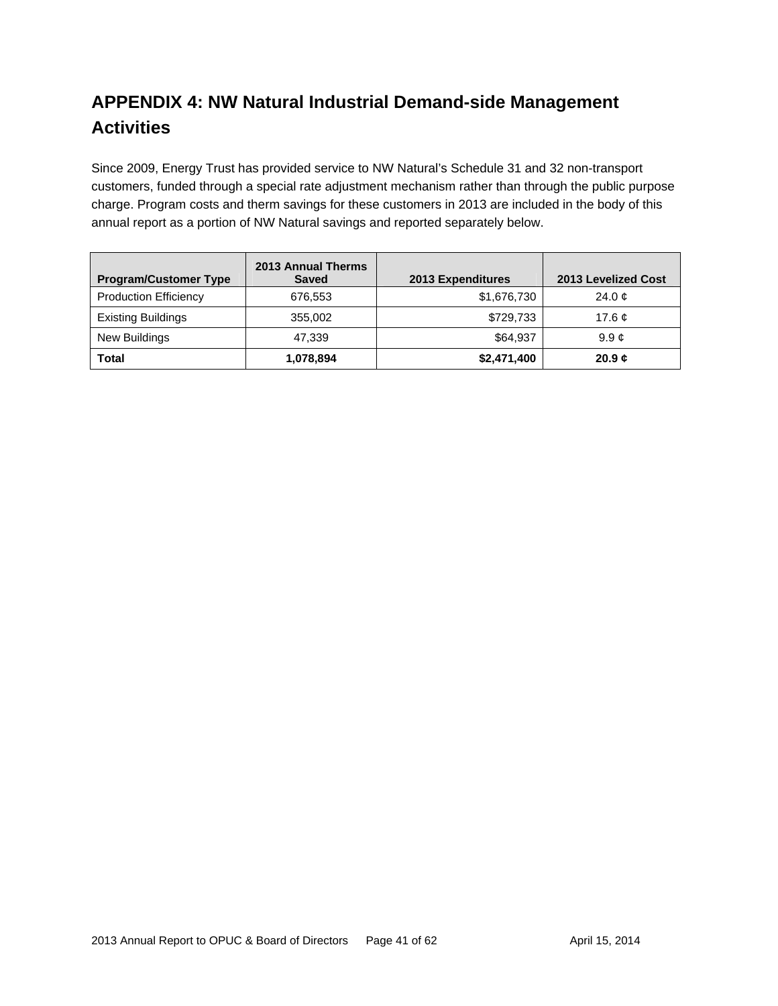# **APPENDIX 4: NW Natural Industrial Demand-side Management Activities**

Since 2009, Energy Trust has provided service to NW Natural's Schedule 31 and 32 non-transport customers, funded through a special rate adjustment mechanism rather than through the public purpose charge. Program costs and therm savings for these customers in 2013 are included in the body of this annual report as a portion of NW Natural savings and reported separately below.

| <b>Program/Customer Type</b> | 2013 Annual Therms<br><b>Saved</b> | 2013 Expenditures | 2013 Levelized Cost |  |  |
|------------------------------|------------------------------------|-------------------|---------------------|--|--|
| <b>Production Efficiency</b> | 676.553                            | \$1,676,730       | 24.0 $\sigma$       |  |  |
| <b>Existing Buildings</b>    | 355,002                            | \$729,733         | 17.6 $\mathfrak{C}$ |  |  |
| New Buildings                | 47.339                             | \$64,937          | 9.9c                |  |  |
| <b>Total</b>                 | 1,078,894                          | \$2,471,400       | 20.9c               |  |  |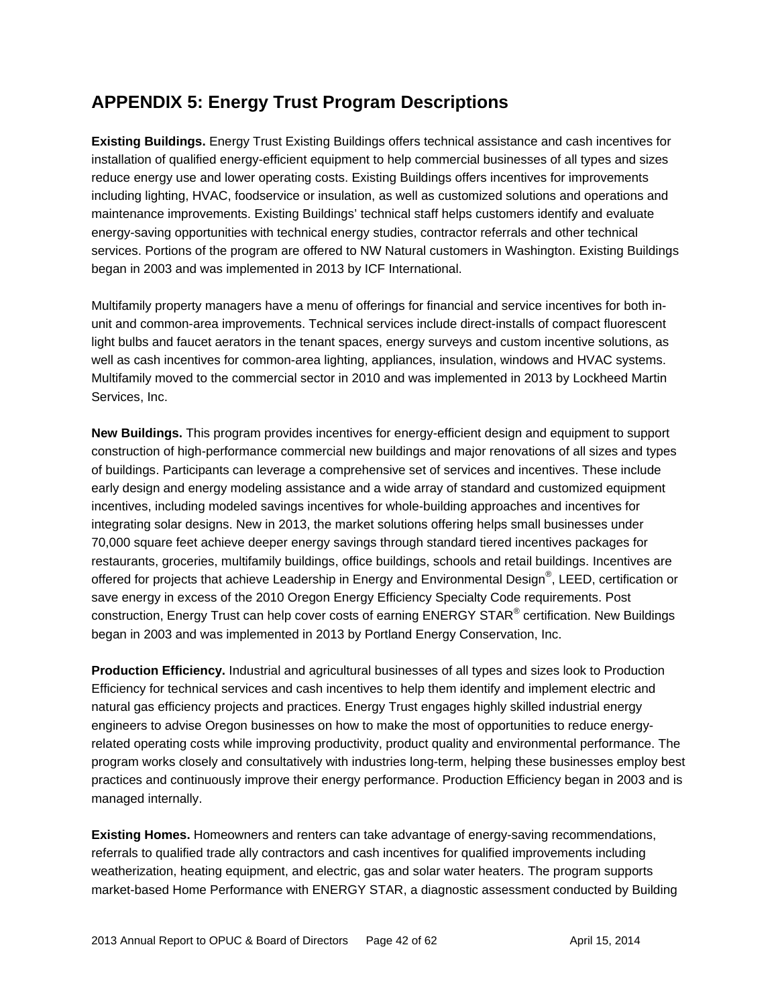# **APPENDIX 5: Energy Trust Program Descriptions**

**Existing Buildings.** Energy Trust Existing Buildings offers technical assistance and cash incentives for installation of qualified energy-efficient equipment to help commercial businesses of all types and sizes reduce energy use and lower operating costs. Existing Buildings offers incentives for improvements including lighting, HVAC, foodservice or insulation, as well as customized solutions and operations and maintenance improvements. Existing Buildings' technical staff helps customers identify and evaluate energy-saving opportunities with technical energy studies, contractor referrals and other technical services. Portions of the program are offered to NW Natural customers in Washington. Existing Buildings began in 2003 and was implemented in 2013 by ICF International.

Multifamily property managers have a menu of offerings for financial and service incentives for both inunit and common-area improvements. Technical services include direct-installs of compact fluorescent light bulbs and faucet aerators in the tenant spaces, energy surveys and custom incentive solutions, as well as cash incentives for common-area lighting, appliances, insulation, windows and HVAC systems. Multifamily moved to the commercial sector in 2010 and was implemented in 2013 by Lockheed Martin Services, Inc.

**New Buildings.** This program provides incentives for energy-efficient design and equipment to support construction of high-performance commercial new buildings and major renovations of all sizes and types of buildings. Participants can leverage a comprehensive set of services and incentives. These include early design and energy modeling assistance and a wide array of standard and customized equipment incentives, including modeled savings incentives for whole-building approaches and incentives for integrating solar designs. New in 2013, the market solutions offering helps small businesses under 70,000 square feet achieve deeper energy savings through standard tiered incentives packages for restaurants, groceries, multifamily buildings, office buildings, schools and retail buildings. Incentives are offered for projects that achieve Leadership in Energy and Environmental Design®, LEED, certification or save energy in excess of the 2010 Oregon Energy Efficiency Specialty Code requirements. Post construction, Energy Trust can help cover costs of earning ENERGY STAR<sup>®</sup> certification. New Buildings began in 2003 and was implemented in 2013 by Portland Energy Conservation, Inc.

**Production Efficiency.** Industrial and agricultural businesses of all types and sizes look to Production Efficiency for technical services and cash incentives to help them identify and implement electric and natural gas efficiency projects and practices. Energy Trust engages highly skilled industrial energy engineers to advise Oregon businesses on how to make the most of opportunities to reduce energyrelated operating costs while improving productivity, product quality and environmental performance. The program works closely and consultatively with industries long-term, helping these businesses employ best practices and continuously improve their energy performance. Production Efficiency began in 2003 and is managed internally.

**Existing Homes.** Homeowners and renters can take advantage of energy-saving recommendations, referrals to qualified trade ally contractors and cash incentives for qualified improvements including weatherization, heating equipment, and electric, gas and solar water heaters. The program supports market-based Home Performance with ENERGY STAR, a diagnostic assessment conducted by Building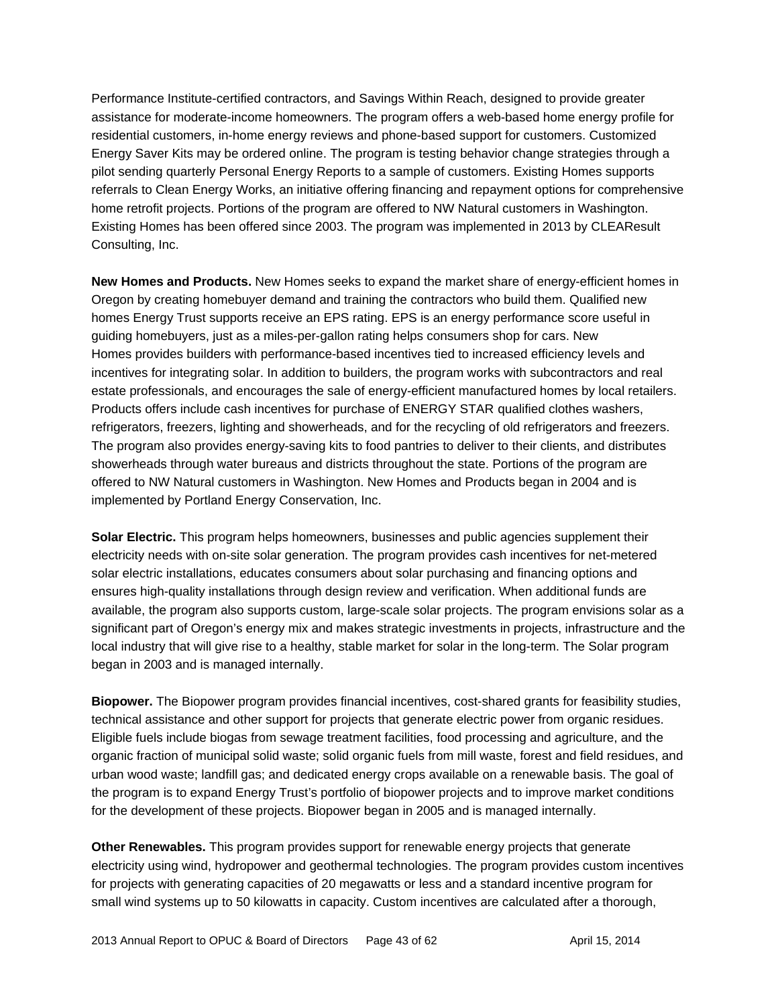Performance Institute-certified contractors, and Savings Within Reach, designed to provide greater assistance for moderate-income homeowners. The program offers a web-based home energy profile for residential customers, in-home energy reviews and phone-based support for customers. Customized Energy Saver Kits may be ordered online. The program is testing behavior change strategies through a pilot sending quarterly Personal Energy Reports to a sample of customers. Existing Homes supports referrals to Clean Energy Works, an initiative offering financing and repayment options for comprehensive home retrofit projects. Portions of the program are offered to NW Natural customers in Washington. Existing Homes has been offered since 2003. The program was implemented in 2013 by CLEAResult Consulting, Inc.

**New Homes and Products.** New Homes seeks to expand the market share of energy-efficient homes in Oregon by creating homebuyer demand and training the contractors who build them. Qualified new homes Energy Trust supports receive an EPS rating. EPS is an energy performance score useful in guiding homebuyers, just as a miles-per-gallon rating helps consumers shop for cars. New Homes provides builders with performance-based incentives tied to increased efficiency levels and incentives for integrating solar. In addition to builders, the program works with subcontractors and real estate professionals, and encourages the sale of energy-efficient manufactured homes by local retailers. Products offers include cash incentives for purchase of ENERGY STAR qualified clothes washers, refrigerators, freezers, lighting and showerheads, and for the recycling of old refrigerators and freezers. The program also provides energy-saving kits to food pantries to deliver to their clients, and distributes showerheads through water bureaus and districts throughout the state. Portions of the program are offered to NW Natural customers in Washington. New Homes and Products began in 2004 and is implemented by Portland Energy Conservation, Inc.

**Solar Electric.** This program helps homeowners, businesses and public agencies supplement their electricity needs with on-site solar generation. The program provides cash incentives for net-metered solar electric installations, educates consumers about solar purchasing and financing options and ensures high-quality installations through design review and verification. When additional funds are available, the program also supports custom, large-scale solar projects. The program envisions solar as a significant part of Oregon's energy mix and makes strategic investments in projects, infrastructure and the local industry that will give rise to a healthy, stable market for solar in the long-term. The Solar program began in 2003 and is managed internally.

**Biopower.** The Biopower program provides financial incentives, cost-shared grants for feasibility studies, technical assistance and other support for projects that generate electric power from organic residues. Eligible fuels include biogas from sewage treatment facilities, food processing and agriculture, and the organic fraction of municipal solid waste; solid organic fuels from mill waste, forest and field residues, and urban wood waste; landfill gas; and dedicated energy crops available on a renewable basis. The goal of the program is to expand Energy Trust's portfolio of biopower projects and to improve market conditions for the development of these projects. Biopower began in 2005 and is managed internally.

**Other Renewables.** This program provides support for renewable energy projects that generate electricity using wind, hydropower and geothermal technologies. The program provides custom incentives for projects with generating capacities of 20 megawatts or less and a standard incentive program for small wind systems up to 50 kilowatts in capacity. Custom incentives are calculated after a thorough,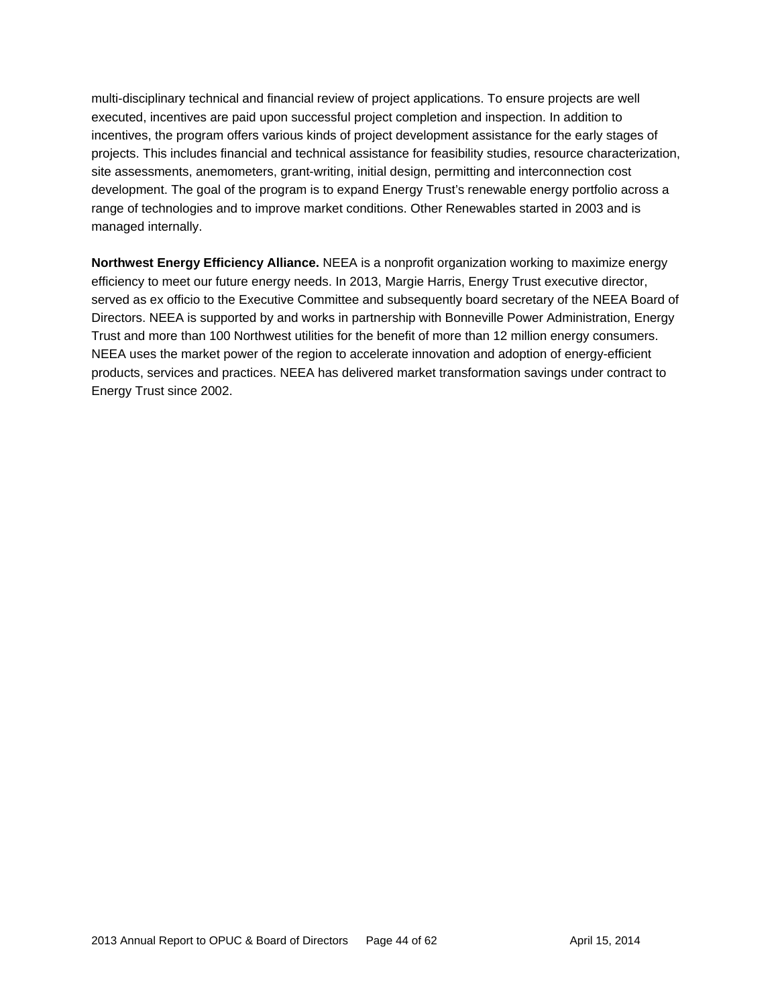multi-disciplinary technical and financial review of project applications. To ensure projects are well executed, incentives are paid upon successful project completion and inspection. In addition to incentives, the program offers various kinds of project development assistance for the early stages of projects. This includes financial and technical assistance for feasibility studies, resource characterization, site assessments, anemometers, grant-writing, initial design, permitting and interconnection cost development. The goal of the program is to expand Energy Trust's renewable energy portfolio across a range of technologies and to improve market conditions. Other Renewables started in 2003 and is managed internally.

**Northwest Energy Efficiency Alliance.** NEEA is a nonprofit organization working to maximize energy efficiency to meet our future energy needs. In 2013, Margie Harris, Energy Trust executive director, served as ex officio to the Executive Committee and subsequently board secretary of the NEEA Board of Directors. NEEA is supported by and works in partnership with Bonneville Power Administration, Energy Trust and more than 100 Northwest utilities for the benefit of more than 12 million energy consumers. NEEA uses the market power of the region to accelerate innovation and adoption of energy-efficient products, services and practices. NEEA has delivered market transformation savings under contract to Energy Trust since 2002.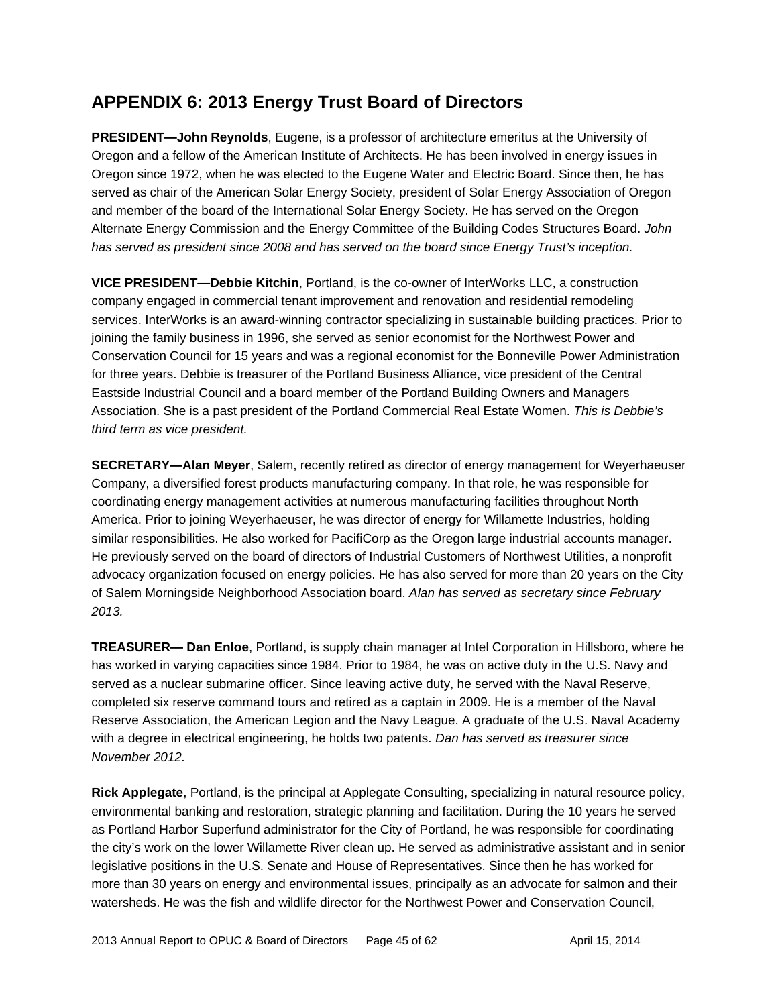# **APPENDIX 6: 2013 Energy Trust Board of Directors**

**PRESIDENT—John Reynolds**, Eugene, is a professor of architecture emeritus at the University of Oregon and a fellow of the American Institute of Architects. He has been involved in energy issues in Oregon since 1972, when he was elected to the Eugene Water and Electric Board. Since then, he has served as chair of the American Solar Energy Society, president of Solar Energy Association of Oregon and member of the board of the International Solar Energy Society. He has served on the Oregon Alternate Energy Commission and the Energy Committee of the Building Codes Structures Board. *John has served as president since 2008 and has served on the board since Energy Trust's inception.* 

**VICE PRESIDENT—Debbie Kitchin**, Portland, is the co-owner of InterWorks LLC, a construction company engaged in commercial tenant improvement and renovation and residential remodeling services. InterWorks is an award-winning contractor specializing in sustainable building practices. Prior to joining the family business in 1996, she served as senior economist for the Northwest Power and Conservation Council for 15 years and was a regional economist for the Bonneville Power Administration for three years. Debbie is treasurer of the Portland Business Alliance, vice president of the Central Eastside Industrial Council and a board member of the Portland Building Owners and Managers Association. She is a past president of the Portland Commercial Real Estate Women. *This is Debbie's third term as vice president.*

**SECRETARY—Alan Meyer**, Salem, recently retired as director of energy management for Weyerhaeuser Company, a diversified forest products manufacturing company. In that role, he was responsible for coordinating energy management activities at numerous manufacturing facilities throughout North America. Prior to joining Weyerhaeuser, he was director of energy for Willamette Industries, holding similar responsibilities. He also worked for PacifiCorp as the Oregon large industrial accounts manager. He previously served on the board of directors of Industrial Customers of Northwest Utilities, a nonprofit advocacy organization focused on energy policies. He has also served for more than 20 years on the City of Salem Morningside Neighborhood Association board. *Alan has served as secretary since February 2013.*

**TREASURER— Dan Enloe**, Portland, is supply chain manager at Intel Corporation in Hillsboro, where he has worked in varying capacities since 1984. Prior to 1984, he was on active duty in the U.S. Navy and served as a nuclear submarine officer. Since leaving active duty, he served with the Naval Reserve, completed six reserve command tours and retired as a captain in 2009. He is a member of the Naval Reserve Association, the American Legion and the Navy League. A graduate of the U.S. Naval Academy with a degree in electrical engineering, he holds two patents. *Dan has served as treasurer since November 2012.*

**Rick Applegate**, Portland, is the principal at Applegate Consulting, specializing in natural resource policy, environmental banking and restoration, strategic planning and facilitation. During the 10 years he served as Portland Harbor Superfund administrator for the City of Portland, he was responsible for coordinating the city's work on the lower Willamette River clean up. He served as administrative assistant and in senior legislative positions in the U.S. Senate and House of Representatives. Since then he has worked for more than 30 years on energy and environmental issues, principally as an advocate for salmon and their watersheds. He was the fish and wildlife director for the Northwest Power and Conservation Council,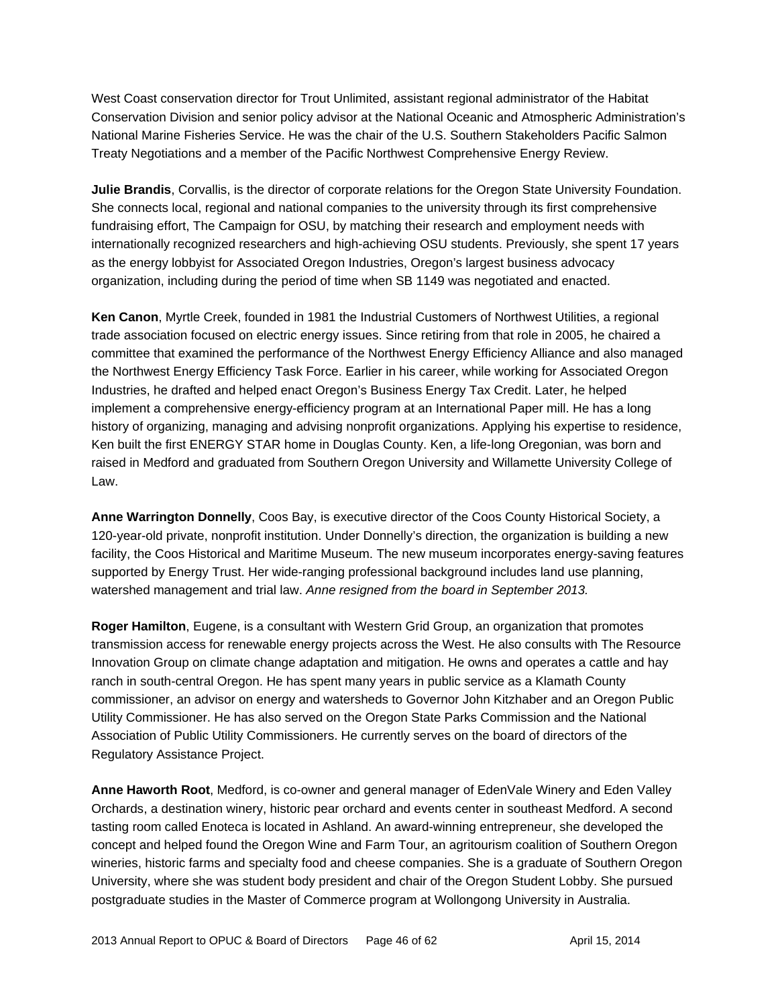West Coast conservation director for Trout Unlimited, assistant regional administrator of the Habitat Conservation Division and senior policy advisor at the National Oceanic and Atmospheric Administration's National Marine Fisheries Service. He was the chair of the U.S. Southern Stakeholders Pacific Salmon Treaty Negotiations and a member of the Pacific Northwest Comprehensive Energy Review.

**Julie Brandis**, Corvallis, is the director of corporate relations for the Oregon State University Foundation. She connects local, regional and national companies to the university through its first comprehensive fundraising effort, The Campaign for OSU, by matching their research and employment needs with internationally recognized researchers and high-achieving OSU students. Previously, she spent 17 years as the energy lobbyist for Associated Oregon Industries, Oregon's largest business advocacy organization, including during the period of time when SB 1149 was negotiated and enacted.

**Ken Canon**, Myrtle Creek, founded in 1981 the Industrial Customers of Northwest Utilities, a regional trade association focused on electric energy issues. Since retiring from that role in 2005, he chaired a committee that examined the performance of the Northwest Energy Efficiency Alliance and also managed the Northwest Energy Efficiency Task Force. Earlier in his career, while working for Associated Oregon Industries, he drafted and helped enact Oregon's Business Energy Tax Credit. Later, he helped implement a comprehensive energy-efficiency program at an International Paper mill. He has a long history of organizing, managing and advising nonprofit organizations. Applying his expertise to residence, Ken built the first ENERGY STAR home in Douglas County. Ken, a life-long Oregonian, was born and raised in Medford and graduated from Southern Oregon University and Willamette University College of Law.

**Anne Warrington Donnelly**, Coos Bay, is executive director of the Coos County Historical Society, a 120-year-old private, nonprofit institution. Under Donnelly's direction, the organization is building a new facility, the Coos Historical and Maritime Museum. The new museum incorporates energy-saving features supported by Energy Trust. Her wide-ranging professional background includes land use planning, watershed management and trial law. *Anne resigned from the board in September 2013.* 

**Roger Hamilton**, Eugene, is a consultant with Western Grid Group, an organization that promotes transmission access for renewable energy projects across the West. He also consults with The Resource Innovation Group on climate change adaptation and mitigation. He owns and operates a cattle and hay ranch in south-central Oregon. He has spent many years in public service as a Klamath County commissioner, an advisor on energy and watersheds to Governor John Kitzhaber and an Oregon Public Utility Commissioner. He has also served on the Oregon State Parks Commission and the National Association of Public Utility Commissioners. He currently serves on the board of directors of the Regulatory Assistance Project.

**Anne Haworth Root**, Medford, is co-owner and general manager of EdenVale Winery and Eden Valley Orchards, a destination winery, historic pear orchard and events center in southeast Medford. A second tasting room called Enoteca is located in Ashland. An award-winning entrepreneur, she developed the concept and helped found the Oregon Wine and Farm Tour, an agritourism coalition of Southern Oregon wineries, historic farms and specialty food and cheese companies. She is a graduate of Southern Oregon University, where she was student body president and chair of the Oregon Student Lobby. She pursued postgraduate studies in the Master of Commerce program at Wollongong University in Australia.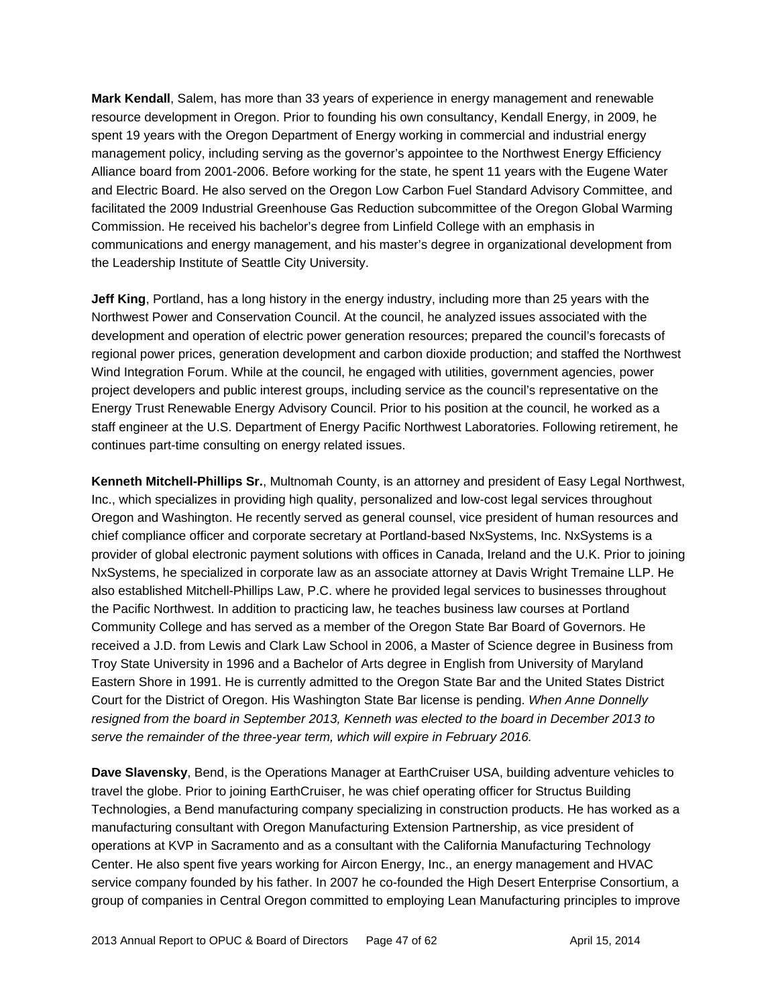**Mark Kendall**, Salem, has more than 33 years of experience in energy management and renewable resource development in Oregon. Prior to founding his own consultancy, Kendall Energy, in 2009, he spent 19 years with the Oregon Department of Energy working in commercial and industrial energy management policy, including serving as the governor's appointee to the Northwest Energy Efficiency Alliance board from 2001-2006. Before working for the state, he spent 11 years with the Eugene Water and Electric Board. He also served on the Oregon Low Carbon Fuel Standard Advisory Committee, and facilitated the 2009 Industrial Greenhouse Gas Reduction subcommittee of the Oregon Global Warming Commission. He received his bachelor's degree from Linfield College with an emphasis in communications and energy management, and his master's degree in organizational development from the Leadership Institute of Seattle City University.

**Jeff King**, Portland, has a long history in the energy industry, including more than 25 years with the Northwest Power and Conservation Council. At the council, he analyzed issues associated with the development and operation of electric power generation resources; prepared the council's forecasts of regional power prices, generation development and carbon dioxide production; and staffed the Northwest Wind Integration Forum. While at the council, he engaged with utilities, government agencies, power project developers and public interest groups, including service as the council's representative on the Energy Trust Renewable Energy Advisory Council. Prior to his position at the council, he worked as a staff engineer at the U.S. Department of Energy Pacific Northwest Laboratories. Following retirement, he continues part-time consulting on energy related issues.

**Kenneth Mitchell-Phillips Sr.**, Multnomah County, is an attorney and president of Easy Legal Northwest, Inc., which specializes in providing high quality, personalized and low-cost legal services throughout Oregon and Washington. He recently served as general counsel, vice president of human resources and chief compliance officer and corporate secretary at Portland-based NxSystems, Inc. NxSystems is a provider of global electronic payment solutions with offices in Canada, Ireland and the U.K. Prior to joining NxSystems, he specialized in corporate law as an associate attorney at Davis Wright Tremaine LLP. He also established Mitchell-Phillips Law, P.C. where he provided legal services to businesses throughout the Pacific Northwest. In addition to practicing law, he teaches business law courses at Portland Community College and has served as a member of the Oregon State Bar Board of Governors. He received a J.D. from Lewis and Clark Law School in 2006, a Master of Science degree in Business from Troy State University in 1996 and a Bachelor of Arts degree in English from University of Maryland Eastern Shore in 1991. He is currently admitted to the Oregon State Bar and the United States District Court for the District of Oregon. His Washington State Bar license is pending. *When Anne Donnelly resigned from the board in September 2013, Kenneth was elected to the board in December 2013 to serve the remainder of the three-year term, which will expire in February 2016.* 

**Dave Slavensky**, Bend, is the Operations Manager at EarthCruiser USA, building adventure vehicles to travel the globe. Prior to joining EarthCruiser, he was chief operating officer for Structus Building Technologies, a Bend manufacturing company specializing in construction products. He has worked as a manufacturing consultant with Oregon Manufacturing Extension Partnership, as vice president of operations at KVP in Sacramento and as a consultant with the California Manufacturing Technology Center. He also spent five years working for Aircon Energy, Inc., an energy management and HVAC service company founded by his father. In 2007 he co-founded the High Desert Enterprise Consortium, a group of companies in Central Oregon committed to employing Lean Manufacturing principles to improve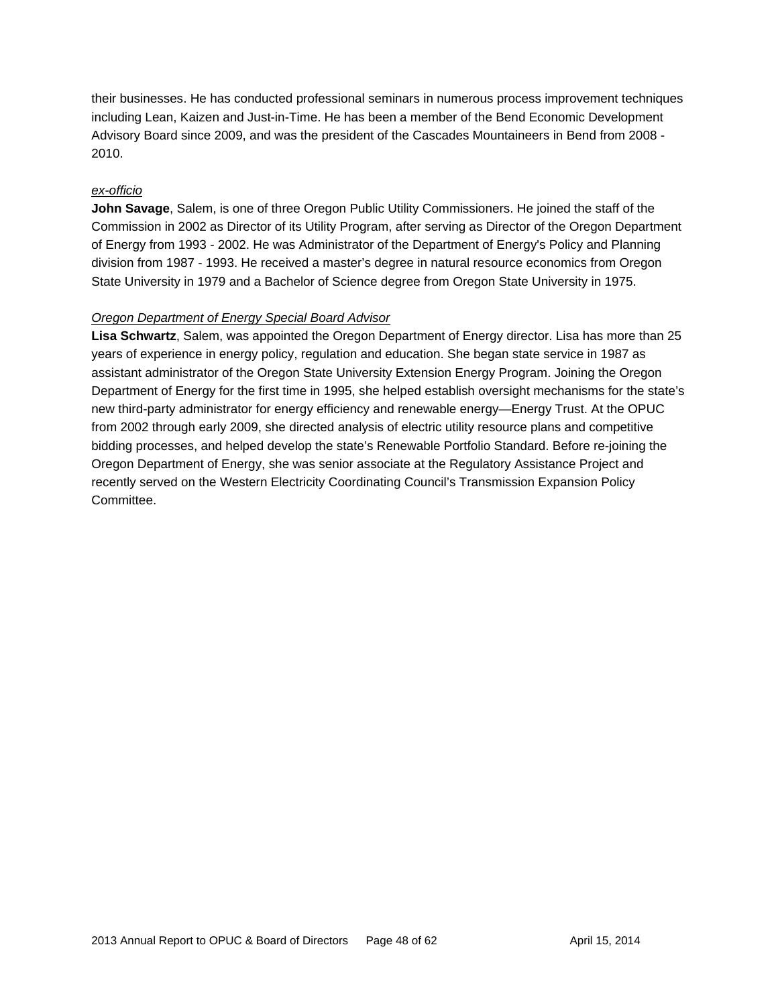their businesses. He has conducted professional seminars in numerous process improvement techniques including Lean, Kaizen and Just-in-Time. He has been a member of the Bend Economic Development Advisory Board since 2009, and was the president of the Cascades Mountaineers in Bend from 2008 - 2010.

#### *ex-officio*

**John Savage**, Salem, is one of three Oregon Public Utility Commissioners. He joined the staff of the Commission in 2002 as Director of its Utility Program, after serving as Director of the Oregon Department of Energy from 1993 - 2002. He was Administrator of the Department of Energy's Policy and Planning division from 1987 - 1993. He received a master's degree in natural resource economics from Oregon State University in 1979 and a Bachelor of Science degree from Oregon State University in 1975.

#### *Oregon Department of Energy Special Board Advisor*

**Lisa Schwartz**, Salem, was appointed the Oregon Department of Energy director. Lisa has more than 25 years of experience in energy policy, regulation and education. She began state service in 1987 as assistant administrator of the Oregon State University Extension Energy Program. Joining the Oregon Department of Energy for the first time in 1995, she helped establish oversight mechanisms for the state's new third-party administrator for energy efficiency and renewable energy—Energy Trust. At the OPUC from 2002 through early 2009, she directed analysis of electric utility resource plans and competitive bidding processes, and helped develop the state's Renewable Portfolio Standard. Before re-joining the Oregon Department of Energy, she was senior associate at the Regulatory Assistance Project and recently served on the Western Electricity Coordinating Council's Transmission Expansion Policy Committee.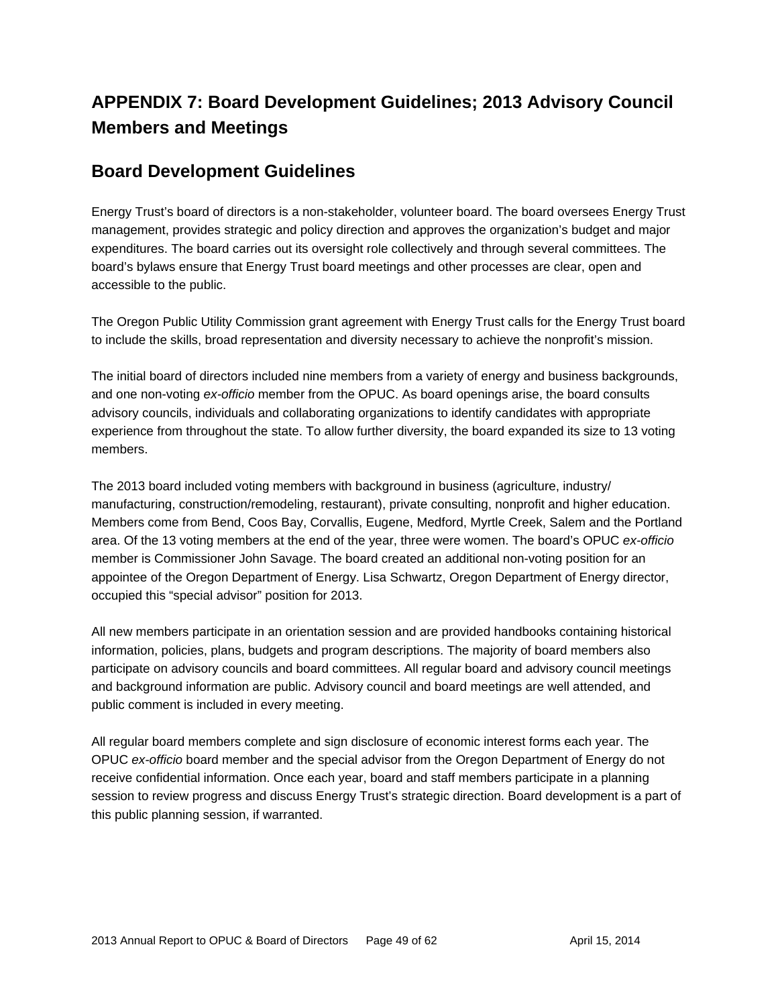# **APPENDIX 7: Board Development Guidelines; 2013 Advisory Council Members and Meetings**

### **Board Development Guidelines**

Energy Trust's board of directors is a non-stakeholder, volunteer board. The board oversees Energy Trust management, provides strategic and policy direction and approves the organization's budget and major expenditures. The board carries out its oversight role collectively and through several committees. The board's bylaws ensure that Energy Trust board meetings and other processes are clear, open and accessible to the public.

The Oregon Public Utility Commission grant agreement with Energy Trust calls for the Energy Trust board to include the skills, broad representation and diversity necessary to achieve the nonprofit's mission.

The initial board of directors included nine members from a variety of energy and business backgrounds, and one non-voting *ex-officio* member from the OPUC. As board openings arise, the board consults advisory councils, individuals and collaborating organizations to identify candidates with appropriate experience from throughout the state. To allow further diversity, the board expanded its size to 13 voting members.

The 2013 board included voting members with background in business (agriculture, industry/ manufacturing, construction/remodeling, restaurant), private consulting, nonprofit and higher education. Members come from Bend, Coos Bay, Corvallis, Eugene, Medford, Myrtle Creek, Salem and the Portland area. Of the 13 voting members at the end of the year, three were women. The board's OPUC *ex-officio* member is Commissioner John Savage. The board created an additional non-voting position for an appointee of the Oregon Department of Energy. Lisa Schwartz, Oregon Department of Energy director, occupied this "special advisor" position for 2013.

All new members participate in an orientation session and are provided handbooks containing historical information, policies, plans, budgets and program descriptions. The majority of board members also participate on advisory councils and board committees. All regular board and advisory council meetings and background information are public. Advisory council and board meetings are well attended, and public comment is included in every meeting.

All regular board members complete and sign disclosure of economic interest forms each year. The OPUC *ex-officio* board member and the special advisor from the Oregon Department of Energy do not receive confidential information. Once each year, board and staff members participate in a planning session to review progress and discuss Energy Trust's strategic direction. Board development is a part of this public planning session, if warranted.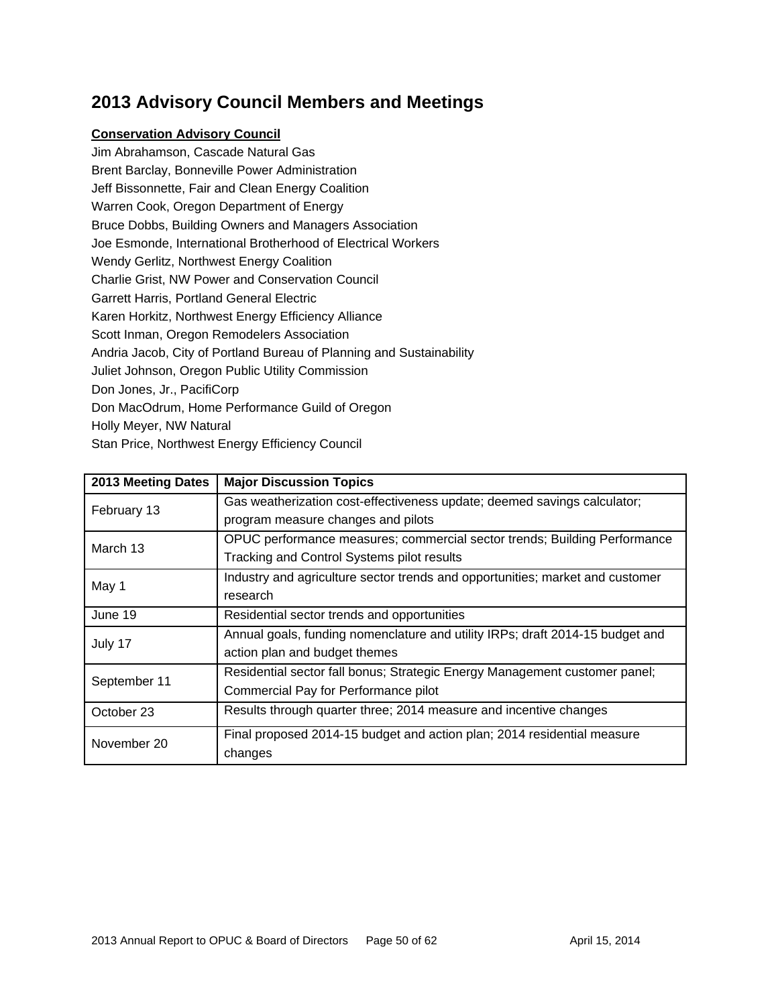# **2013 Advisory Council Members and Meetings**

#### **Conservation Advisory Council**

Jim Abrahamson, Cascade Natural Gas Brent Barclay, Bonneville Power Administration Jeff Bissonnette, Fair and Clean Energy Coalition Warren Cook, Oregon Department of Energy Bruce Dobbs, Building Owners and Managers Association Joe Esmonde, International Brotherhood of Electrical Workers Wendy Gerlitz, Northwest Energy Coalition Charlie Grist, NW Power and Conservation Council Garrett Harris, Portland General Electric Karen Horkitz, Northwest Energy Efficiency Alliance Scott Inman, Oregon Remodelers Association Andria Jacob, City of Portland Bureau of Planning and Sustainability Juliet Johnson, Oregon Public Utility Commission Don Jones, Jr., PacifiCorp Don MacOdrum, Home Performance Guild of Oregon Holly Meyer, NW Natural Stan Price, Northwest Energy Efficiency Council

| 2013 Meeting Dates | <b>Major Discussion Topics</b>                                                |
|--------------------|-------------------------------------------------------------------------------|
| February 13        | Gas weatherization cost-effectiveness update; deemed savings calculator;      |
|                    | program measure changes and pilots                                            |
| March 13           | OPUC performance measures; commercial sector trends; Building Performance     |
|                    | Tracking and Control Systems pilot results                                    |
| May 1              | Industry and agriculture sector trends and opportunities; market and customer |
|                    | research                                                                      |
| June 19            | Residential sector trends and opportunities                                   |
| July 17            | Annual goals, funding nomenclature and utility IRPs; draft 2014-15 budget and |
|                    | action plan and budget themes                                                 |
| September 11       | Residential sector fall bonus; Strategic Energy Management customer panel;    |
|                    | Commercial Pay for Performance pilot                                          |
| October 23         | Results through quarter three; 2014 measure and incentive changes             |
| November 20        | Final proposed 2014-15 budget and action plan; 2014 residential measure       |
|                    | changes                                                                       |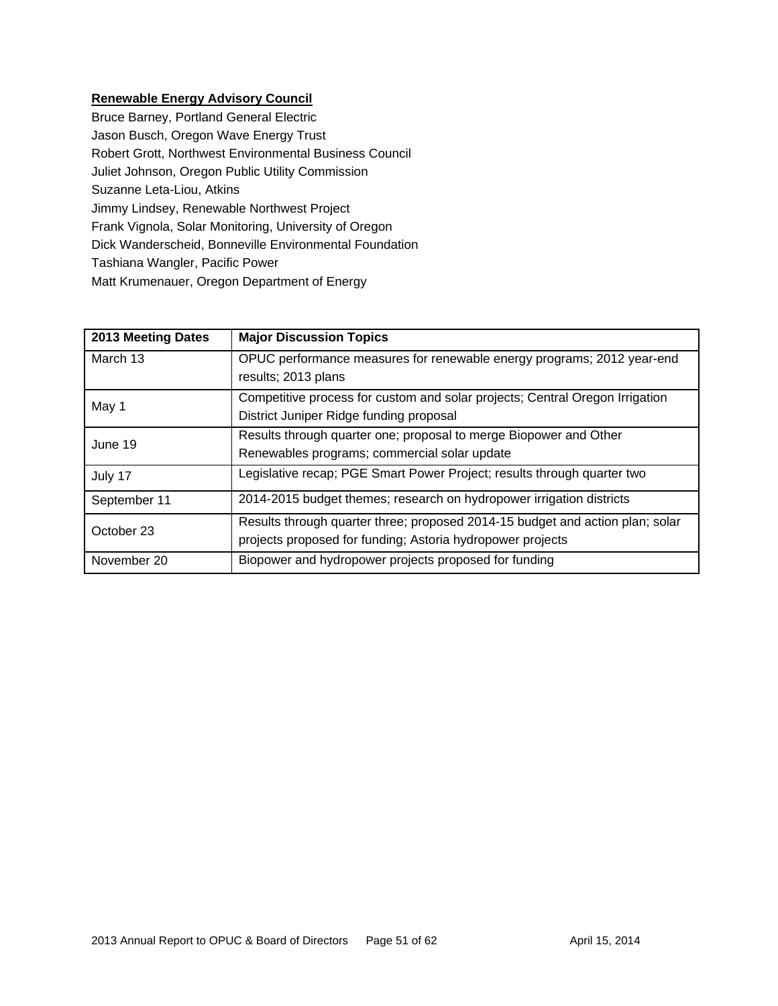#### **Renewable Energy Advisory Council**

Bruce Barney, Portland General Electric Jason Busch, Oregon Wave Energy Trust Robert Grott, Northwest Environmental Business Council Juliet Johnson, Oregon Public Utility Commission Suzanne Leta-Liou, Atkins Jimmy Lindsey, Renewable Northwest Project Frank Vignola, Solar Monitoring, University of Oregon Dick Wanderscheid, Bonneville Environmental Foundation Tashiana Wangler, Pacific Power Matt Krumenauer, Oregon Department of Energy

| 2013 Meeting Dates | <b>Major Discussion Topics</b>                                                |
|--------------------|-------------------------------------------------------------------------------|
| March 13           | OPUC performance measures for renewable energy programs; 2012 year-end        |
|                    | results; 2013 plans                                                           |
| May 1              | Competitive process for custom and solar projects; Central Oregon Irrigation  |
|                    | District Juniper Ridge funding proposal                                       |
| June 19            | Results through quarter one; proposal to merge Biopower and Other             |
|                    | Renewables programs; commercial solar update                                  |
| July 17            | Legislative recap; PGE Smart Power Project; results through quarter two       |
| September 11       | 2014-2015 budget themes; research on hydropower irrigation districts          |
| October 23         | Results through quarter three; proposed 2014-15 budget and action plan; solar |
|                    | projects proposed for funding; Astoria hydropower projects                    |
| November 20        | Biopower and hydropower projects proposed for funding                         |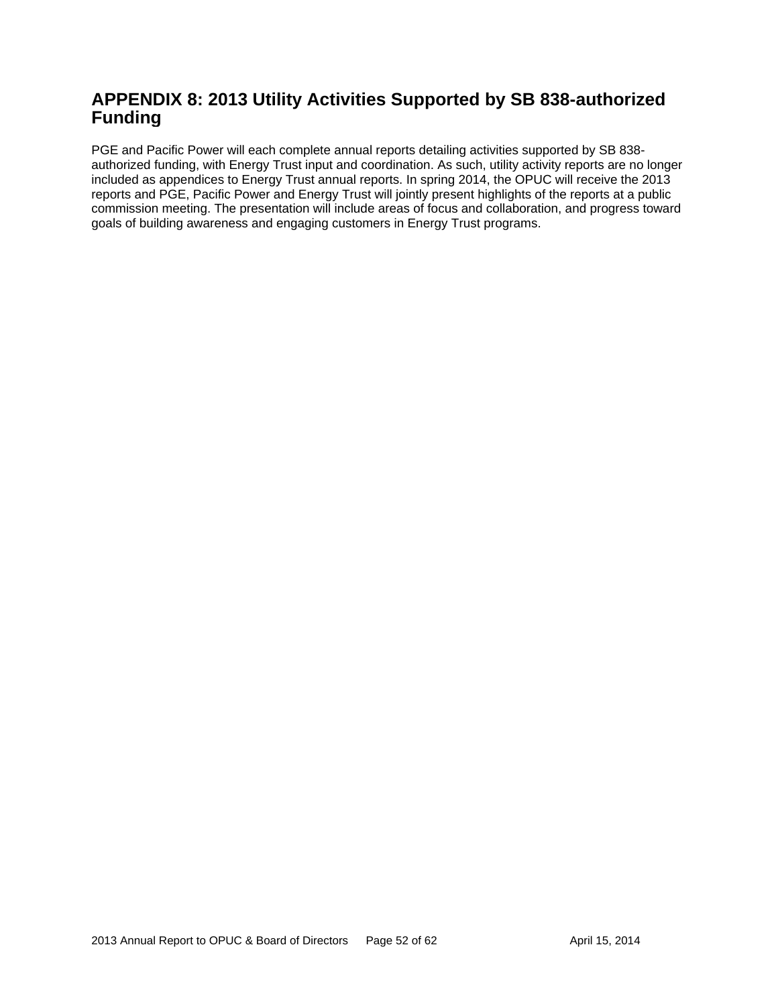### **APPENDIX 8: 2013 Utility Activities Supported by SB 838-authorized Funding**

PGE and Pacific Power will each complete annual reports detailing activities supported by SB 838 authorized funding, with Energy Trust input and coordination. As such, utility activity reports are no longer included as appendices to Energy Trust annual reports. In spring 2014, the OPUC will receive the 2013 reports and PGE, Pacific Power and Energy Trust will jointly present highlights of the reports at a public commission meeting. The presentation will include areas of focus and collaboration, and progress toward goals of building awareness and engaging customers in Energy Trust programs.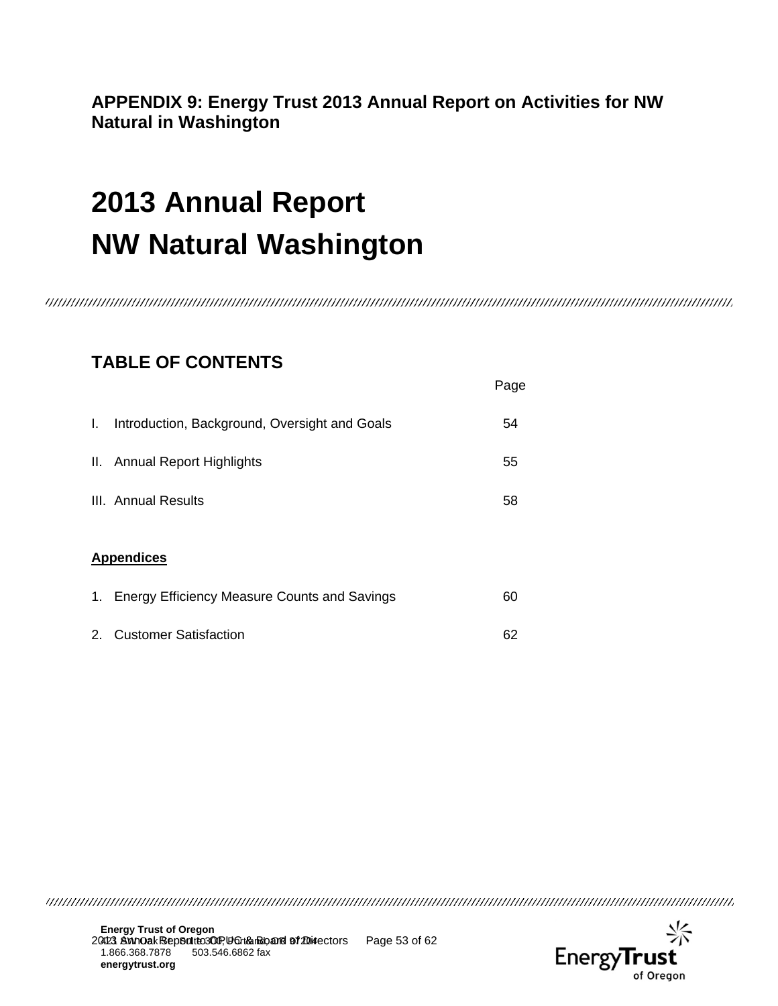# **APPENDIX 9: Energy Trust 2013 Annual Report on Activities for NW Natural in Washington**

# **2013 Annual Report NW Natural Washington**

# **TABLE OF CONTENTS**

|    |                                                     | Page |
|----|-----------------------------------------------------|------|
| L. | Introduction, Background, Oversight and Goals       | 54   |
|    | II. Annual Report Highlights                        | 55   |
|    | III. Annual Results                                 | 58   |
|    | <b>Appendices</b>                                   |      |
| 1. | <b>Energy Efficiency Measure Counts and Savings</b> | 60   |
| 2. | <b>Customer Satisfaction</b>                        | 62   |

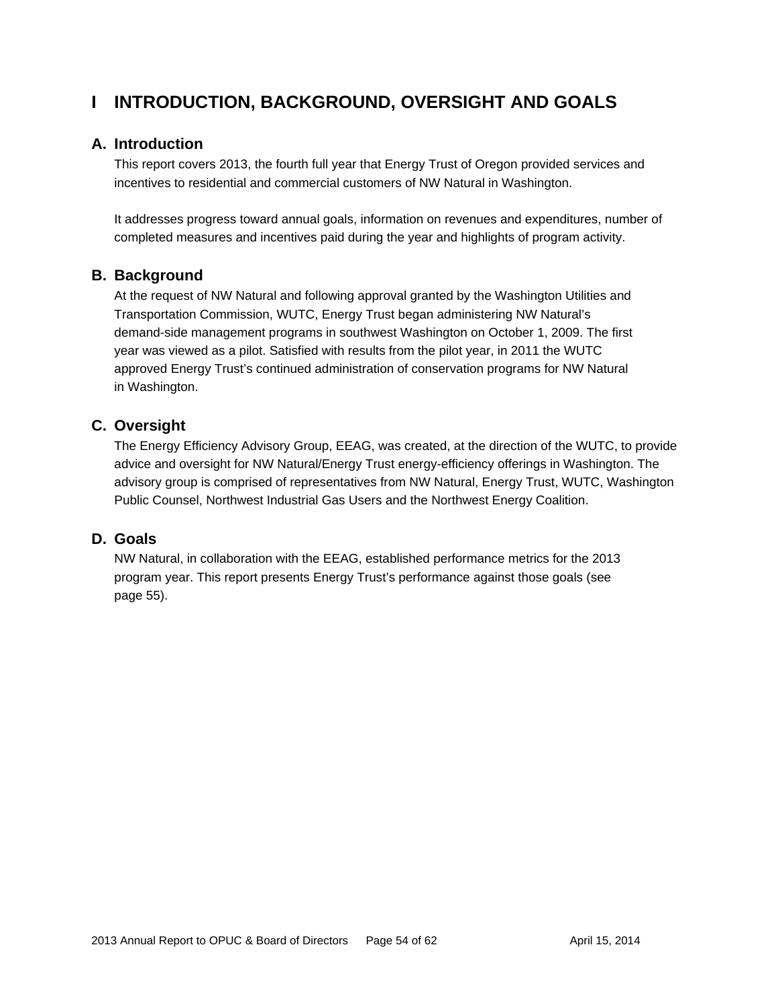# **I INTRODUCTION, BACKGROUND, OVERSIGHT AND GOALS**

### **A. Introduction**

This report covers 2013, the fourth full year that Energy Trust of Oregon provided services and incentives to residential and commercial customers of NW Natural in Washington.

It addresses progress toward annual goals, information on revenues and expenditures, number of completed measures and incentives paid during the year and highlights of program activity.

#### **B. Background**

At the request of NW Natural and following approval granted by the Washington Utilities and Transportation Commission, WUTC, Energy Trust began administering NW Natural's demand-side management programs in southwest Washington on October 1, 2009. The first year was viewed as a pilot. Satisfied with results from the pilot year, in 2011 the WUTC approved Energy Trust's continued administration of conservation programs for NW Natural in Washington.

### **C. Oversight**

The Energy Efficiency Advisory Group, EEAG, was created, at the direction of the WUTC, to provide advice and oversight for NW Natural/Energy Trust energy-efficiency offerings in Washington. The advisory group is comprised of representatives from NW Natural, Energy Trust, WUTC, Washington Public Counsel, Northwest Industrial Gas Users and the Northwest Energy Coalition.

#### **D. Goals**

NW Natural, in collaboration with the EEAG, established performance metrics for the 2013 program year. This report presents Energy Trust's performance against those goals (see page 55).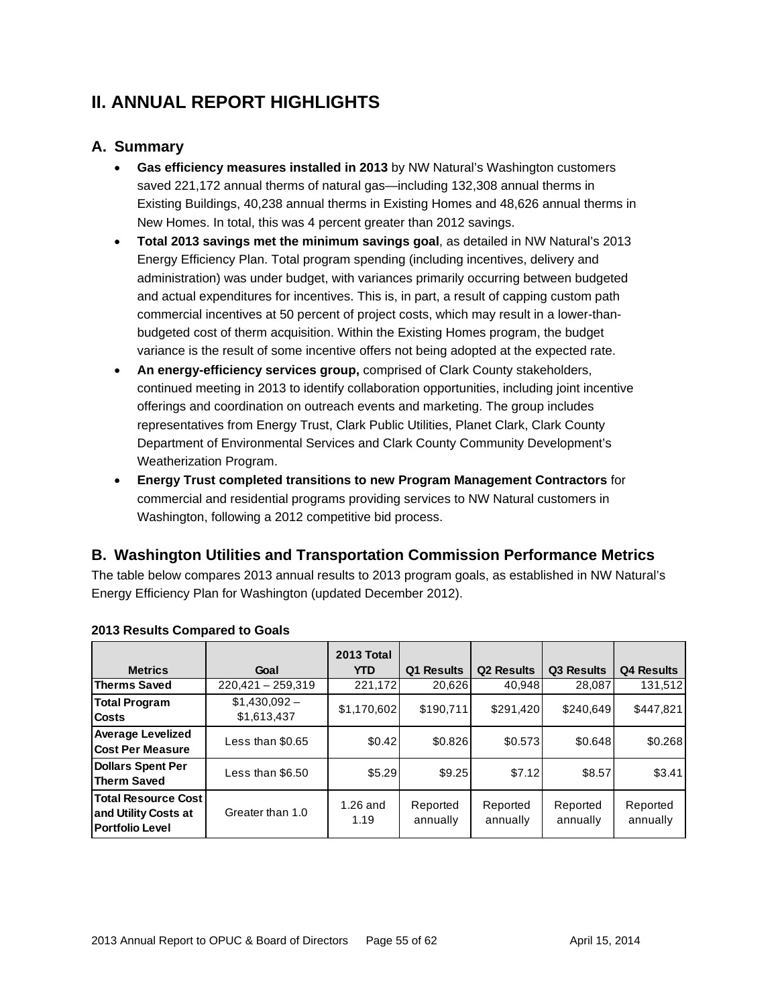# **II. ANNUAL REPORT HIGHLIGHTS**

### **A. Summary**

- **Gas efficiency measures installed in 2013** by NW Natural's Washington customers saved 221,172 annual therms of natural gas—including 132,308 annual therms in Existing Buildings, 40,238 annual therms in Existing Homes and 48,626 annual therms in New Homes. In total, this was 4 percent greater than 2012 savings.
- **Total 2013 savings met the minimum savings goal**, as detailed in NW Natural's 2013 Energy Efficiency Plan. Total program spending (including incentives, delivery and administration) was under budget, with variances primarily occurring between budgeted and actual expenditures for incentives. This is, in part, a result of capping custom path commercial incentives at 50 percent of project costs, which may result in a lower-thanbudgeted cost of therm acquisition. Within the Existing Homes program, the budget variance is the result of some incentive offers not being adopted at the expected rate.
- **An energy-efficiency services group,** comprised of Clark County stakeholders, continued meeting in 2013 to identify collaboration opportunities, including joint incentive offerings and coordination on outreach events and marketing. The group includes representatives from Energy Trust, Clark Public Utilities, Planet Clark, Clark County Department of Environmental Services and Clark County Community Development's Weatherization Program.
- **Energy Trust completed transitions to new Program Management Contractors** for commercial and residential programs providing services to NW Natural customers in Washington, following a 2012 competitive bid process.

### **B. Washington Utilities and Transportation Commission Performance Metrics**

The table below compares 2013 annual results to 2013 program goals, as established in NW Natural's Energy Efficiency Plan for Washington (updated December 2012).

|                                                                              |                              | 2013 Total       |                      |                      |                      |                      |
|------------------------------------------------------------------------------|------------------------------|------------------|----------------------|----------------------|----------------------|----------------------|
| <b>Metrics</b>                                                               | Goal                         | <b>YTD</b>       | <b>Results</b><br>Q1 | <b>Q2 Results</b>    | Q3 Results           | <b>Q4 Results</b>    |
| <b>Therms Saved</b>                                                          | $220,421 - 259,319$          | 221,172          | 20,626               | 40,948               | 28,087               | 131,512              |
| <b>Total Program</b><br><b>Costs</b>                                         | $$1,430,092-$<br>\$1,613,437 | \$1,170,602      | \$190,711            | \$291,420            | \$240,649            | \$447,821            |
| <b>Average Levelized</b><br>Cost Per Measure                                 | Less than \$0.65             | \$0.42           | \$0.826              | \$0.573              | \$0.648              | \$0.268              |
| <b>Dollars Spent Per</b><br><b>Therm Saved</b>                               | Less than \$6.50             | \$5.29           | \$9.25               | \$7.12               | \$8.57               | \$3.41               |
| <b>Total Resource Cost</b><br>and Utility Costs at<br><b>Portfolio Level</b> | Greater than 1.0             | 1.26 and<br>1.19 | Reported<br>annually | Reported<br>annually | Reported<br>annually | Reported<br>annually |

#### **2013 Results Compared to Goals**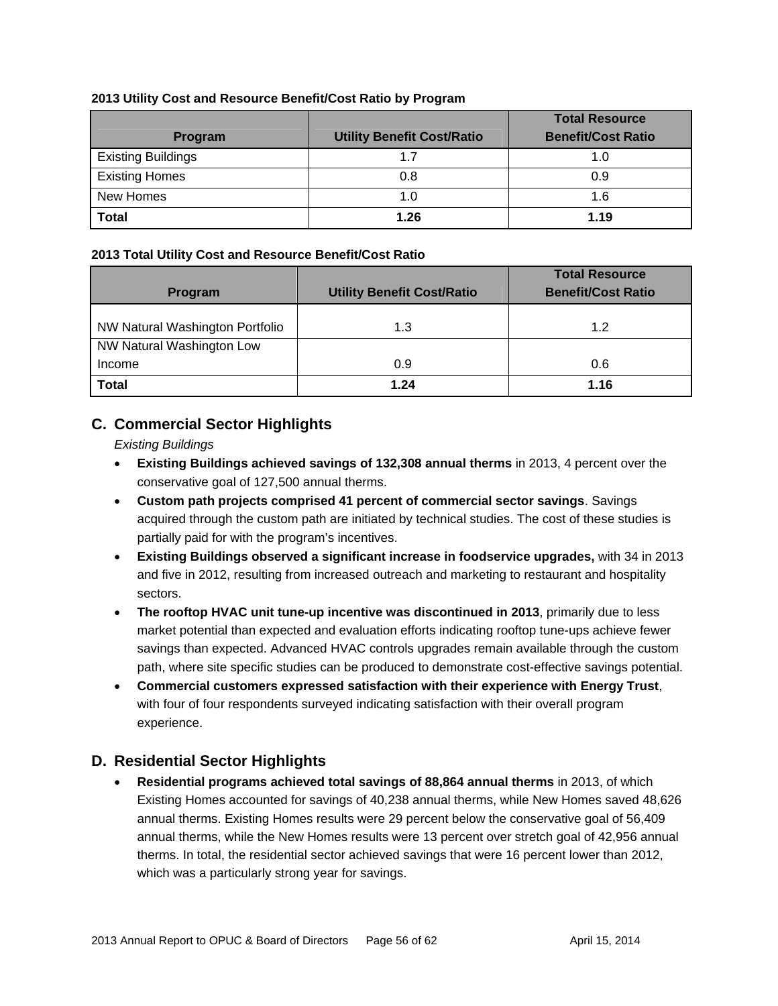#### **2013 Utility Cost and Resource Benefit/Cost Ratio by Program**

|                           |                                   | <b>Total Resource</b>     |
|---------------------------|-----------------------------------|---------------------------|
| <b>Program</b>            | <b>Utility Benefit Cost/Ratio</b> | <b>Benefit/Cost Ratio</b> |
| <b>Existing Buildings</b> | 17                                |                           |
| <b>Existing Homes</b>     | 0.8                               | 0.9                       |
| New Homes                 | 1.0                               | 1.6                       |
| <b>Total</b>              | 1.26                              | 1.19                      |

#### **2013 Total Utility Cost and Resource Benefit/Cost Ratio**

|                                 |                                   | <b>Total Resource</b>     |  |  |
|---------------------------------|-----------------------------------|---------------------------|--|--|
| <b>Program</b>                  | <b>Utility Benefit Cost/Ratio</b> | <b>Benefit/Cost Ratio</b> |  |  |
|                                 |                                   |                           |  |  |
| NW Natural Washington Portfolio | 1.3                               | 1.2                       |  |  |
| NW Natural Washington Low       |                                   |                           |  |  |
| Income                          | 0.9                               | 0.6                       |  |  |
| <b>Total</b>                    | 1.24                              | 1.16                      |  |  |

### **C. Commercial Sector Highlights**

*Existing Buildings* 

- **Existing Buildings achieved savings of 132,308 annual therms** in 2013, 4 percent over the conservative goal of 127,500 annual therms.
- **Custom path projects comprised 41 percent of commercial sector savings**. Savings acquired through the custom path are initiated by technical studies. The cost of these studies is partially paid for with the program's incentives.
- **Existing Buildings observed a significant increase in foodservice upgrades,** with 34 in 2013 and five in 2012, resulting from increased outreach and marketing to restaurant and hospitality sectors.
- **The rooftop HVAC unit tune-up incentive was discontinued in 2013**, primarily due to less market potential than expected and evaluation efforts indicating rooftop tune-ups achieve fewer savings than expected. Advanced HVAC controls upgrades remain available through the custom path, where site specific studies can be produced to demonstrate cost-effective savings potential.
- **Commercial customers expressed satisfaction with their experience with Energy Trust**, with four of four respondents surveyed indicating satisfaction with their overall program experience.

### **D. Residential Sector Highlights**

 **Residential programs achieved total savings of 88,864 annual therms** in 2013, of which Existing Homes accounted for savings of 40,238 annual therms, while New Homes saved 48,626 annual therms. Existing Homes results were 29 percent below the conservative goal of 56,409 annual therms, while the New Homes results were 13 percent over stretch goal of 42,956 annual therms. In total, the residential sector achieved savings that were 16 percent lower than 2012, which was a particularly strong year for savings.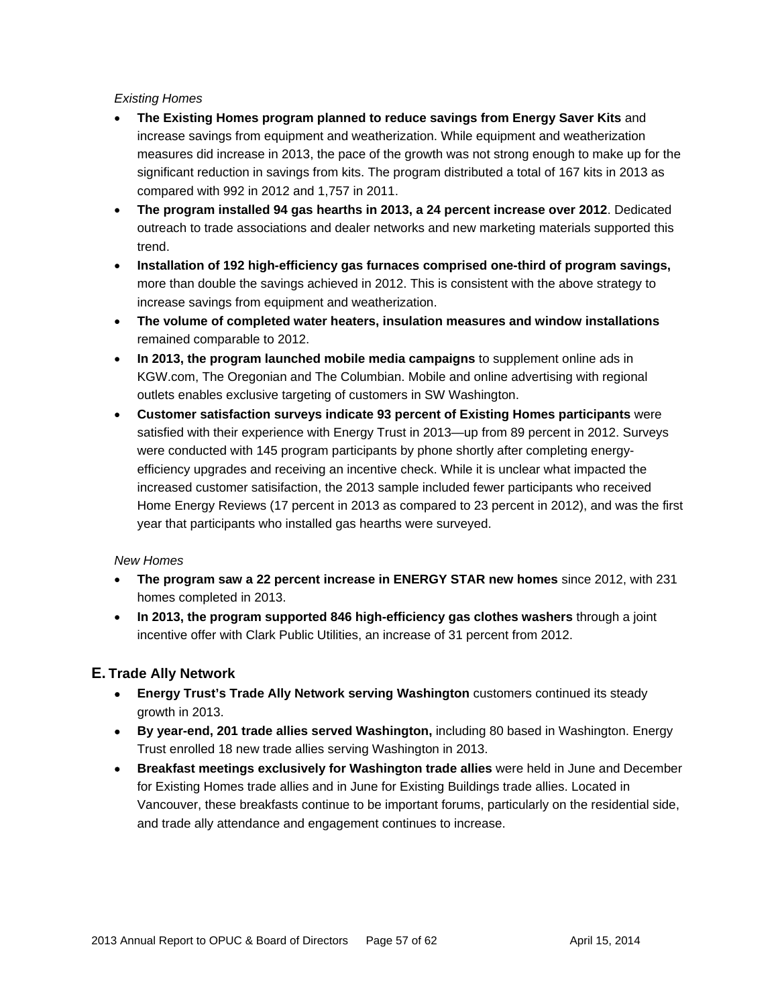#### *Existing Homes*

- **The Existing Homes program planned to reduce savings from Energy Saver Kits** and increase savings from equipment and weatherization. While equipment and weatherization measures did increase in 2013, the pace of the growth was not strong enough to make up for the significant reduction in savings from kits. The program distributed a total of 167 kits in 2013 as compared with 992 in 2012 and 1,757 in 2011.
- **The program installed 94 gas hearths in 2013, a 24 percent increase over 2012**. Dedicated outreach to trade associations and dealer networks and new marketing materials supported this trend.
- **Installation of 192 high-efficiency gas furnaces comprised one-third of program savings,** more than double the savings achieved in 2012. This is consistent with the above strategy to increase savings from equipment and weatherization.
- **The volume of completed water heaters, insulation measures and window installations** remained comparable to 2012.
- **In 2013, the program launched mobile media campaigns** to supplement online ads in KGW.com, The Oregonian and The Columbian. Mobile and online advertising with regional outlets enables exclusive targeting of customers in SW Washington.
- **Customer satisfaction surveys indicate 93 percent of Existing Homes participants** were satisfied with their experience with Energy Trust in 2013—up from 89 percent in 2012. Surveys were conducted with 145 program participants by phone shortly after completing energyefficiency upgrades and receiving an incentive check. While it is unclear what impacted the increased customer satisifaction, the 2013 sample included fewer participants who received Home Energy Reviews (17 percent in 2013 as compared to 23 percent in 2012), and was the first year that participants who installed gas hearths were surveyed.

#### *New Homes*

- **The program saw a 22 percent increase in ENERGY STAR new homes** since 2012, with 231 homes completed in 2013.
- **In 2013, the program supported 846 high-efficiency gas clothes washers** through a joint incentive offer with Clark Public Utilities, an increase of 31 percent from 2012.

#### **E. Trade Ally Network**

- **Energy Trust's Trade Ally Network serving Washington** customers continued its steady growth in 2013.
- **By year-end, 201 trade allies served Washington,** including 80 based in Washington. Energy Trust enrolled 18 new trade allies serving Washington in 2013.
- **Breakfast meetings exclusively for Washington trade allies** were held in June and December for Existing Homes trade allies and in June for Existing Buildings trade allies. Located in Vancouver, these breakfasts continue to be important forums, particularly on the residential side, and trade ally attendance and engagement continues to increase.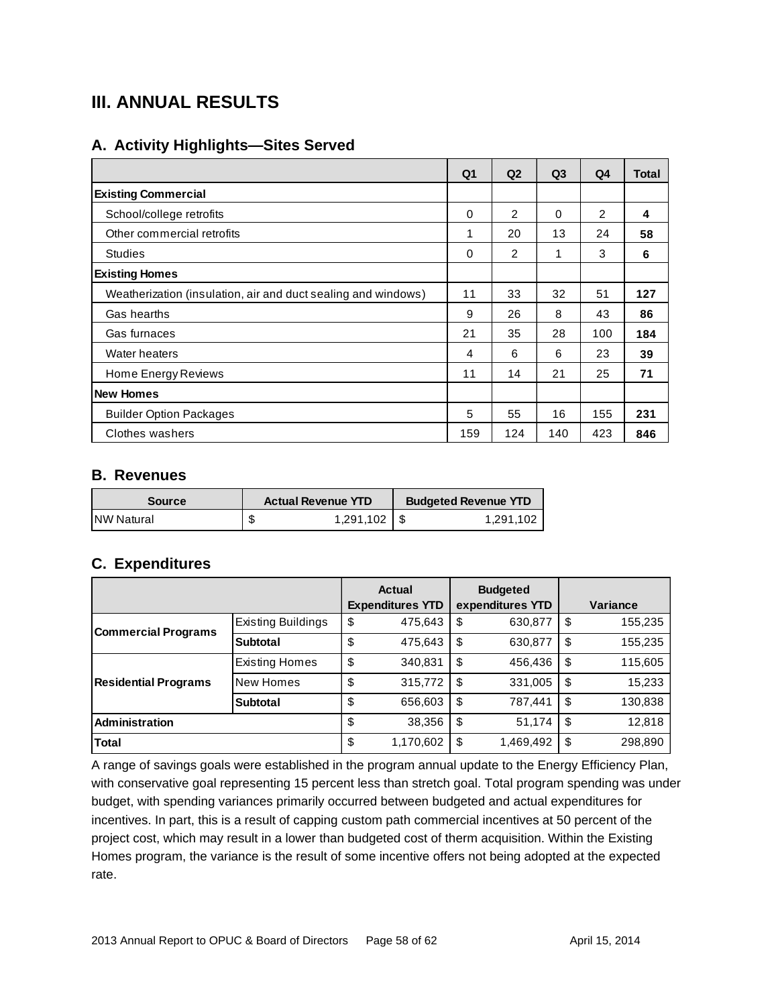# **III. ANNUAL RESULTS**

### **A. Activity Highlights—Sites Served**

|                                                               | Q1       | Q <sub>2</sub> | Q <sub>3</sub> | Q4  | <b>Total</b> |
|---------------------------------------------------------------|----------|----------------|----------------|-----|--------------|
| <b>Existing Commercial</b>                                    |          |                |                |     |              |
| School/college retrofits                                      | 0        | $\overline{2}$ | $\Omega$       | 2   | 4            |
| Other commercial retrofits                                    | 1        | 20             | 13             | 24  | 58           |
| <b>Studies</b>                                                | $\Omega$ | $\overline{2}$ |                | 3   | 6            |
| <b>Existing Homes</b>                                         |          |                |                |     |              |
| Weatherization (insulation, air and duct sealing and windows) | 11       | 33             | 32             | 51  | 127          |
| Gas hearths                                                   | 9        | 26             | 8              | 43  | 86           |
| Gas furnaces                                                  | 21       | 35             | 28             | 100 | 184          |
| Water heaters                                                 | 4        | 6              | 6              | 23  | 39           |
| Home Energy Reviews                                           | 11       | 14             | 21             | 25  | 71           |
| <b>New Homes</b>                                              |          |                |                |     |              |
| <b>Builder Option Packages</b>                                | 5        | 55             | 16             | 155 | 231          |
| Clothes washers                                               | 159      | 124            | 140            | 423 | 846          |

#### **B. Revenues**

| <b>Source</b>      | <b>Actual Revenue YTD</b> |           |  | <b>Budgeted Revenue YTD</b> |  |  |  |
|--------------------|---------------------------|-----------|--|-----------------------------|--|--|--|
| <b>INW Natural</b> |                           | 1,291,102 |  | 1.291.102                   |  |  |  |

### **C. Expenditures**

|                             |                       | <b>Actual</b><br><b>Expenditures YTD</b> | <b>Budgeted</b><br>expenditures YTD |           |    | Variance |  |  |
|-----------------------------|-----------------------|------------------------------------------|-------------------------------------|-----------|----|----------|--|--|
| <b>Commercial Programs</b>  | Existing Buildings    | \$<br>475,643                            | S                                   | 630,877   | \$ | 155,235  |  |  |
|                             | <b>Subtotal</b>       | \$<br>475,643                            | S                                   | 630,877   | \$ | 155,235  |  |  |
|                             | <b>Existing Homes</b> | \$<br>340,831                            | \$                                  | 456,436   | \$ | 115,605  |  |  |
| <b>Residential Programs</b> | New Homes             | \$<br>315,772                            | \$                                  | 331,005   | \$ | 15,233   |  |  |
|                             | <b>Subtotal</b>       | \$<br>656,603                            | \$                                  | 787,441   | \$ | 130,838  |  |  |
| Administration              |                       | \$<br>38,356                             | \$                                  | 51,174    | \$ | 12,818   |  |  |
| Total                       |                       | \$<br>1,170,602                          | S                                   | 1,469,492 | S  | 298,890  |  |  |

A range of savings goals were established in the program annual update to the Energy Efficiency Plan, with conservative goal representing 15 percent less than stretch goal. Total program spending was under budget, with spending variances primarily occurred between budgeted and actual expenditures for incentives. In part, this is a result of capping custom path commercial incentives at 50 percent of the project cost, which may result in a lower than budgeted cost of therm acquisition. Within the Existing Homes program, the variance is the result of some incentive offers not being adopted at the expected rate.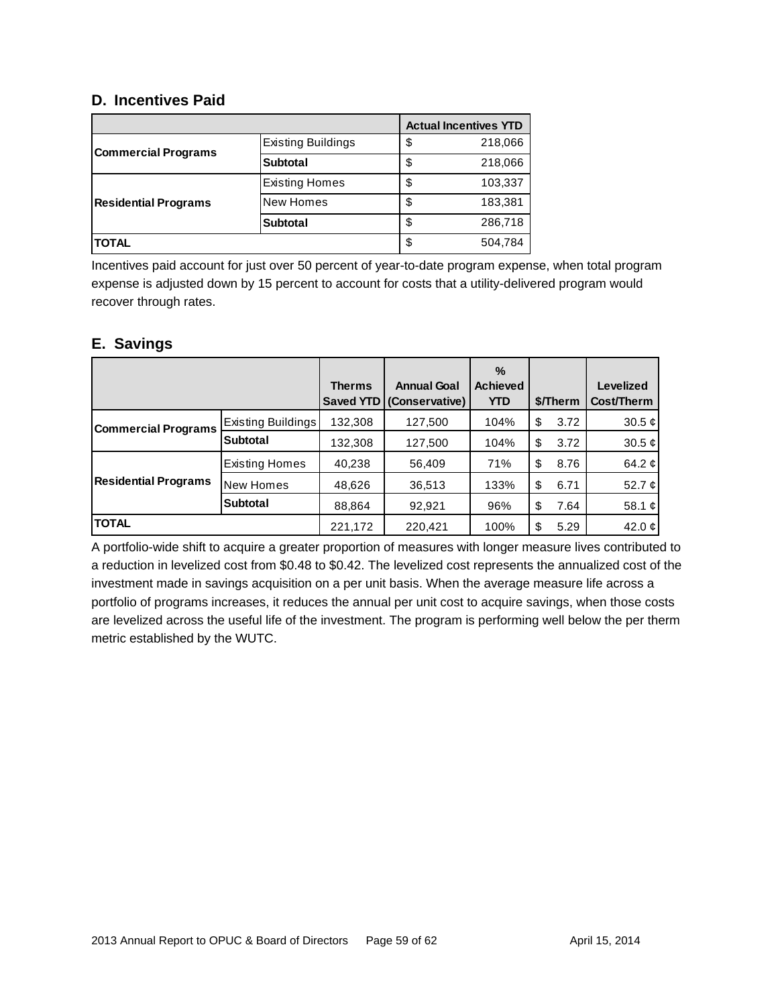### **D. Incentives Paid**

|                             |                           | <b>Actual Incentives YTD</b> |         |
|-----------------------------|---------------------------|------------------------------|---------|
| <b>Commercial Programs</b>  | <b>Existing Buildings</b> | \$                           | 218,066 |
|                             | Subtotal                  | \$                           | 218,066 |
|                             | <b>Existing Homes</b>     | \$                           | 103,337 |
| <b>Residential Programs</b> | <b>New Homes</b>          | \$                           | 183,381 |
|                             | <b>Subtotal</b>           | \$                           | 286,718 |
| <b>TOTAL</b>                |                           | \$                           | 504,784 |

Incentives paid account for just over 50 percent of year-to-date program expense, when total program expense is adjusted down by 15 percent to account for costs that a utility-delivered program would recover through rates.

### **E. Savings**

|                             |                       |               |                                                | $\%$                   |            |                         |
|-----------------------------|-----------------------|---------------|------------------------------------------------|------------------------|------------|-------------------------|
|                             |                       | <b>Therms</b> | <b>Annual Goal</b><br>Saved YTD (Conservative) | <b>Achieved</b><br>YTD | \$/Therm   | Levelized<br>Cost/Therm |
|                             |                       |               |                                                |                        |            |                         |
| <b>Commercial Programs</b>  | Existing Buildings    | 132,308       | 127,500                                        | 104%                   | \$<br>3.72 | 30.5 $\mathcal{L}$      |
|                             | <b>Subtotal</b>       | 132,308       | 127,500                                        | 104%                   | \$<br>3.72 | 30.5 $\phi$             |
|                             | <b>Existing Homes</b> | 40,238        | 56,409                                         | 71%                    | \$<br>8.76 | 64.2 $\mathfrak{C}$     |
| <b>Residential Programs</b> | New Homes             | 48,626        | 36,513                                         | 133%                   | \$<br>6.71 | 52.7 $\mathfrak{C}$     |
|                             | <b>Subtotal</b>       | 88,864        | 92,921                                         | 96%                    | \$<br>7.64 | 58.1 $\mathfrak{C}$     |
| <b>TOTAL</b>                |                       | 221,172       | 220.421                                        | 100%                   | \$<br>5.29 | 42.0 $\phi$             |

A portfolio-wide shift to acquire a greater proportion of measures with longer measure lives contributed to a reduction in levelized cost from \$0.48 to \$0.42. The levelized cost represents the annualized cost of the investment made in savings acquisition on a per unit basis. When the average measure life across a portfolio of programs increases, it reduces the annual per unit cost to acquire savings, when those costs are levelized across the useful life of the investment. The program is performing well below the per therm metric established by the WUTC.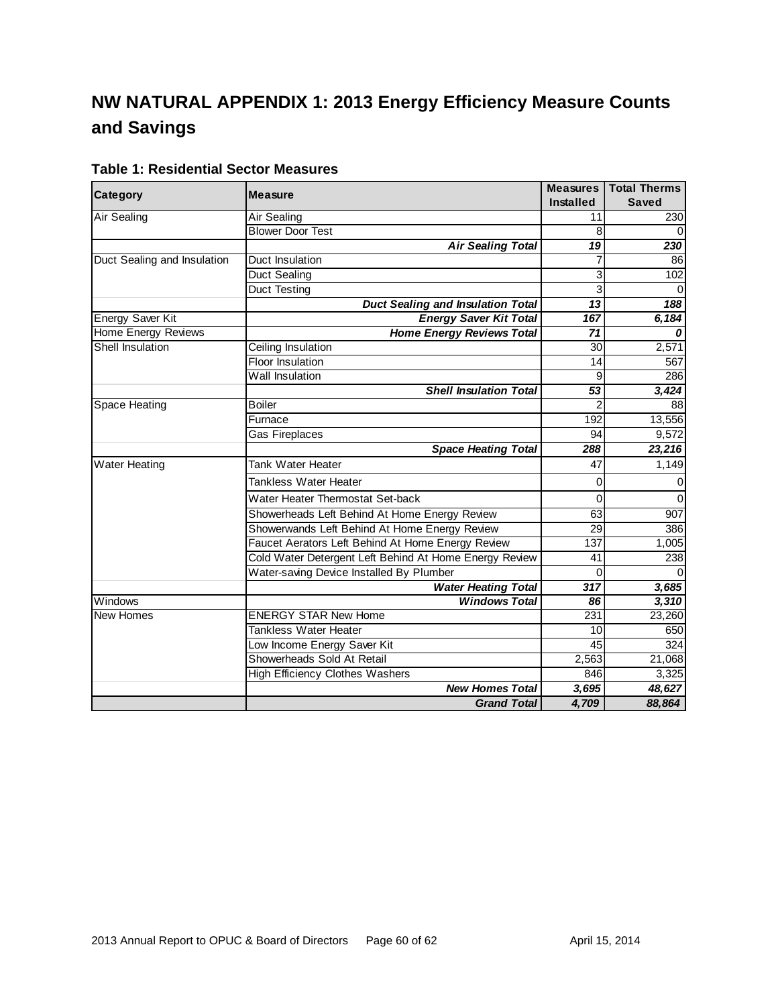# **NW NATURAL APPENDIX 1: 2013 Energy Efficiency Measure Counts and Savings**

|                             | <b>Measure</b>                                         | <b>Measures</b>  | <b>Total Therms</b> |
|-----------------------------|--------------------------------------------------------|------------------|---------------------|
| <b>Category</b>             |                                                        | <b>Installed</b> | <b>Saved</b>        |
| <b>Air Sealing</b>          | Air Sealing                                            | 11               | 230                 |
|                             | <b>Blower Door Test</b>                                | 8                | $\Omega$            |
|                             | <b>Air Sealing Total</b>                               | 19               | 230                 |
| Duct Sealing and Insulation | Duct Insulation                                        | 7                | 86                  |
|                             | <b>Duct Sealing</b>                                    | 3                | 102                 |
|                             | <b>Duct Testing</b>                                    | 3                | $\Omega$            |
|                             | <b>Duct Sealing and Insulation Total</b>               | 13               | 188                 |
| <b>Energy Saver Kit</b>     | <b>Energy Saver Kit Total</b>                          | 167              | 6,184               |
| <b>Home Energy Reviews</b>  | <b>Home Energy Reviews Total</b>                       | 71               |                     |
| Shell Insulation            | Ceiling Insulation                                     | 30               | 2,571               |
|                             | Floor Insulation                                       | 14               | 567                 |
|                             | Wall Insulation                                        | 9                | 286                 |
|                             | <b>Shell Insulation Total</b>                          | 53               | 3,424               |
| Space Heating               | <b>Boiler</b>                                          |                  | 88                  |
|                             | Furnace                                                | 192              | 13,556              |
|                             | Gas Fireplaces                                         | 94               | $\overline{9,572}$  |
|                             | <b>Space Heating Total</b>                             | 288              | 23,216              |
| <b>Water Heating</b>        | Tank Water Heater                                      | 47               | 1,149               |
|                             | <b>Tankless Water Heater</b>                           | $\Omega$         | 0                   |
|                             | Water Heater Thermostat Set-back                       | $\mathbf 0$      | $\mathbf 0$         |
|                             | Showerheads Left Behind At Home Energy Review          | 63               | 907                 |
|                             | Showerwands Left Behind At Home Energy Review          | 29               | 386                 |
|                             | Faucet Aerators Left Behind At Home Energy Review      | 137              | 1,005               |
|                             | Cold Water Detergent Left Behind At Home Energy Review | 41               | 238                 |
|                             | Water-saving Device Installed By Plumber               | $\Omega$         |                     |
|                             | <b>Water Heating Total</b>                             | 317              | 3,685               |
| Windows                     | <b>Windows Total</b>                                   | 86               | 3,310               |
| <b>New Homes</b>            | <b>ENERGY STAR New Home</b>                            | 231              | 23,260              |
|                             | <b>Tankless Water Heater</b>                           | 10               | 650                 |
|                             | Low Income Energy Saver Kit                            | 45               | 324                 |
|                             | Showerheads Sold At Retail                             | 2,563            | 21,068              |
|                             | <b>High Efficiency Clothes Washers</b>                 | 846              | 3,325               |
|                             | <b>New Homes Total</b>                                 | 3,695            | 48,627              |
|                             | <b>Grand Total</b>                                     | 4,709            | 88,864              |

### **Table 1: Residential Sector Measures**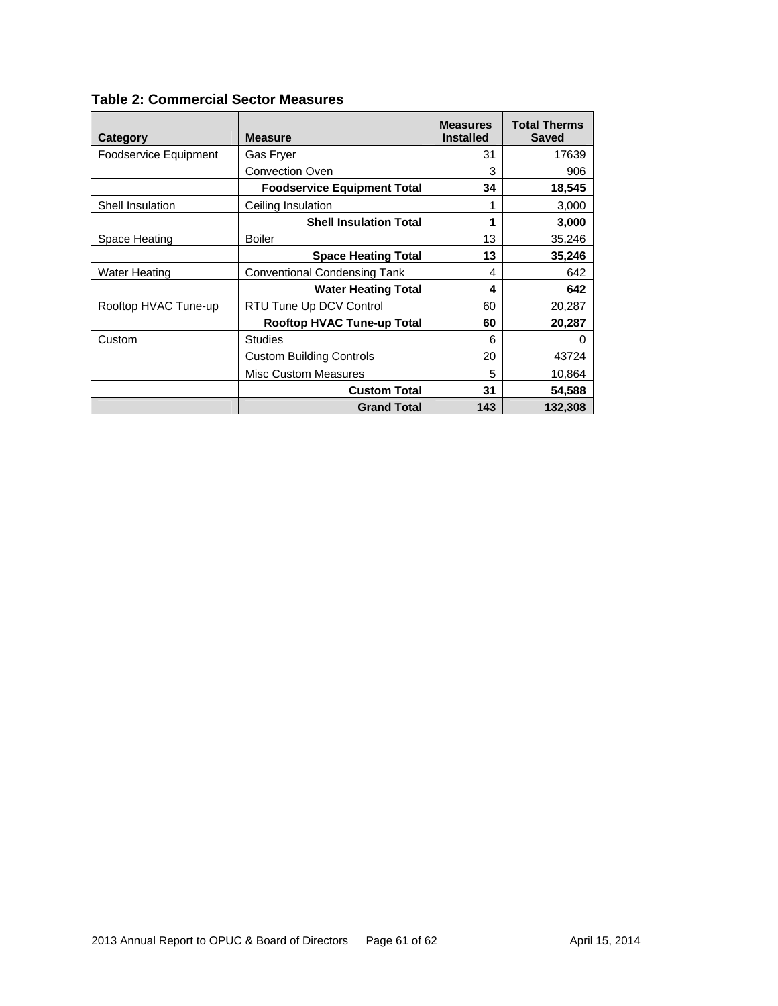| Category                | <b>Measure</b>                      | <b>Measures</b><br><b>Installed</b> | <b>Total Therms</b><br><b>Saved</b> |
|-------------------------|-------------------------------------|-------------------------------------|-------------------------------------|
| Foodservice Equipment   | Gas Fryer                           | 31                                  | 17639                               |
|                         | <b>Convection Oven</b>              | 3                                   | 906                                 |
|                         | <b>Foodservice Equipment Total</b>  | 34                                  | 18,545                              |
| <b>Shell Insulation</b> | Ceiling Insulation                  |                                     | 3,000                               |
|                         | <b>Shell Insulation Total</b>       | 1                                   | 3,000                               |
| Space Heating           | <b>Boiler</b>                       | 13                                  | 35,246                              |
|                         | <b>Space Heating Total</b>          | 13                                  | 35,246                              |
| <b>Water Heating</b>    | <b>Conventional Condensing Tank</b> | 4                                   | 642                                 |
|                         | <b>Water Heating Total</b>          | 4                                   | 642                                 |
| Rooftop HVAC Tune-up    | RTU Tune Up DCV Control             | 60                                  | 20,287                              |
|                         | <b>Rooftop HVAC Tune-up Total</b>   | 60                                  | 20,287                              |
| Custom                  | <b>Studies</b>                      | 6                                   | 0                                   |
|                         | <b>Custom Building Controls</b>     | 20                                  | 43724                               |
|                         | <b>Misc Custom Measures</b>         | 5                                   | 10,864                              |
|                         | <b>Custom Total</b>                 | 31                                  | 54,588                              |
|                         | <b>Grand Total</b>                  | 143                                 | 132,308                             |

### **Table 2: Commercial Sector Measures**